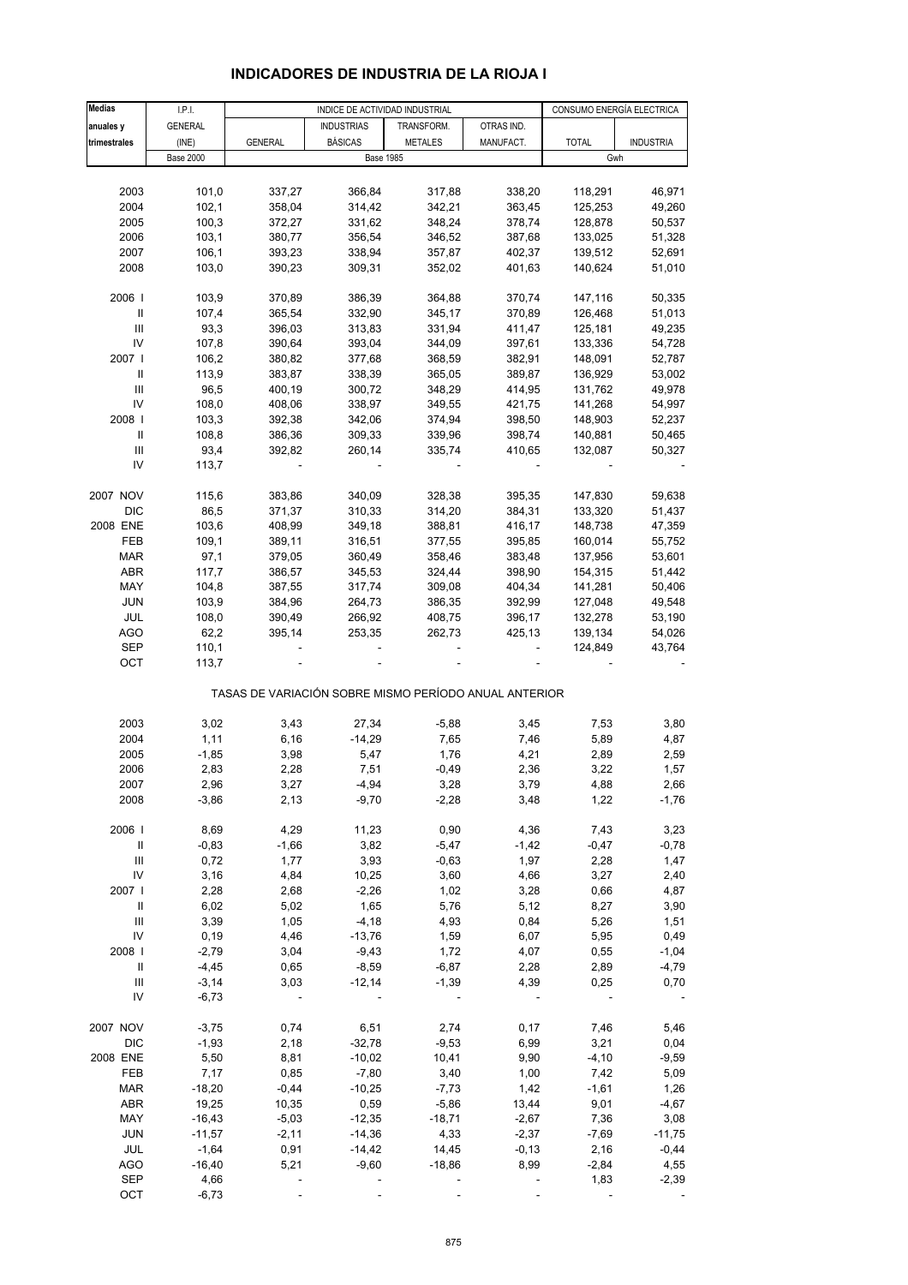#### **Medias | I.P.I. | INDICE DE ACTIVIDAD INDUSTRIAL | CONSUMO ENERGÍA ELECTRICA anuales v** GENERAL **INDUSTRIAS TRANSFORM.** OTRAS IND. **trimestrales |** (INE) | GENERAL | BÁSICAS | METALES | MANUFACT. | TOTAL | INDUSTRIA Base 2000 Gwh 2003 101,0 337,27 366,84 317,88 338,20 118,291 46,971 2004 102,1 358,04 314,42 342,21 363,45 125,253 49,260 2005 100,3 372,27 331,62 348,24 378,74 128,878 50,537 2006 103,1 380,77 356,54 346,52 387,68 133,025 51,328 2007 106,1 393,23 338,94 357,87 402,37 139,512 52,691 2008 103,0 390,23 309,31 352,02 401,63 140,624 51,010 2006 I 103,9 370,89 386,39 364,88 370,74 147,116 50,335 II 107,4 365,54 332,90 345,17 370,89 126,468 51,013 III 93,3 396,03 313,83 331,94 411,47 125,181 49,235 IV 107,8 390,64 393,04 344,09 397,61 133,336 54,728 2007 I 106,2 380,82 377,68 368,59 382,91 148,091 52,787 II 113,9 383,87 338,39 365,05 389,87 136,929 53,002 III 96,5 400,19 300,72 348,29 414,95 131,762 49,978 IV 108,0 408,06 338,97 349,55 421,75 141,268 54,997 2008 I 103,3 392,38 342,06 374,94 398,50 148,903 52,237 II 108,8 386,36 309,33 339,96 398,74 140,881 50,465 III 93,4 392,82 260,14 335,74 410,65 132,087 50,327 IV 113,7 - - - - - - - - - - -2007 NOV 115,6 383,86 340,09 328,38 395,35 147,830 59,638 DIC 86,5 371,37 310,33 314,20 384,31 133,320 51,437 2008 ENE 103,6 408,99 349,18 388,81 416,17 148,738 47,359 FEB 109,1 389,11 316,51 377,55 395,85 160,014 55,752 MAR 97,1 379,05 360,49 358,46 383,48 137,956 53,601 ABR 117,7 386,57 345,53 324,44 398,90 154,315 51,442 MAY 104,8 387,55 317,74 309,08 404,34 141,281 50,406 JUN 103,9 384,96 264,73 386,35 392,99 127,048 49,548 JUL 108,0 390,49 266,92 408,75 396,17 132,278 53,190 AGO 62,2 395,14 253,35 262,73 425,13 139,134 54,026 SEP 110,1 - - - - - - - 124,849 43,764 OCT 113,7 - - - - - - - - - -TASAS DE VARIACIÓN SOBRE MISMO PERÍODO ANUAL ANTERIOR 2003 3,02 3,43 27,34 -5,88 3,45 7,53 3,80 2004 1,11 6,16 -14,29 7,65 7,46 5,89 4,87 2005 -1,85 3,98 5,47 1,76 4,21 2,89 2,59 2006 2,83 2,28 7,51 -0,49 2,36 3,22 1,57 2007 2,96 3,27 -4,94 3,28 3,79 4,88 2,66 2008 -3,86 2,13 -9,70 -2,28 3,48 1,22 -1,76 2006 I 8,69 4,29 11,23 0,90 4,36 7,43 3,23 II -0,83 -1,66 3,82 -5,47 -1,42 -0,47 -0,78 III 0,72 1,77 3,93 -0,63 1,97 2,28 1,47 IV 3,16 4,84 10,25 3,60 4,66 3,27 2,40 2007 I 2,28 2,68 -2,26 1,02 3,28 0,66 4,87 II 6,02 5,02 1,65 5,76 5,12 8,27 3,90 III 3,39 1,05 -4,18 4,93 0,84 5,26 1,51 IV 0,19 4,46 -13,76 1,59 6,07 5,95 0,49 2008 I -2,79 3,04 -9,43 1,72 4,07 0,55 -1,04 II -4,45 0,65 -8,59 -6,87 2,28 2,89 -4,79 III -3,14 3,03 -12,14 -1,39 4,39 0,25 0,70 IV -6,73 - - - - - - - - - - -2007 NOV -3,75 0,74 6,51 2,74 0,17 7,46 5,46 DIC -1,93 2,18 -32,78 -9,53 6,99 3,21 0,04 2008 ENE 5,50 8,81 -10,02 10,41 9,90 -4,10 -9,59 FEB 7,17 0,85 -7,80 3,40 1,00 7,42 5,09 1,26 -18,20 -0,44 -10,25 -7,73 1,42 -1,61 1,26 ABR 19,25 10,35 0,59 -5,86 13,44 9,01 -4,67 MAY -16,43 -5,03 -12,35 -18,71 -2,67 7,36 3,08 JUN -11,57 -2,11 -14,36 4,33 -2,37 -7,69 -11,75 JUL -1,64 0,91 -14,42 14,45 -0,13 2,16 -0,44 AGO -16,40 5,21 -9,60 -18,86 8,99 -2,84 4,55 SEP 4,66 ---- 1,83 -2,39

### **INDICADORES DE INDUSTRIA DE LA RIOJA I**

OCT -6,73 - - - ---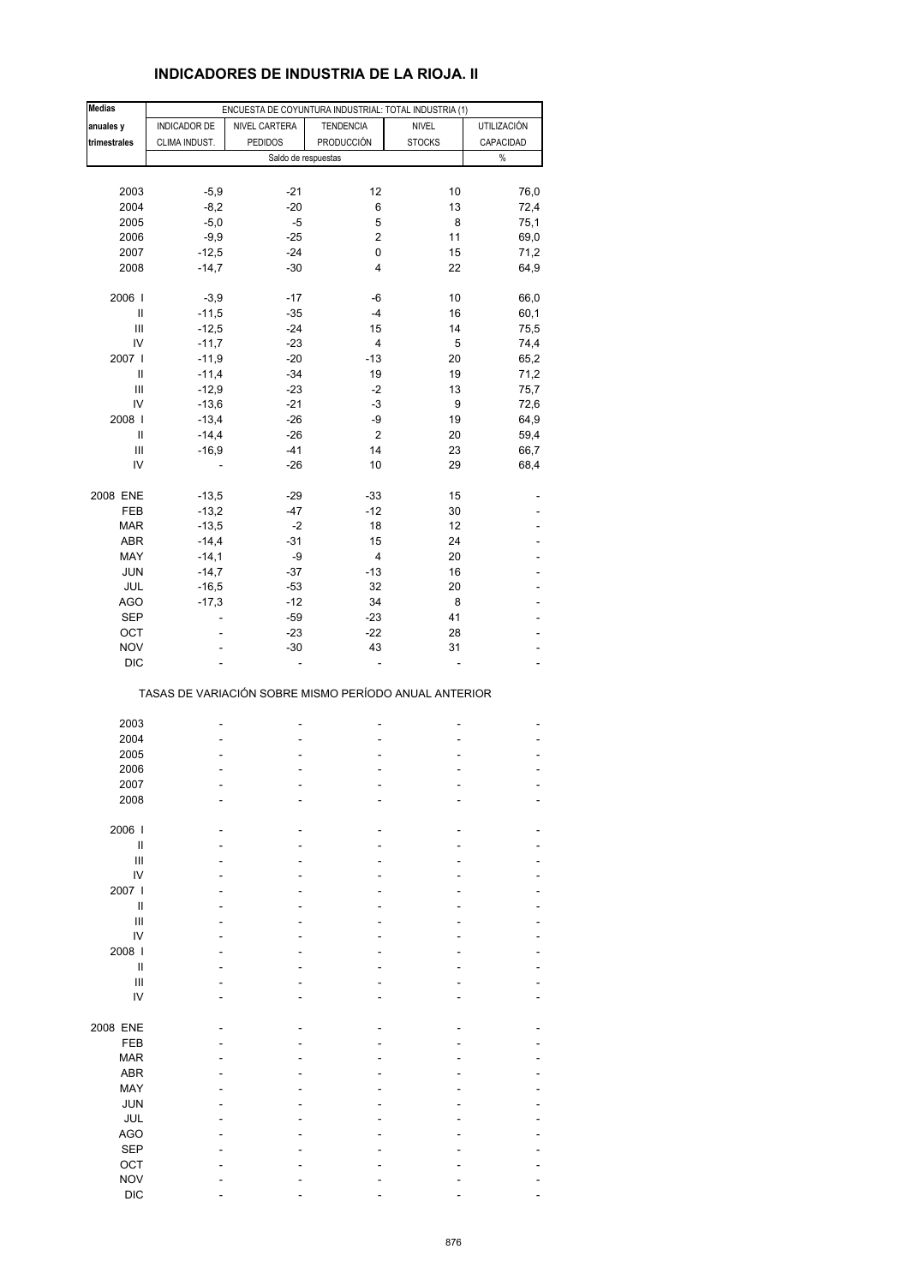# **INDICADORES DE INDUSTRIA DE LA RIOJA. II**

| <b>Medias</b>                      |               | ENCUESTA DE COYUNTURA INDUSTRIAL: TOTAL INDUSTRIA (1) |                     |               |             |
|------------------------------------|---------------|-------------------------------------------------------|---------------------|---------------|-------------|
| anuales y                          | INDICADOR DE  | NIVEL CARTERA                                         | <b>TENDENCIA</b>    | <b>NIVEL</b>  | UTILIZACIÓN |
|                                    |               | <b>PEDIDOS</b>                                        | PRODUCCIÓN          |               |             |
| trimestrales                       | CLIMA INDUST. |                                                       |                     | <b>STOCKS</b> | CAPACIDAD   |
|                                    |               |                                                       | Saldo de respuestas |               | $\%$        |
|                                    |               |                                                       |                     |               |             |
| 2003                               | $-5,9$        | $-21$                                                 | 12                  | 10            | 76,0        |
| 2004                               | $-8,2$        | $-20$                                                 | 6                   | 13            | 72,4        |
| 2005                               | $-5,0$        | $-5$                                                  | 5                   | 8             | 75,1        |
| 2006                               | $-9,9$        | $-25$                                                 | 2                   | 11            | 69,0        |
| 2007                               | $-12,5$       | $-24$                                                 | 0                   | 15            | 71,2        |
|                                    | $-14,7$       | $-30$                                                 | 4                   | 22            | 64,9        |
| 2008                               |               |                                                       |                     |               |             |
| 2006                               | $-3,9$        | $-17$                                                 | -6                  | 10            | 66,0        |
| $\ensuremath{\mathsf{II}}$         | $-11,5$       | $-35$                                                 | $-4$                | 16            | 60,1        |
|                                    |               | $-24$                                                 |                     |               |             |
| Ш                                  | $-12,5$       |                                                       | 15                  | 14            | 75,5        |
| IV                                 | $-11,7$       | $-23$                                                 | 4                   | $\sqrt{5}$    | 74,4        |
| 2007 l                             | $-11,9$       | $-20$                                                 | $-13$               | 20            | 65,2        |
| Ш                                  | $-11,4$       | $-34$                                                 | 19                  | 19            | 71,2        |
| $\ensuremath{\mathsf{III}}\xspace$ | $-12,9$       | $-23$                                                 | -2                  | 13            | 75,7        |
| IV                                 | $-13,6$       | $-21$                                                 | -3                  | 9             | 72,6        |
| 2008                               | $-13,4$       | $-26$                                                 | -9                  | 19            | 64,9        |
| $\ensuremath{\mathsf{II}}$         | $-14,4$       | $-26$                                                 | $\mathbf{2}$        | 20            | 59,4        |
| $\ensuremath{\mathsf{III}}\xspace$ |               | $-41$                                                 | 14                  | 23            |             |
|                                    | $-16,9$       |                                                       |                     |               | 66,7        |
| IV                                 |               | $-26$                                                 | 10                  | 29            | 68,4        |
|                                    |               |                                                       |                     |               |             |
| 2008 ENE                           | $-13,5$       | $-29$                                                 | $-33$               | 15            |             |
| FEB                                | $-13,2$       | -47                                                   | $-12$               | 30            |             |
| <b>MAR</b>                         | $-13,5$       | $-2$                                                  | 18                  | 12            |             |
| <b>ABR</b>                         | $-14,4$       | $-31$                                                 | 15                  | 24            |             |
| MAY                                | $-14,1$       | -9                                                    | 4                   | 20            |             |
| JUN                                | $-14,7$       | $-37$                                                 | $-13$               | 16            |             |
| JUL                                | $-16,5$       | $-53$                                                 | 32                  | 20            |             |
|                                    |               |                                                       |                     |               |             |
| <b>AGO</b>                         | $-17,3$       | $-12$                                                 | 34                  | 8             |             |
| <b>SEP</b>                         |               | $-59$                                                 | $-23$               | 41            |             |
| OCT                                |               | $-23$                                                 | $-22$               | 28            |             |
| <b>NOV</b>                         |               | $-30$                                                 | 43                  | 31            |             |
| <b>DIC</b>                         |               |                                                       |                     |               |             |
|                                    |               | TASAS DE VARIACIÓN SOBRE MISMO PERÍODO ANUAL ANTERIOR |                     |               |             |
|                                    |               |                                                       |                     |               |             |
| 2003                               |               | ٠                                                     | ۰                   | ۰             |             |
| 2004                               |               |                                                       |                     |               |             |
| 2005                               |               |                                                       |                     |               |             |
| 2006                               |               |                                                       | L,                  |               |             |
| 2007                               |               |                                                       |                     |               |             |
| 2008                               |               |                                                       |                     |               |             |
|                                    |               |                                                       |                     |               |             |
| 2006                               |               |                                                       |                     |               |             |
| Ш                                  |               |                                                       |                     |               |             |
| $\mathsf{III}$                     |               |                                                       |                     |               |             |
| IV                                 |               |                                                       |                     |               |             |
| 2007 l                             |               |                                                       |                     |               |             |
|                                    |               |                                                       |                     |               |             |
| Ш                                  |               |                                                       |                     |               |             |
| $\ensuremath{\mathsf{III}}\xspace$ |               |                                                       |                     |               |             |
| IV                                 |               |                                                       |                     |               |             |
| 2008                               |               |                                                       |                     |               |             |
| Ш                                  |               |                                                       |                     |               |             |
| $\mathsf{III}$                     |               |                                                       |                     |               |             |
| IV                                 |               |                                                       |                     |               |             |
|                                    |               |                                                       |                     |               |             |
| 2008 ENE                           |               |                                                       |                     |               |             |
| FEB                                |               |                                                       |                     |               |             |
| <b>MAR</b>                         |               |                                                       |                     |               |             |
| ABR                                |               |                                                       |                     |               |             |
|                                    |               |                                                       |                     |               |             |
| MAY                                |               |                                                       |                     |               |             |
| <b>JUN</b>                         |               |                                                       |                     |               |             |
| JUL                                |               |                                                       |                     |               |             |
| <b>AGO</b>                         |               |                                                       |                     |               |             |
| <b>SEP</b>                         |               |                                                       |                     |               |             |
| OCT                                |               |                                                       |                     |               |             |
| <b>NOV</b>                         |               |                                                       |                     |               |             |
| <b>DIC</b>                         |               |                                                       |                     |               |             |
|                                    |               |                                                       |                     |               |             |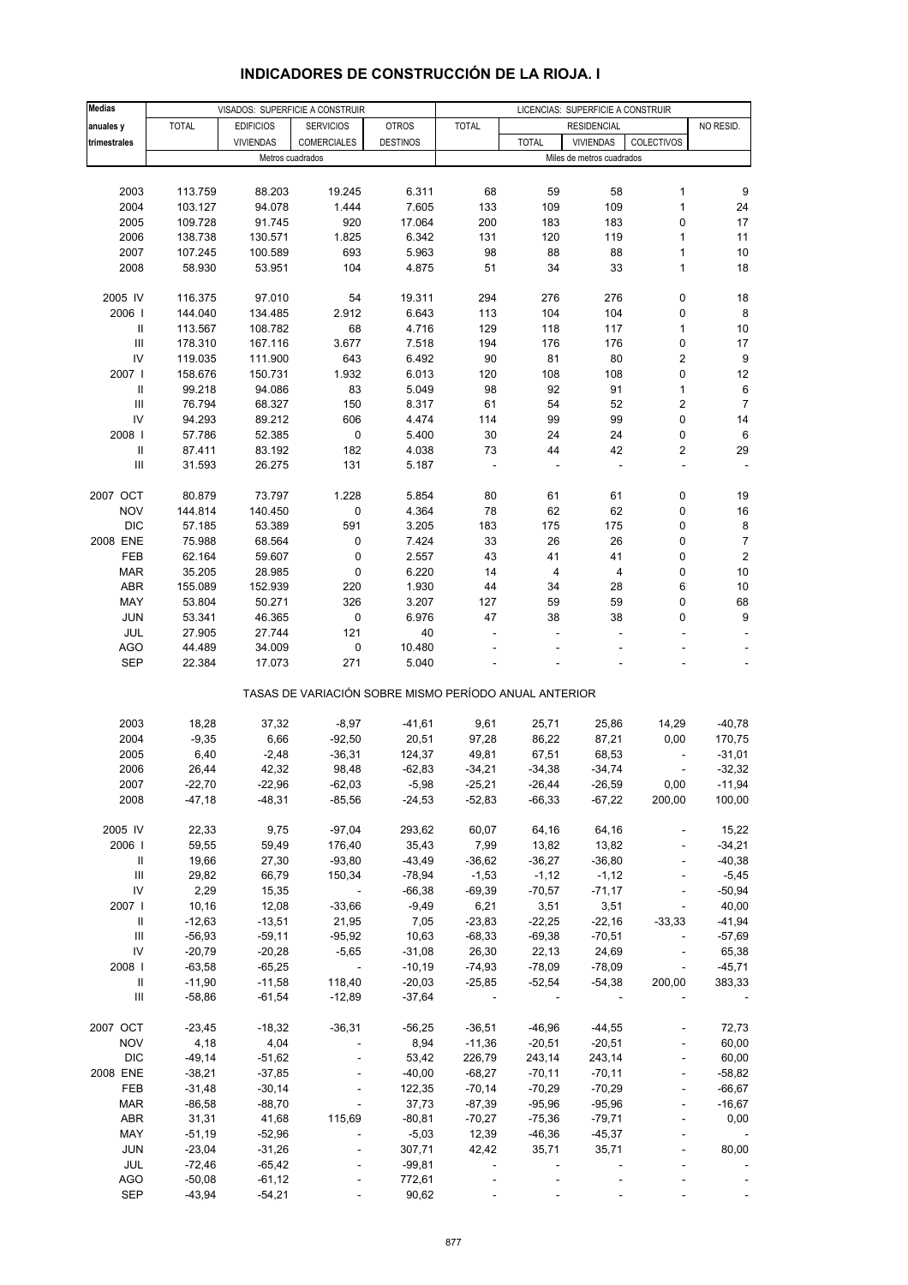| <b>Medias</b>                      |              |                  |                                                       | VISADOS: SUPERFICIE A CONSTRUIR<br>LICENCIAS: SUPERFICIE A CONSTRUIR |                          |              |                           |                          |                          |
|------------------------------------|--------------|------------------|-------------------------------------------------------|----------------------------------------------------------------------|--------------------------|--------------|---------------------------|--------------------------|--------------------------|
| anuales y                          | <b>TOTAL</b> | <b>EDIFICIOS</b> | <b>SERVICIOS</b>                                      | <b>OTROS</b>                                                         | <b>TOTAL</b>             |              | <b>RESIDENCIAL</b>        |                          | NO RESID.                |
| trimestrales                       |              | <b>VIVIENDAS</b> | COMERCIALES                                           | <b>DESTINOS</b>                                                      |                          | <b>TOTAL</b> | <b>VIVIENDAS</b>          | COLECTIVOS               |                          |
|                                    |              | Metros cuadrados |                                                       |                                                                      |                          |              | Miles de metros cuadrados |                          |                          |
|                                    |              |                  |                                                       |                                                                      |                          |              |                           |                          |                          |
| 2003                               | 113.759      | 88.203           | 19.245                                                | 6.311                                                                | 68                       | 59           | 58                        | 1                        | 9                        |
| 2004                               | 103.127      | 94.078           | 1.444                                                 | 7.605                                                                | 133                      | 109          | 109                       | $\mathbf{1}$             | 24                       |
| 2005                               | 109.728      | 91.745           | 920                                                   | 17.064                                                               | 200                      | 183          | 183                       | 0                        | 17                       |
| 2006                               | 138.738      | 130.571          | 1.825                                                 | 6.342                                                                | 131                      | 120          | 119                       | $\mathbf{1}$             | 11                       |
| 2007                               | 107.245      | 100.589          | 693                                                   | 5.963                                                                | 98                       | 88           | 88                        | $\mathbf{1}$             | $10$                     |
| 2008                               | 58.930       | 53.951           | 104                                                   | 4.875                                                                | 51                       | 34           | 33                        | 1                        | 18                       |
|                                    |              |                  |                                                       |                                                                      |                          |              |                           |                          |                          |
| 2005 IV                            | 116.375      | 97.010           | 54                                                    | 19.311                                                               | 294                      | 276          | 276                       | 0                        | 18                       |
| 2006                               | 144.040      | 134.485          | 2.912                                                 | 6.643                                                                | 113                      | 104          | 104                       | 0                        | $\bf 8$                  |
| Ш                                  | 113.567      | 108.782          | 68                                                    | 4.716                                                                | 129                      | 118          | 117                       | $\mathbf{1}$             | $10$                     |
| $\mathsf{III}$                     | 178.310      | 167.116          | 3.677                                                 | 7.518                                                                | 194                      | 176          | 176                       | 0                        | 17                       |
| IV                                 | 119.035      | 111.900          | 643                                                   | 6.492                                                                | 90                       | 81           | 80                        | $\overline{\mathbf{c}}$  | $\boldsymbol{9}$         |
| 2007                               | 158.676      | 150.731          | 1.932                                                 | 6.013                                                                | 120                      | 108          | 108                       | 0                        | 12                       |
| Ш                                  | 99.218       | 94.086           | 83                                                    | 5.049                                                                | 98                       | 92           | 91                        | $\mathbf{1}$             | $\,6\,$                  |
| Ш                                  | 76.794       | 68.327           | 150                                                   | 8.317                                                                | 61                       | 54           | 52                        | $\overline{\mathbf{c}}$  | $\overline{7}$           |
| IV                                 | 94.293       | 89.212           | 606                                                   | 4.474                                                                | 114                      | 99           | 99                        | 0                        | 14                       |
| 2008                               | 57.786       | 52.385           | 0                                                     | 5.400                                                                | 30                       | 24           | 24                        | 0                        | $\,6\,$                  |
| $\ensuremath{\mathsf{II}}$         | 87.411       | 83.192           | 182                                                   | 4.038                                                                | 73                       | 44           | 42                        | $\overline{\mathbf{c}}$  | 29                       |
| $\mathbf{III}$                     | 31.593       | 26.275           | 131                                                   | 5.187                                                                |                          | ÷,           |                           | ÷,                       |                          |
|                                    |              |                  |                                                       |                                                                      |                          |              |                           |                          |                          |
| 2007 OCT                           | 80.879       | 73.797           | 1.228                                                 | 5.854                                                                | 80                       | 61           | 61                        | 0                        | 19                       |
| <b>NOV</b>                         | 144.814      | 140.450          | 0                                                     | 4.364                                                                | 78                       | 62           | 62                        | 0                        | 16                       |
| <b>DIC</b>                         | 57.185       | 53.389           | 591                                                   | 3.205                                                                | 183                      | 175          | 175                       | 0                        | $\bf8$                   |
| 2008 ENE                           | 75.988       | 68.564           | 0                                                     | 7.424                                                                | 33                       | 26           | 26                        | 0                        | $\boldsymbol{7}$         |
| FEB                                | 62.164       | 59.607           | 0                                                     | 2.557                                                                | 43                       | 41           | 41                        | 0                        | $\sqrt{2}$               |
| <b>MAR</b>                         | 35.205       | 28.985           | 0                                                     | 6.220                                                                | 14                       | 4            | 4                         | 0                        | $10$                     |
| <b>ABR</b>                         | 155.089      | 152.939          | 220                                                   | 1.930                                                                | 44                       | 34           | 28                        | 6                        | $10$                     |
| MAY                                | 53.804       | 50.271           | 326                                                   | 3.207                                                                | 127                      | 59           | 59                        | 0                        | 68                       |
| <b>JUN</b>                         | 53.341       | 46.365           | 0                                                     | 6.976                                                                | 47                       | 38           | 38                        | 0                        | $\boldsymbol{9}$         |
| JUL                                | 27.905       | 27.744           | 121                                                   | 40                                                                   | $\overline{\phantom{a}}$ | ÷,           | ÷,                        | ÷,                       | $\overline{\phantom{a}}$ |
| <b>AGO</b>                         | 44.489       | 34.009           | 0                                                     | 10.480                                                               |                          |              |                           |                          |                          |
| <b>SEP</b>                         | 22.384       | 17.073           | 271                                                   | 5.040                                                                |                          |              |                           |                          |                          |
|                                    |              |                  |                                                       |                                                                      |                          |              |                           |                          |                          |
|                                    |              |                  | TASAS DE VARIACIÓN SOBRE MISMO PERÍODO ANUAL ANTERIOR |                                                                      |                          |              |                           |                          |                          |
|                                    |              |                  |                                                       |                                                                      |                          |              |                           |                          |                          |
| 2003                               | 18,28        | 37,32            | $-8,97$                                               | $-41,61$                                                             | 9,61                     | 25,71        | 25,86                     | 14,29                    | $-40,78$                 |
| 2004                               | $-9,35$      | 6,66             | $-92,50$                                              | 20,51                                                                | 97,28                    | 86,22        | 87,21                     | 0,00                     | 170,75                   |
| 2005                               | 6,40         | $-2,48$          | $-36,31$                                              | 124,37                                                               | 49,81                    | 67,51        | 68,53                     |                          | $-31,01$                 |
| 2006                               | 26,44        | 42,32            | 98,48                                                 | $-62,83$                                                             | $-34,21$                 | $-34,38$     | -34,74                    |                          | $-32,32$                 |
| 2007                               | -22,70       | -22,96           | -62,03                                                | -5,98                                                                | $-25,21$                 | -26,44       | $-26,59$                  | 0,00                     | -11,94                   |
| 2008                               | $-47,18$     | $-48,31$         | $-85,56$                                              | $-24,53$                                                             | $-52,83$                 | $-66,33$     | $-67,22$                  | 200,00                   | 100,00                   |
|                                    |              |                  |                                                       |                                                                      |                          |              |                           |                          |                          |
| 2005 IV                            | 22,33        | 9,75             | $-97,04$                                              | 293,62                                                               | 60,07                    | 64,16        | 64,16                     |                          | 15,22                    |
| 2006                               | 59,55        | 59,49            | 176,40                                                | 35,43                                                                | 7,99                     | 13,82        | 13,82                     |                          | $-34,21$                 |
| Ш                                  | 19,66        | 27,30            | $-93,80$                                              | $-43,49$                                                             | $-36,62$                 | $-36,27$     | $-36,80$                  | $\blacksquare$           | $-40,38$                 |
| Ш                                  | 29,82        | 66,79            | 150,34                                                | $-78,94$                                                             | $-1,53$                  | $-1,12$      | $-1,12$                   |                          | $-5,45$                  |
| IV                                 | 2,29         | 15,35            | $\blacksquare$                                        | $-66,38$                                                             | $-69,39$                 | $-70,57$     | $-71,17$                  | ÷,                       | $-50,94$                 |
| 2007 l                             | 10,16        | 12,08            | $-33,66$                                              | $-9,49$                                                              | 6,21                     | 3,51         | 3,51                      | ÷.                       | 40,00                    |
| Ш                                  | $-12,63$     | $-13,51$         | 21,95                                                 | 7,05                                                                 | $-23,83$                 | $-22,25$     | $-22,16$                  | $-33,33$                 | $-41,94$                 |
| $\ensuremath{\mathsf{III}}\xspace$ | $-56,93$     | $-59,11$         | $-95,92$                                              | 10,63                                                                | $-68,33$                 | $-69,38$     | $-70,51$                  | ÷,                       | $-57,69$                 |
| IV                                 | $-20,79$     | $-20,28$         | $-5,65$                                               | $-31,08$                                                             | 26,30                    | 22,13        | 24,69                     | $\blacksquare$           | 65,38                    |
| 2008                               | $-63,58$     | $-65,25$         | $\sim$                                                | $-10,19$                                                             | $-74,93$                 | $-78,09$     | $-78,09$                  | $\overline{\phantom{a}}$ | $-45,71$                 |
| $\, \parallel$                     | $-11,90$     | $-11,58$         | 118,40                                                | $-20,03$                                                             | $-25,85$                 | $-52,54$     | $-54,38$                  | 200,00                   | 383,33                   |
| Ш                                  | $-58,86$     | $-61,54$         | $-12,89$                                              | $-37,64$                                                             |                          |              |                           |                          |                          |
|                                    |              |                  |                                                       |                                                                      |                          |              |                           |                          |                          |
| 2007 OCT                           | $-23,45$     | $-18,32$         | $-36,31$                                              | $-56,25$                                                             | $-36,51$                 | $-46,96$     | $-44,55$                  |                          | 72,73                    |
| <b>NOV</b>                         | 4,18         | 4,04             |                                                       | 8,94                                                                 | $-11,36$                 | $-20,51$     | $-20,51$                  |                          | 60,00                    |
| <b>DIC</b>                         | $-49,14$     | $-51,62$         |                                                       | 53,42                                                                | 226,79                   | 243,14       | 243,14                    |                          | 60,00                    |
| 2008 ENE                           | $-38,21$     | $-37,85$         |                                                       | $-40,00$                                                             | $-68,27$                 | $-70,11$     | $-70,11$                  | ÷,                       | $-58,82$                 |
| FEB                                | $-31,48$     | $-30,14$         |                                                       | 122,35                                                               | $-70,14$                 | $-70,29$     | $-70,29$                  |                          | $-66,67$                 |
| <b>MAR</b>                         | $-86,58$     | $-88,70$         |                                                       | 37,73                                                                | $-87,39$                 | $-95,96$     | $-95,96$                  |                          | $-16,67$                 |
| <b>ABR</b>                         | 31,31        | 41,68            | 115,69                                                | $-80, 81$                                                            | $-70,27$                 | $-75,36$     | $-79,71$                  | ÷,                       | 0,00                     |
| MAY                                | $-51,19$     | $-52,96$         |                                                       | $-5,03$                                                              | 12,39                    | $-46,36$     | $-45,37$                  |                          |                          |
| <b>JUN</b>                         | $-23,04$     | $-31,26$         |                                                       | 307,71                                                               | 42,42                    | 35,71        | 35,71                     |                          | 80,00                    |
| JUL                                | $-72,46$     | $-65,42$         | $\blacksquare$                                        | $-99,81$                                                             | $\overline{\phantom{a}}$ |              |                           | $\blacksquare$           |                          |
| <b>AGO</b>                         | $-50,08$     | $-61,12$         |                                                       | 772,61                                                               |                          |              |                           |                          |                          |
| <b>SEP</b>                         | $-43,94$     | $-54,21$         |                                                       | 90,62                                                                |                          |              |                           |                          |                          |

# **INDICADORES DE CONSTRUCCIÓN DE LA RIOJA. I**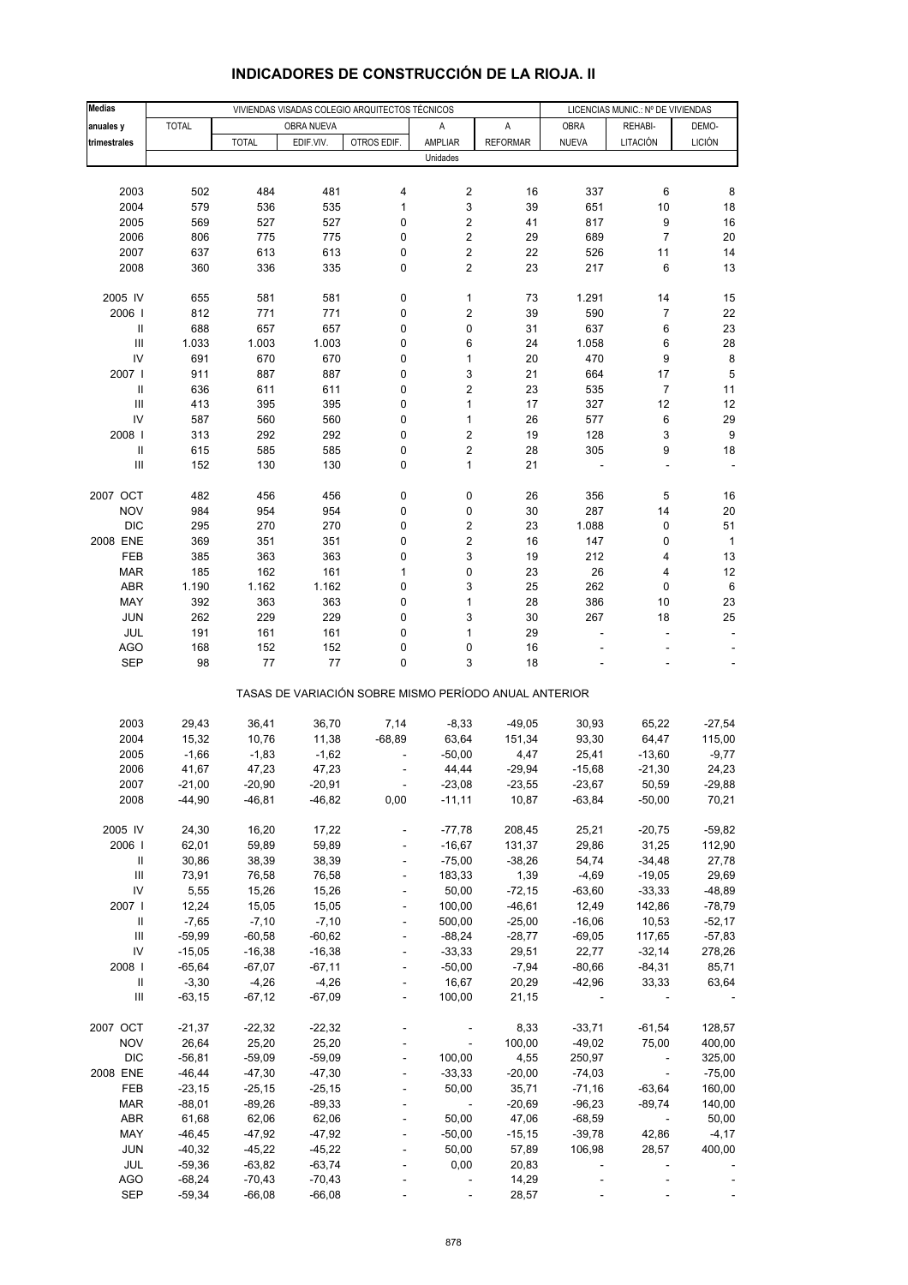| <b>Medias</b>                           |                      |                      |                      | VIVIENDAS VISADAS COLEGIO ARQUITECTOS TÉCNICOS        |                          |                   | LICENCIAS MUNIC.: Nº DE VIVIENDAS |                          |                          |
|-----------------------------------------|----------------------|----------------------|----------------------|-------------------------------------------------------|--------------------------|-------------------|-----------------------------------|--------------------------|--------------------------|
| anuales y                               | <b>TOTAL</b>         |                      | OBRA NUEVA           |                                                       | Α                        | A                 | <b>OBRA</b>                       | REHABI-                  | DEMO-                    |
| trimestrales                            |                      | <b>TOTAL</b>         | EDIF.VIV.            | OTROS EDIF.                                           | AMPLIAR                  | <b>REFORMAR</b>   | <b>NUEVA</b>                      | LITACIÓN                 | <b>LICIÓN</b>            |
|                                         |                      |                      |                      |                                                       | Unidades                 |                   |                                   |                          |                          |
|                                         |                      |                      |                      |                                                       |                          |                   |                                   |                          |                          |
| 2003                                    | 502                  | 484                  | 481                  | 4                                                     | 2                        | 16                | 337                               | 6                        | 8                        |
| 2004                                    | 579                  | 536                  | 535                  | 1                                                     | 3                        | 39                | 651                               | $10$                     | 18                       |
| 2005                                    | 569                  | 527                  | 527                  | 0                                                     | 2                        | 41                | 817                               | 9                        | 16                       |
| 2006                                    | 806                  | 775                  | 775                  | 0                                                     | 2                        | 29                | 689                               | $\overline{7}$           | 20                       |
| 2007                                    | 637                  | 613                  | 613                  | 0                                                     | 2                        | 22                | 526                               | 11                       | 14                       |
| 2008                                    | 360                  | 336                  | 335                  | 0                                                     | 2                        | 23                | 217                               | 6                        | 13                       |
|                                         |                      |                      |                      |                                                       |                          |                   |                                   |                          |                          |
| 2005 IV                                 | 655                  | 581                  | 581                  | 0                                                     | 1                        | 73                | 1.291                             | 14                       | 15                       |
| 2006                                    | 812                  | 771                  | 771                  | 0                                                     | 2                        | 39                | 590                               | $\overline{7}$           | 22                       |
| $\ensuremath{\mathsf{II}}$              | 688                  | 657                  | 657                  | 0                                                     | 0                        | 31                | 637                               | 6                        | 23                       |
| $\ensuremath{\mathsf{III}}\xspace$      | 1.033                | 1.003                | 1.003                | 0                                                     | 6                        | 24                | 1.058                             | 6                        | 28                       |
| IV                                      | 691                  | 670                  | 670                  | 0                                                     | $\mathbf{1}$             | 20                | 470                               | 9                        | $\bf8$                   |
| 2007 l                                  | 911                  | 887                  | 887                  | 0                                                     | 3                        | 21                | 664                               | 17                       | 5                        |
| $\ensuremath{\mathsf{II}}$              | 636                  | 611                  | 611                  | 0                                                     | 2                        | 23                | 535                               | $\overline{7}$           | 11                       |
| $\ensuremath{\mathsf{III}}\xspace$      | 413                  | 395                  | 395                  | 0                                                     | $\mathbf{1}$             | 17                | 327                               | 12                       | 12                       |
| IV                                      | 587                  | 560                  | 560                  | 0                                                     | $\mathbf{1}$             | 26                | 577                               | 6                        | 29                       |
| 2008                                    | 313                  | 292                  | 292                  | 0                                                     | 2                        | 19                | 128                               | 3                        | $\boldsymbol{9}$         |
| $\sf II$<br>Ш                           | 615                  | 585                  | 585                  | 0<br>0                                                | 2<br>1                   | 28<br>21          | 305                               | 9<br>÷,                  | 18                       |
|                                         | 152                  | 130                  | 130                  |                                                       |                          |                   |                                   |                          |                          |
| 2007 OCT                                | 482                  | 456                  | 456                  | 0                                                     | 0                        | 26                | 356                               | 5                        | 16                       |
| <b>NOV</b>                              | 984                  | 954                  | 954                  | 0                                                     | 0                        | 30                | 287                               | 14                       | 20                       |
| <b>DIC</b>                              | 295                  | 270                  | 270                  | 0                                                     | 2                        | 23                | 1.088                             | 0                        | 51                       |
| 2008 ENE                                | 369                  | 351                  | 351                  | 0                                                     | 2                        | 16                | 147                               | 0                        | $\mathbf{1}$             |
| <b>FEB</b>                              | 385                  | 363                  | 363                  | 0                                                     | 3                        | 19                | 212                               | 4                        | 13                       |
| <b>MAR</b>                              | 185                  | 162                  | 161                  | 1                                                     | 0                        | 23                | 26                                | 4                        | 12                       |
| ABR                                     | 1.190                | 1.162                | 1.162                | 0                                                     | 3                        | 25                | 262                               | 0                        | $\,6\,$                  |
| MAY                                     | 392                  | 363                  | 363                  | 0                                                     | 1                        | 28                | 386                               | 10                       | 23                       |
| <b>JUN</b>                              | 262                  | 229                  | 229                  | 0                                                     | 3                        | 30                | 267                               | 18                       | 25                       |
| JUL                                     | 191                  | 161                  | 161                  | 0                                                     | 1                        | 29                | ÷,                                | ÷                        | $\overline{\phantom{a}}$ |
| <b>AGO</b>                              | 168                  | 152                  | 152                  | 0                                                     | 0                        | 16                |                                   |                          |                          |
| <b>SEP</b>                              | 98                   | 77                   | 77                   | 0                                                     | 3                        | 18                |                                   |                          |                          |
|                                         |                      |                      |                      | TASAS DE VARIACIÓN SOBRE MISMO PERÍODO ANUAL ANTERIOR |                          |                   |                                   |                          |                          |
| 2003                                    | 29,43                | 36,41                | 36,70                | 7,14                                                  | $-8,33$                  | $-49,05$          | 30,93                             | 65,22                    | $-27,54$                 |
| 2004                                    | 15,32                | 10,76                | 11,38                | $-68,89$                                              | 63,64                    | 151,34            | 93,30                             | 64,47                    | 115,00                   |
| 2005                                    | $-1,66$              | $-1,83$              | $-1,62$              |                                                       | $-50,00$                 | 4,47              | 25,41                             | $-13,60$                 | $-9,77$                  |
| 2006                                    | 41,67                | 47,23                | 47,23                |                                                       | 44,44                    | $-29,94$          | $-15,68$                          | $-21,30$                 | 24,23                    |
| 2007                                    | $-21,00$             | $-20,90$             | -20,91               |                                                       | $-23,08$                 | $-23,55$          | $-23,67$                          | 50,59                    | -29,88                   |
| 2008                                    | $-44,90$             | $-46,81$             | $-46,82$             | 0,00                                                  | $-11,11$                 | 10,87             | $-63,84$                          | $-50,00$                 | 70,21                    |
|                                         |                      |                      |                      |                                                       |                          |                   |                                   |                          |                          |
| 2005 IV                                 | 24,30                | 16,20                | 17,22                |                                                       | $-77,78$                 | 208,45            | 25,21                             | $-20,75$                 | $-59,82$                 |
| 2006                                    | 62,01                | 59,89                | 59,89                |                                                       | $-16,67$                 | 131,37            | 29,86                             | 31,25                    | 112,90                   |
| Ш                                       | 30,86                | 38,39                | 38,39                | $\blacksquare$                                        | $-75,00$                 | $-38,26$          | 54,74                             | $-34,48$                 | 27,78                    |
| $\ensuremath{\mathsf{III}}\xspace$      | 73,91                | 76,58                | 76,58                |                                                       | 183,33                   | 1,39              | $-4,69$                           | $-19,05$                 | 29,69                    |
| IV                                      | 5,55                 | 15,26                | 15,26                |                                                       | 50,00                    | $-72,15$          | $-63,60$                          | $-33,33$                 | $-48,89$                 |
| 2007 l                                  | 12,24                | 15,05                | 15,05                | $\blacksquare$                                        | 100,00                   | $-46,61$          | 12,49                             | 142,86                   | $-78,79$                 |
| Ш<br>$\ensuremath{\mathsf{III}}\xspace$ | $-7,65$              | $-7,10$              | $-7,10$              |                                                       | 500,00                   | $-25,00$          | $-16,06$                          | 10,53                    | $-52,17$                 |
| IV                                      | $-59,99$<br>$-15,05$ | $-60,58$<br>$-16,38$ | $-60,62$<br>$-16,38$ | $\blacksquare$<br>$\blacksquare$                      | $-88,24$<br>$-33,33$     | $-28,77$<br>29,51 | $-69,05$<br>22,77                 | 117,65<br>$-32,14$       | $-57,83$<br>278,26       |
| 2008                                    | $-65,64$             | $-67,07$             | $-67,11$             |                                                       | $-50,00$                 | $-7,94$           | $-80,66$                          | $-84,31$                 | 85,71                    |
| Ш                                       | $-3,30$              | $-4,26$              | $-4,26$              |                                                       | 16,67                    | 20,29             | $-42,96$                          | 33,33                    | 63,64                    |
| Ш                                       | $-63,15$             | $-67,12$             | $-67,09$             | $\overline{\phantom{a}}$                              | 100,00                   | 21,15             | $\overline{\phantom{a}}$          |                          |                          |
|                                         |                      |                      |                      |                                                       |                          |                   |                                   |                          |                          |
| 2007 OCT                                | $-21,37$             | $-22,32$             | $-22,32$             |                                                       |                          | 8,33              | $-33,71$                          | -61,54                   | 128,57                   |
| <b>NOV</b>                              | 26,64                | 25,20                | 25,20                |                                                       | $\overline{\phantom{a}}$ | 100,00            | $-49,02$                          | 75,00                    | 400,00                   |
| <b>DIC</b>                              | $-56,81$             | $-59,09$             | $-59,09$             |                                                       | 100,00                   | 4,55              | 250,97                            | $\overline{\phantom{a}}$ | 325,00                   |
| 2008 ENE                                | $-46, 44$            | $-47,30$             | $-47,30$             | $\overline{a}$                                        | $-33,33$                 | $-20,00$          | $-74,03$                          | $\Box$                   | $-75,00$                 |
| FEB                                     | $-23,15$             | $-25,15$             | $-25,15$             |                                                       | 50,00                    | 35,71             | $-71,16$                          | $-63,64$                 | 160,00                   |
| <b>MAR</b>                              | $-88,01$             | $-89,26$             | $-89,33$             |                                                       | $\overline{\phantom{a}}$ | $-20,69$          | $-96,23$                          | $-89,74$                 | 140,00                   |
| <b>ABR</b>                              | 61,68                | 62,06                | 62,06                | $\blacksquare$                                        | 50,00                    | 47,06             | $-68,59$                          | $\overline{\phantom{a}}$ | 50,00                    |
| MAY                                     | $-46,45$             | $-47,92$             | $-47,92$             |                                                       | $-50,00$                 | $-15, 15$         | $-39,78$                          | 42,86                    | $-4,17$                  |
| <b>JUN</b>                              | $-40,32$             | $-45,22$             | $-45,22$             |                                                       | 50,00                    | 57,89             | 106,98                            | 28,57                    | 400,00                   |
| JUL                                     | $-59,36$             | $-63,82$             | $-63,74$             |                                                       | 0,00                     | 20,83             |                                   |                          |                          |
| <b>AGO</b>                              | $-68,24$             | $-70,43$             | $-70,43$             |                                                       |                          | 14,29             |                                   |                          |                          |
| SEP                                     | $-59,34$             | $-66,08$             | $-66,08$             |                                                       |                          | 28,57             |                                   |                          |                          |

# **INDICADORES DE CONSTRUCCIÓN DE LA RIOJA. II**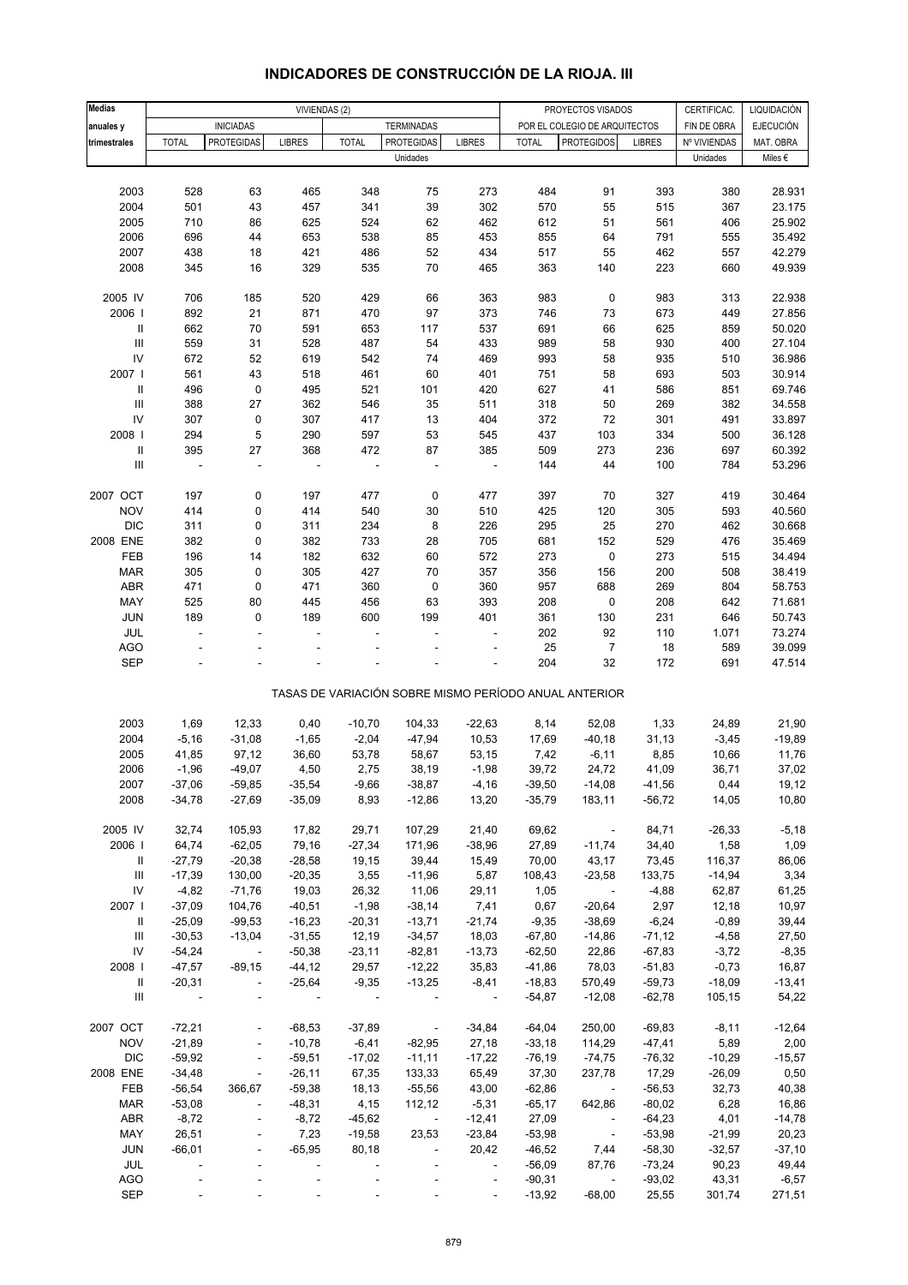| <b>Medias</b>                      |                | VIVIENDAS (2)            |                              |              |                                                       |                          | CERTIFICAC.<br>PROYECTOS VISADOS |                               |               |              | LIQUIDACIÓN |
|------------------------------------|----------------|--------------------------|------------------------------|--------------|-------------------------------------------------------|--------------------------|----------------------------------|-------------------------------|---------------|--------------|-------------|
|                                    |                |                          |                              |              |                                                       |                          |                                  |                               |               |              | EJECUCIÓN   |
| anuales y                          |                | <b>INICIADAS</b>         |                              |              | <b>TERMINADAS</b>                                     |                          |                                  | POR EL COLEGIO DE ARQUITECTOS |               | FIN DE OBRA  |             |
| trimestrales                       | <b>TOTAL</b>   | <b>PROTEGIDAS</b>        | <b>LIBRES</b>                | <b>TOTAL</b> | <b>PROTEGIDAS</b>                                     | <b>LIBRES</b>            | <b>TOTAL</b>                     | <b>PROTEGIDOS</b>             | <b>LIBRES</b> | Nº VIVIENDAS | MAT. OBRA   |
|                                    |                |                          |                              |              | Unidades                                              |                          |                                  |                               |               | Unidades     | Miles €     |
|                                    |                |                          |                              |              |                                                       |                          |                                  |                               |               |              |             |
| 2003                               | 528            | 63                       | 465                          | 348          | 75                                                    | 273                      | 484                              | 91                            | 393           | 380          | 28.931      |
| 2004                               | 501            | 43                       | 457                          | 341          | 39                                                    | 302                      | 570                              | 55                            | 515           | 367          | 23.175      |
| 2005                               | 710            | 86                       | 625                          | 524          | 62                                                    | 462                      | 612                              | 51                            | 561           | 406          | 25.902      |
| 2006                               | 696            | 44                       | 653                          | 538          | 85                                                    | 453                      | 855                              | 64                            | 791           | 555          | 35.492      |
| 2007                               | 438            | 18                       | 421                          | 486          | 52                                                    | 434                      | 517                              | 55                            | 462           | 557          | 42.279      |
| 2008                               | 345            | 16                       | 329                          | 535          | 70                                                    | 465                      | 363                              | 140                           | 223           | 660          | 49.939      |
|                                    |                |                          |                              |              |                                                       |                          |                                  |                               |               |              |             |
| 2005 IV                            | 706            | 185                      | 520                          | 429          | 66                                                    | 363                      | 983                              | $\pmb{0}$                     | 983           | 313          | 22.938      |
| 2006                               | 892            | 21                       | 871                          | 470          | 97                                                    | 373                      | 746                              | 73                            | 673           | 449          | 27.856      |
| $\ensuremath{\mathsf{II}}$         | 662            | 70                       | 591                          | 653          | 117                                                   | 537                      | 691                              | 66                            | 625           | 859          | 50.020      |
| $\ensuremath{\mathsf{III}}\xspace$ | 559            | 31                       | 528                          | 487          | 54                                                    | 433                      | 989                              | 58                            | 930           | 400          | 27.104      |
|                                    |                |                          |                              |              |                                                       |                          |                                  |                               |               |              |             |
| ${\sf IV}$                         | 672            | 52                       | 619                          | 542          | 74                                                    | 469                      | 993                              | 58                            | 935           | 510          | 36.986      |
| 2007 l                             | 561            | 43                       | 518                          | 461          | 60                                                    | 401                      | 751                              | 58                            | 693           | 503          | 30.914      |
| $\ensuremath{\mathsf{II}}$         | 496            | 0                        | 495                          | 521          | 101                                                   | 420                      | 627                              | 41                            | 586           | 851          | 69.746      |
| $\ensuremath{\mathsf{III}}\xspace$ | 388            | 27                       | 362                          | 546          | 35                                                    | 511                      | 318                              | 50                            | 269           | 382          | 34.558      |
| ${\sf IV}$                         | 307            | 0                        | 307                          | 417          | 13                                                    | 404                      | 372                              | 72                            | 301           | 491          | 33.897      |
| 2008                               | 294            | 5                        | 290                          | 597          | 53                                                    | 545                      | 437                              | 103                           | 334           | 500          | 36.128      |
| $\ensuremath{\mathsf{II}}$         | 395            | 27                       | 368                          | 472          | 87                                                    | 385                      | 509                              | 273                           | 236           | 697          | 60.392      |
| $\ensuremath{\mathsf{III}}\xspace$ | $\blacksquare$ | ÷,                       | ÷,                           |              | $\overline{\phantom{a}}$                              | $\overline{\phantom{a}}$ | 144                              | 44                            | 100           | 784          | 53.296      |
|                                    |                |                          |                              |              |                                                       |                          |                                  |                               |               |              |             |
| 2007 OCT                           | 197            | 0                        | 197                          | 477          | 0                                                     | 477                      | 397                              | 70                            | 327           | 419          | 30.464      |
| <b>NOV</b>                         | 414            | 0                        | 414                          | 540          | $30\,$                                                | 510                      | 425                              | 120                           | 305           | 593          | 40.560      |
| <b>DIC</b>                         | 311            | 0                        | 311                          | 234          | 8                                                     | 226                      | 295                              | 25                            | 270           | 462          | 30.668      |
| 2008 ENE                           | 382            | 0                        | 382                          | 733          |                                                       |                          |                                  | 152                           | 529           |              |             |
|                                    |                |                          |                              |              | 28                                                    | 705                      | 681                              |                               |               | 476          | 35.469      |
| FEB                                | 196            | 14                       | 182                          | 632          | 60                                                    | 572                      | 273                              | 0                             | 273           | 515          | 34.494      |
| <b>MAR</b>                         | 305            | 0                        | 305                          | 427          | 70                                                    | 357                      | 356                              | 156                           | 200           | 508          | 38.419      |
| ABR                                | 471            | 0                        | 471                          | 360          | 0                                                     | 360                      | 957                              | 688                           | 269           | 804          | 58.753      |
| MAY                                | 525            | 80                       | 445                          | 456          | 63                                                    | 393                      | 208                              | 0                             | 208           | 642          | 71.681      |
| JUN                                | 189            | 0                        | 189                          | 600          | 199                                                   | 401                      | 361                              | 130                           | 231           | 646          | 50.743      |
| JUL                                | L.             | ä,                       |                              |              |                                                       | ÷                        | 202                              | 92                            | 110           | 1.071        | 73.274      |
| <b>AGO</b>                         |                |                          |                              |              |                                                       |                          | 25                               | $\overline{7}$                | 18            | 589          | 39.099      |
| <b>SEP</b>                         |                |                          |                              |              |                                                       | ä,                       | 204                              | 32                            | 172           | 691          | 47.514      |
|                                    |                |                          |                              |              |                                                       |                          |                                  |                               |               |              |             |
|                                    |                |                          |                              |              | TASAS DE VARIACIÓN SOBRE MISMO PERÍODO ANUAL ANTERIOR |                          |                                  |                               |               |              |             |
|                                    |                |                          |                              |              |                                                       |                          |                                  |                               |               |              |             |
| 2003                               | 1,69           | 12,33                    | 0,40                         | $-10,70$     | 104,33                                                | $-22,63$                 | 8,14                             | 52,08                         | 1,33          | 24,89        | 21,90       |
| 2004                               | $-5,16$        | $-31,08$                 | $-1,65$                      | $-2,04$      | $-47,94$                                              | 10,53                    | 17,69                            | $-40,18$                      | 31,13         | $-3,45$      | $-19,89$    |
| 2005                               | 41,85          | 97,12                    | 36,60                        | 53,78        | 58,67                                                 | 53,15                    | 7,42                             | $-6, 11$                      | 8,85          | 10,66        | 11,76       |
| 2006                               | $-1,96$        | $-49,07$                 | 4,50                         | 2,75         | 38,19                                                 | $-1,98$                  | 39,72                            | 24,72                         | 41,09         | 36,71        | 37,02       |
|                                    |                |                          |                              |              |                                                       |                          |                                  |                               |               |              |             |
| 2007                               | $-37,06$       | $-59,85$                 | $-35,54$                     | $-9,66$      | $-38,87$                                              | $-4,16$                  | $-39,50$                         | $-14,08$                      | $-41,56$      | 0,44         | 19,12       |
| 2008                               | $-34,78$       | $-27,69$                 | $-35,09$                     | 8,93         | $-12,86$                                              | 13,20                    | $-35,79$                         | 183,11                        | $-56,72$      | 14,05        | 10,80       |
|                                    |                |                          |                              |              |                                                       |                          |                                  |                               |               |              |             |
| 2005 IV                            | 32,74          | 105,93                   | 17,82                        | 29,71        | 107,29                                                | 21,40                    | 69,62                            | $\sim$                        | 84,71         | $-26,33$     | $-5,18$     |
| 2006                               | 64,74          | $-62,05$                 | 79,16                        | $-27,34$     | 171,96                                                | $-38,96$                 | 27,89                            | $-11,74$                      | 34,40         | 1,58         | 1,09        |
| Ш                                  | $-27,79$       | $-20,38$                 | $-28,58$                     | 19,15        | 39,44                                                 | 15,49                    | 70,00                            | 43,17                         | 73,45         | 116,37       | 86,06       |
| Ш                                  | $-17,39$       | 130,00                   | $-20,35$                     | 3,55         | $-11,96$                                              | 5,87                     | 108,43                           | $-23,58$                      | 133,75        | $-14,94$     | 3,34        |
| ${\sf IV}$                         | $-4,82$        | $-71,76$                 | 19,03                        | 26,32        | 11,06                                                 | 29,11                    | 1,05                             | $\overline{\phantom{a}}$      | $-4,88$       | 62,87        | 61,25       |
| 2007                               | $-37,09$       | 104,76                   | $-40,51$                     | $-1,98$      | $-38,14$                                              | 7,41                     | 0,67                             | $-20,64$                      | 2,97          | 12,18        | 10,97       |
| Ш                                  | $-25,09$       | $-99,53$                 | $-16,23$                     | $-20,31$     | $-13,71$                                              | $-21,74$                 | $-9,35$                          | $-38,69$                      | $-6,24$       | $-0,89$      | 39,44       |
| Ш                                  | $-30,53$       | $-13,04$                 | $-31,55$                     | 12,19        | $-34,57$                                              | 18,03                    | $-67,80$                         | $-14,86$                      | $-71,12$      | $-4,58$      | 27,50       |
| ${\sf IV}$                         | $-54,24$       | $\blacksquare$           | $-50,38$                     | $-23,11$     | $-82,81$                                              | $-13,73$                 | $-62,50$                         | 22,86                         | $-67,83$      | $-3,72$      | $-8,35$     |
| 2008                               | $-47,57$       | $-89,15$                 | $-44, 12$                    | 29,57        | $-12,22$                                              | 35,83                    | $-41,86$                         | 78,03                         | $-51,83$      | $-0,73$      | 16,87       |
|                                    |                |                          |                              |              |                                                       |                          |                                  |                               |               |              |             |
| Ш                                  | $-20,31$       | $\overline{\phantom{a}}$ | $-25,64$                     | $-9,35$      | $-13,25$                                              | $-8,41$                  | $-18,83$                         | 570,49                        | $-59,73$      | $-18,09$     | $-13,41$    |
| Ш                                  | $\sim$ $-$     | $\overline{\phantom{a}}$ | $\sim$                       | $\sim$       |                                                       | $\sim$ $-$               | $-54,87$                         | $-12,08$                      | $-62,78$      | 105,15       | 54,22       |
|                                    |                |                          |                              |              |                                                       |                          |                                  |                               |               |              |             |
| 2007 OCT                           | $-72,21$       | $\overline{\phantom{a}}$ | $-68,53$                     | $-37,89$     | $\overline{\phantom{a}}$                              | $-34,84$                 | $-64,04$                         | 250,00                        | $-69,83$      | $-8,11$      | $-12,64$    |
| <b>NOV</b>                         | $-21,89$       | $\Box$                   | $-10,78$                     | $-6,41$      | $-82,95$                                              | 27,18                    | $-33,18$                         | 114,29                        | $-47,41$      | 5,89         | 2,00        |
| <b>DIC</b>                         | $-59,92$       | $\Box$                   | $-59,51$                     | $-17,02$     | $-11,11$                                              | $-17,22$                 | $-76,19$                         | $-74,75$                      | $-76,32$      | $-10,29$     | $-15,57$    |
| 2008 ENE                           | $-34,48$       | $\overline{\phantom{a}}$ | $-26,11$                     | 67,35        | 133,33                                                | 65,49                    | 37,30                            | 237,78                        | 17,29         | $-26,09$     | 0,50        |
| FEB                                | $-56,54$       | 366,67                   | $-59,38$                     | 18,13        | $-55,56$                                              | 43,00                    | $-62,86$                         | $\overline{\phantom{a}}$      | $-56,53$      | 32,73        | 40,38       |
| <b>MAR</b>                         | $-53,08$       | $\blacksquare$           | $-48,31$                     | 4,15         | 112,12                                                | $-5,31$                  | $-65,17$                         | 642,86                        | $-80,02$      | 6,28         | 16,86       |
| ABR                                | $-8,72$        | $\overline{\phantom{a}}$ | $-8,72$                      | $-45,62$     | $\overline{\phantom{a}}$                              | $-12,41$                 | 27,09                            | $\overline{\phantom{a}}$      | $-64,23$      | 4,01         | $-14,78$    |
| MAY                                | 26,51          | $\overline{\phantom{a}}$ | 7,23                         | $-19,58$     | 23,53                                                 | $-23,84$                 | $-53,98$                         | $\overline{\phantom{a}}$      | $-53,98$      | $-21,99$     | 20,23       |
| JUN                                | $-66,01$       | $\overline{\phantom{a}}$ | $-65,95$                     | 80,18        | $\blacksquare$                                        | 20,42                    | $-46,52$                         | 7,44                          | $-58,30$      | $-32,57$     | $-37,10$    |
| JUL                                |                |                          | $\overline{\phantom{a}}$     |              |                                                       | $\overline{\phantom{a}}$ | $-56,09$                         | 87,76                         | $-73,24$      | 90,23        | 49,44       |
|                                    |                |                          | ÷,                           |              |                                                       | $\Box$                   |                                  | $\blacksquare$                |               |              |             |
| AGO                                |                |                          |                              |              |                                                       |                          | $-90,31$                         |                               | $-93,02$      | 43,31        | $-6,57$     |
| <b>SEP</b>                         |                |                          | $\qquad \qquad \blacksquare$ |              |                                                       | $\blacksquare$           | $-13,92$                         | $-68,00$                      | 25,55         | 301,74       | 271,51      |

### **INDICADORES DE CONSTRUCCIÓN DE LA RIOJA. III**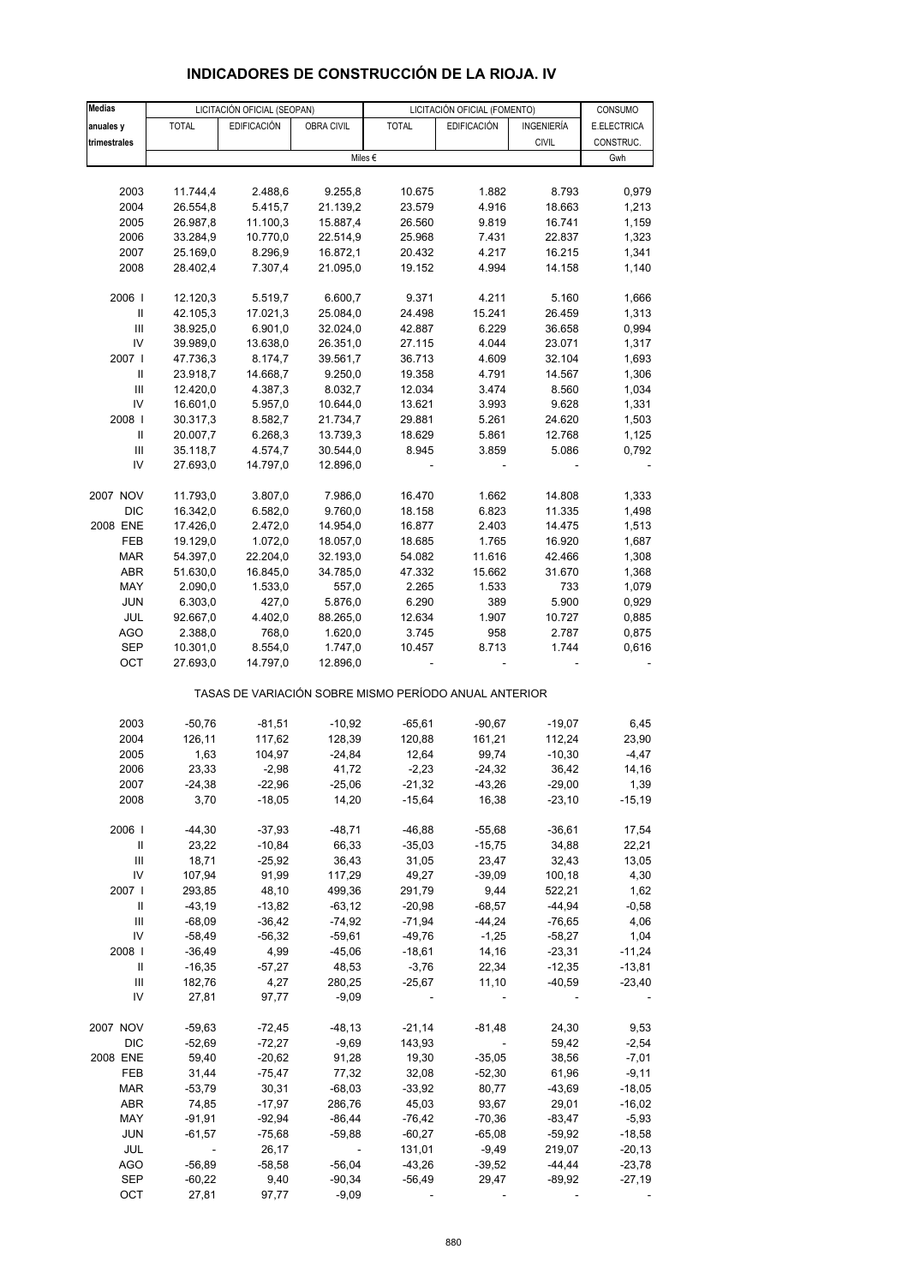| <b>Medias</b>                      |                          | LICITACIÓN OFICIAL (SEOPAN) |            |                                                       | LICITACIÓN OFICIAL (FOMENTO) |                   | CONSUMO     |
|------------------------------------|--------------------------|-----------------------------|------------|-------------------------------------------------------|------------------------------|-------------------|-------------|
| anuales y                          | <b>TOTAL</b>             | <b>EDIFICACIÓN</b>          | OBRA CIVIL | <b>TOTAL</b>                                          | <b>EDIFICACIÓN</b>           | <b>INGENIERÍA</b> | E.ELECTRICA |
| trimestrales                       |                          |                             |            |                                                       |                              | <b>CIVIL</b>      | CONSTRUC.   |
|                                    |                          |                             |            | Miles $\epsilon$                                      |                              |                   | Gwh         |
|                                    |                          |                             |            |                                                       |                              |                   |             |
| 2003                               | 11.744,4                 | 2.488,6                     | 9.255,8    | 10.675                                                | 1.882                        | 8.793             | 0,979       |
| 2004                               | 26.554,8                 | 5.415,7                     | 21.139,2   | 23.579                                                | 4.916                        | 18.663            | 1,213       |
| 2005                               | 26.987,8                 | 11.100,3                    | 15.887,4   | 26.560                                                | 9.819                        | 16.741            | 1,159       |
| 2006                               | 33.284,9                 | 10.770,0                    | 22.514,9   | 25.968                                                | 7.431                        | 22.837            | 1,323       |
| 2007                               | 25.169,0                 | 8.296,9                     | 16.872,1   | 20.432                                                | 4.217                        | 16.215            | 1,341       |
| 2008                               | 28.402,4                 | 7.307,4                     | 21.095,0   | 19.152                                                | 4.994                        | 14.158            | 1,140       |
|                                    |                          |                             |            |                                                       |                              |                   |             |
| 2006                               | 12.120,3                 | 5.519,7                     | 6.600,7    | 9.371                                                 | 4.211                        | 5.160             | 1,666       |
| $\ensuremath{\mathsf{II}}$         | 42.105,3                 | 17.021,3                    | 25.084,0   | 24.498                                                | 15.241                       | 26.459            | 1,313       |
| $\ensuremath{\mathsf{III}}\xspace$ | 38.925,0                 | 6.901,0                     | 32.024,0   | 42.887                                                | 6.229                        | 36.658            | 0,994       |
| IV                                 | 39.989,0                 | 13.638,0                    | 26.351,0   | 27.115                                                | 4.044                        | 23.071            | 1,317       |
| 2007 l                             | 47.736,3                 | 8.174,7                     | 39.561,7   | 36.713                                                | 4.609                        | 32.104            | 1,693       |
| Ш                                  | 23.918,7                 | 14.668,7                    | 9.250,0    | 19.358                                                | 4.791                        | 14.567            | 1,306       |
| Ш                                  | 12.420,0                 | 4.387,3                     | 8.032,7    | 12.034                                                | 3.474                        | 8.560             | 1,034       |
| IV                                 | 16.601,0                 | 5.957,0                     | 10.644,0   | 13.621                                                | 3.993                        | 9.628             | 1,331       |
| 2008                               | 30.317,3                 | 8.582,7                     | 21.734,7   | 29.881                                                | 5.261                        | 24.620            | 1,503       |
| Ш                                  | 20.007,7                 | 6.268,3                     | 13.739,3   | 18.629                                                | 5.861                        | 12.768            | 1,125       |
| $\ensuremath{\mathsf{III}}\xspace$ | 35.118,7                 | 4.574,7                     | 30.544,0   | 8.945                                                 | 3.859                        | 5.086             | 0,792       |
| IV                                 | 27.693,0                 | 14.797,0                    | 12.896,0   |                                                       |                              |                   |             |
|                                    |                          |                             |            |                                                       |                              |                   |             |
| 2007 NOV                           | 11.793,0                 | 3.807,0                     | 7.986,0    | 16.470                                                | 1.662                        | 14.808            | 1,333       |
| DIC                                | 16.342,0                 | 6.582,0                     | 9.760,0    | 18.158                                                | 6.823                        | 11.335            | 1,498       |
| 2008 ENE                           | 17.426,0                 | 2.472,0                     | 14.954,0   | 16.877                                                | 2.403                        | 14.475            | 1,513       |
| FEB                                | 19.129,0                 | 1.072,0                     | 18.057,0   | 18.685                                                | 1.765                        | 16.920            | 1,687       |
| <b>MAR</b>                         | 54.397,0                 | 22.204,0                    | 32.193,0   | 54.082                                                | 11.616                       | 42.466            | 1,308       |
| ABR                                | 51.630,0                 | 16.845,0                    | 34.785,0   | 47.332                                                | 15.662                       | 31.670            | 1,368       |
| MAY                                | 2.090,0                  | 1.533,0                     | 557,0      | 2.265                                                 | 1.533                        | 733               | 1,079       |
| <b>JUN</b>                         | 6.303,0                  | 427,0                       | 5.876,0    | 6.290                                                 | 389                          | 5.900             | 0,929       |
| <b>JUL</b>                         | 92.667,0                 | 4.402,0                     | 88.265,0   | 12.634                                                | 1.907                        | 10.727            | 0,885       |
| AGO                                | 2.388,0                  | 768,0                       | 1.620,0    | 3.745                                                 | 958                          | 2.787             | 0,875       |
| SEP                                | 10.301,0                 | 8.554,0                     | 1.747,0    | 10.457                                                | 8.713                        | 1.744             | 0,616       |
| OCT                                | 27.693,0                 | 14.797,0                    | 12.896,0   |                                                       |                              |                   |             |
|                                    |                          |                             |            | TASAS DE VARIACIÓN SOBRE MISMO PERÍODO ANUAL ANTERIOR |                              |                   |             |
| 2003                               | $-50,76$                 | $-81,51$                    | $-10,92$   | $-65,61$                                              | $-90,67$                     | $-19,07$          | 6,45        |
| 2004                               | 126,11                   | 117,62                      | 128,39     | 120,88                                                | 161,21                       | 112,24            | 23,90       |
| 2005                               | 1,63                     | 104,97                      | $-24,84$   | 12,64                                                 | 99,74                        | $-10,30$          | $-4,47$     |
| 2006                               | 23,33                    | $-2,98$                     | 41,72      | $-2,23$                                               | $-24,32$                     | 36,42             | 14,16       |
| 2007                               | $-24,38$                 | $-22,96$                    | $-25,06$   | $-21,32$                                              | $-43,26$                     | $-29,00$          | 1,39        |
| 2008                               | 3,70                     | $-18,05$                    | 14,20      | $-15,64$                                              | 16,38                        | $-23,10$          | $-15,19$    |
|                                    |                          |                             |            |                                                       |                              |                   |             |
| 2006                               | $-44,30$                 | $-37,93$                    | $-48,71$   | $-46,88$                                              | $-55,68$                     | $-36,61$          | 17,54       |
| Ш                                  | 23,22                    | $-10,84$                    | 66,33      | $-35,03$                                              | $-15,75$                     | 34,88             | 22,21       |
| Ш                                  | 18,71                    | $-25,92$                    | 36,43      | 31,05                                                 | 23,47                        | 32,43             | 13,05       |
| IV                                 | 107,94                   | 91,99                       | 117,29     | 49,27                                                 | $-39,09$                     | 100,18            | 4,30        |
| 2007 l                             | 293,85                   | 48,10                       | 499,36     | 291,79                                                | 9,44                         | 522,21            | 1,62        |
| Ш                                  | $-43,19$                 | $-13,82$                    | $-63,12$   | $-20,98$                                              | $-68,57$                     | $-44,94$          | $-0,58$     |
| Ш                                  | $-68,09$                 | $-36,42$                    | $-74,92$   | $-71,94$                                              | $-44,24$                     | $-76,65$          | 4,06        |
| IV                                 | $-58,49$                 | $-56,32$                    | $-59,61$   | $-49,76$                                              | $-1,25$                      | $-58,27$          | 1,04        |
| 2008                               | $-36,49$                 | 4,99                        | $-45,06$   | $-18,61$                                              | 14,16                        | $-23,31$          | $-11,24$    |
| Ш                                  | $-16,35$                 | $-57,27$                    | 48,53      | $-3,76$                                               | 22,34                        | $-12,35$          | $-13,81$    |
| Ш                                  | 182,76                   | 4,27                        | 280,25     | $-25,67$                                              | 11,10                        | $-40,59$          | $-23,40$    |
| IV                                 | 27,81                    | 97,77                       | $-9,09$    |                                                       |                              |                   |             |
| 2007 NOV                           | $-59,63$                 | $-72,45$                    | $-48,13$   | $-21,14$                                              | $-81,48$                     | 24,30             | 9,53        |
| DIC                                | $-52,69$                 | $-72,27$                    | $-9,69$    | 143,93                                                | $\Box$                       | 59,42             | $-2,54$     |
| 2008 ENE                           | 59,40                    | $-20,62$                    | 91,28      | 19,30                                                 | $-35,05$                     | 38,56             | $-7,01$     |
| FEB                                | 31,44                    | $-75,47$                    | 77,32      | 32,08                                                 | $-52,30$                     | 61,96             | $-9,11$     |
| MAR                                | $-53,79$                 | 30,31                       | $-68,03$   | $-33,92$                                              | 80,77                        | -43,69            | $-18,05$    |
| ABR                                | 74,85                    | $-17,97$                    | 286,76     | 45,03                                                 | 93,67                        | 29,01             | $-16,02$    |
| MAY                                | $-91,91$                 | $-92,94$                    | $-86,44$   | $-76,42$                                              | $-70,36$                     | $-83,47$          | $-5,93$     |
| <b>JUN</b>                         | $-61,57$                 | $-75,68$                    | $-59,88$   | $-60,27$                                              | $-65,08$                     | $-59,92$          | $-18,58$    |
| <b>JUL</b>                         | $\overline{\phantom{a}}$ | 26,17                       |            | 131,01                                                | $-9,49$                      | 219,07            | $-20,13$    |
| AGO                                | $-56,89$                 | $-58,58$                    | $-56,04$   | $-43,26$                                              | $-39,52$                     | $-44,44$          | $-23,78$    |
| <b>SEP</b>                         | $-60,22$                 | 9,40                        | $-90,34$   | $-56,49$                                              | 29,47                        | $-89,92$          | -27,19      |
| OCT                                | 27,81                    | 97,77                       | $-9,09$    |                                                       |                              |                   |             |

# **INDICADORES DE CONSTRUCCIÓN DE LA RIOJA. IV**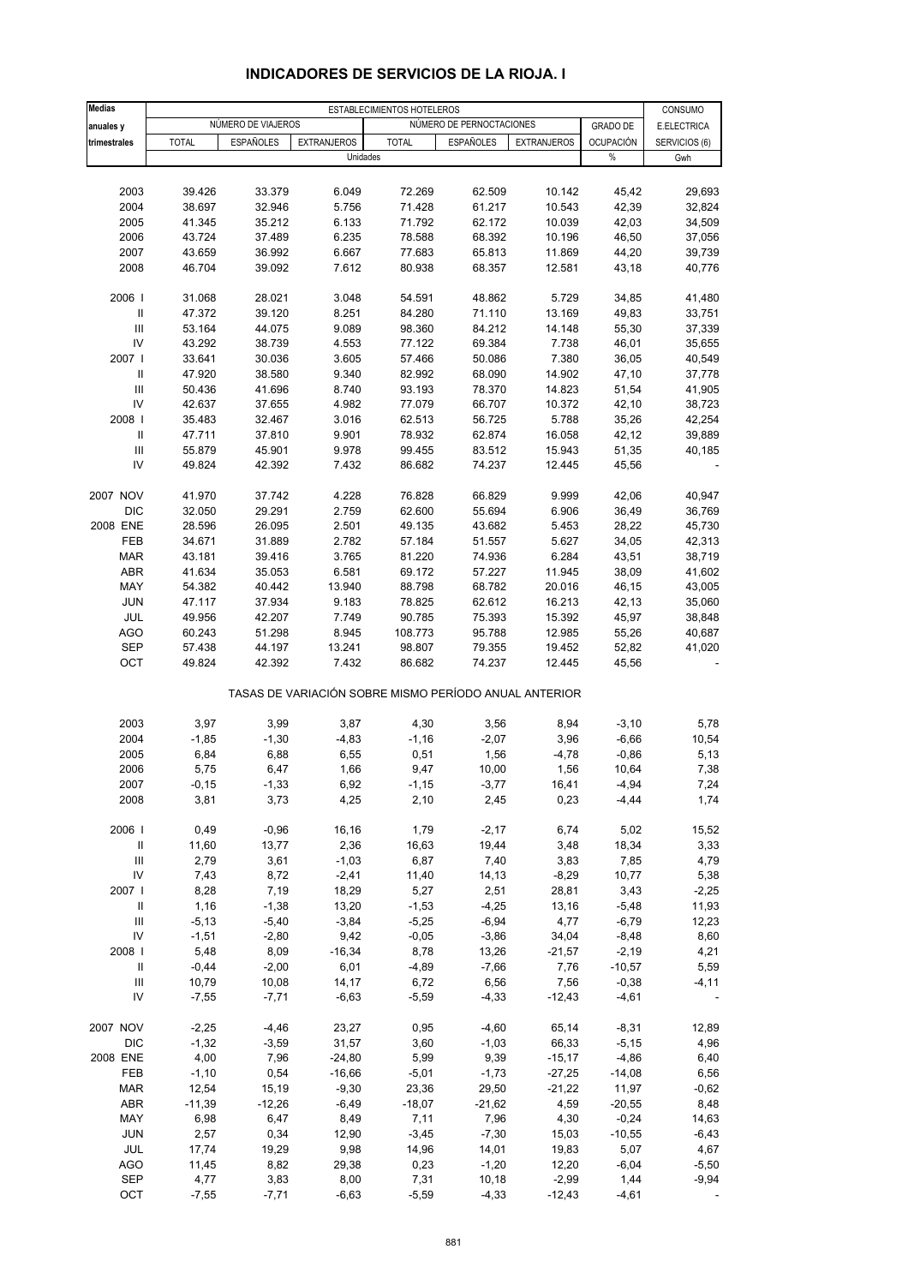| <b>Medias</b>                      |              |                    |                    | ESTABLECIMIENTOS HOTELEROS                            |                          |                    |                  | CONSUMO       |
|------------------------------------|--------------|--------------------|--------------------|-------------------------------------------------------|--------------------------|--------------------|------------------|---------------|
| anuales y                          |              | NÚMERO DE VIAJEROS |                    |                                                       | NÚMERO DE PERNOCTACIONES |                    | <b>GRADO DE</b>  | E.ELECTRICA   |
| trimestrales                       | <b>TOTAL</b> | <b>ESPAÑOLES</b>   | <b>EXTRANJEROS</b> | <b>TOTAL</b>                                          | <b>ESPAÑOLES</b>         | <b>EXTRANJEROS</b> | <b>OCUPACIÓN</b> | SERVICIOS (6) |
|                                    |              |                    |                    | Unidades                                              |                          |                    | %                | Gwh           |
|                                    |              |                    |                    |                                                       |                          |                    |                  |               |
| 2003                               | 39.426       | 33.379             | 6.049              | 72.269                                                | 62.509                   | 10.142             | 45,42            | 29,693        |
| 2004                               | 38.697       | 32.946             | 5.756              | 71.428                                                | 61.217                   | 10.543             | 42,39            | 32,824        |
| 2005                               | 41.345       | 35.212             | 6.133              | 71.792                                                | 62.172                   | 10.039             | 42,03            | 34,509        |
| 2006                               | 43.724       | 37.489             | 6.235              | 78.588                                                | 68.392                   | 10.196             | 46,50            | 37,056        |
| 2007                               | 43.659       | 36.992             | 6.667              | 77.683                                                | 65.813                   | 11.869             | 44,20            | 39,739        |
| 2008                               | 46.704       | 39.092             | 7.612              | 80.938                                                | 68.357                   | 12.581             | 43,18            | 40,776        |
| 2006                               | 31.068       | 28.021             | 3.048              | 54.591                                                | 48.862                   | 5.729              | 34,85            | 41,480        |
| Ш                                  | 47.372       | 39.120             | 8.251              | 84.280                                                | 71.110                   | 13.169             | 49,83            | 33,751        |
| $\ensuremath{\mathsf{III}}\xspace$ | 53.164       | 44.075             | 9.089              | 98.360                                                | 84.212                   | 14.148             | 55,30            | 37,339        |
| IV                                 | 43.292       | 38.739             | 4.553              | 77.122                                                | 69.384                   | 7.738              | 46,01            | 35,655        |
| 2007                               | 33.641       | 30.036             | 3.605              | 57.466                                                | 50.086                   | 7.380              | 36,05            | 40,549        |
| Ш                                  | 47.920       | 38.580             | 9.340              | 82.992                                                | 68.090                   | 14.902             | 47,10            | 37,778        |
| III                                | 50.436       | 41.696             | 8.740              | 93.193                                                | 78.370                   | 14.823             | 51,54            | 41,905        |
| IV                                 | 42.637       | 37.655             | 4.982              | 77.079                                                | 66.707                   | 10.372             | 42,10            | 38,723        |
| 2008                               | 35.483       | 32.467             | 3.016              | 62.513                                                | 56.725                   | 5.788              | 35,26            | 42,254        |
| Ш                                  | 47.711       | 37.810             | 9.901              | 78.932                                                | 62.874                   | 16.058             | 42,12            | 39,889        |
| $\mathop{\mathsf{III}}\nolimits$   | 55.879       | 45.901             | 9.978              | 99.455                                                | 83.512                   | 15.943             | 51,35            | 40,185        |
| IV                                 | 49.824       | 42.392             | 7.432              | 86.682                                                | 74.237                   | 12.445             | 45,56            |               |
| 2007 NOV                           | 41.970       | 37.742             | 4.228              | 76.828                                                | 66.829                   | 9.999              | 42,06            | 40,947        |
| <b>DIC</b>                         | 32.050       | 29.291             | 2.759              | 62.600                                                | 55.694                   | 6.906              | 36,49            | 36,769        |
| 2008 ENE                           | 28.596       | 26.095             | 2.501              | 49.135                                                | 43.682                   | 5.453              | 28,22            | 45,730        |
| FEB                                | 34.671       | 31.889             | 2.782              | 57.184                                                | 51.557                   | 5.627              | 34,05            | 42,313        |
| <b>MAR</b>                         | 43.181       | 39.416             | 3.765              | 81.220                                                | 74.936                   | 6.284              | 43,51            | 38,719        |
| ABR                                | 41.634       | 35.053             | 6.581              | 69.172                                                | 57.227                   | 11.945             | 38,09            | 41,602        |
| MAY                                | 54.382       | 40.442             | 13.940             | 88.798                                                | 68.782                   | 20.016             | 46,15            | 43,005        |
| <b>JUN</b>                         | 47.117       | 37.934             | 9.183              | 78.825                                                | 62.612                   | 16.213             | 42,13            | 35,060        |
| JUL                                | 49.956       | 42.207             | 7.749              | 90.785                                                | 75.393                   | 15.392             | 45,97            | 38,848        |
| AGO                                | 60.243       | 51.298             | 8.945              | 108.773                                               | 95.788                   | 12.985             | 55,26            | 40,687        |
| <b>SEP</b>                         | 57.438       | 44.197             | 13.241             | 98.807                                                | 79.355                   | 19.452             | 52,82            | 41,020        |
| OCT                                | 49.824       | 42.392             | 7.432              | 86.682                                                | 74.237                   | 12.445             | 45,56            |               |
|                                    |              |                    |                    | TASAS DE VARIACIÓN SOBRE MISMO PERÍODO ANUAL ANTERIOR |                          |                    |                  |               |
| 2003                               | 3,97         | 3,99               | 3,87               | 4,30                                                  | 3,56                     | 8,94               | $-3,10$          | 5,78          |
| 2004                               | $-1,85$      | $-1,30$            | $-4,83$            | $-1,16$                                               | $-2,07$                  | 3,96               | $-6,66$          | 10,54         |
| 2005                               | 6,84         | 6,88               | 6,55               | 0,51                                                  | 1,56                     | $-4,78$            | $-0,86$          | 5,13          |
| 2006                               | 5,75         | 6,47               | 1,66               | 9,47                                                  | 10,00                    | 1,56               | 10,64            | 7,38          |
| 2007                               | $-0,15$      | $-1,33$            | 6,92               | $-1, 15$                                              | $-3,77$                  | 16,41              | $-4,94$          | 7,24          |
| 2008                               | 3,81         | 3,73               | 4,25               | 2,10                                                  | 2,45                     | 0,23               | $-4,44$          | 1,74          |
| 2006                               | 0,49         | $-0,96$            | 16,16              | 1,79                                                  | $-2,17$                  | 6,74               | 5,02             | 15,52         |
| $\, \parallel$                     | 11,60        | 13,77              | 2,36               | 16,63                                                 | 19,44                    | 3,48               | 18,34            | 3,33          |
| $\mathop{\mathrm{III}}\nolimits$   | 2,79         | 3,61               | $-1,03$            | 6,87                                                  | 7,40                     | 3,83               | 7,85             | 4,79          |
| IV                                 | 7,43         | 8,72               | $-2,41$            | 11,40                                                 | 14,13                    | $-8,29$            | 10,77            | 5,38          |
| 2007 l                             | 8,28         | 7,19               | 18,29              | 5,27                                                  | 2,51                     | 28,81              | 3,43             | $-2,25$       |
| Ш                                  | 1,16         | $-1,38$            | 13,20              | $-1,53$                                               | $-4,25$                  | 13,16              | $-5,48$          | 11,93         |
| $\ensuremath{\mathsf{III}}\xspace$ | $-5,13$      | $-5,40$            | $-3,84$            | $-5,25$                                               | $-6,94$                  | 4,77               | $-6,79$          | 12,23         |
| IV                                 | $-1,51$      | $-2,80$            | 9,42               | $-0,05$                                               | $-3,86$                  | 34,04              | $-8,48$          | 8,60          |
| 2008                               | 5,48         | 8,09               | $-16,34$           | 8,78                                                  | 13,26                    | $-21,57$           | $-2,19$          | 4,21          |
| Ш                                  | $-0,44$      | $-2,00$            | 6,01               | $-4,89$                                               | $-7,66$                  | 7,76               | $-10,57$         | 5,59          |
| $\ensuremath{\mathsf{III}}\xspace$ | 10,79        | 10,08              | 14,17              | 6,72                                                  | 6,56                     | 7,56               | $-0,38$          | $-4, 11$      |
| IV                                 | $-7,55$      | $-7,71$            | $-6,63$            | $-5,59$                                               | $-4,33$                  | $-12,43$           | $-4,61$          |               |
| 2007 NOV                           | $-2,25$      | $-4,46$            | 23,27              | 0,95                                                  | $-4,60$                  | 65,14              | $-8,31$          | 12,89         |
| <b>DIC</b>                         | $-1,32$      | $-3,59$            | 31,57              | 3,60                                                  | $-1,03$                  | 66,33              | $-5,15$          | 4,96          |
| 2008 ENE                           | 4,00         | 7,96               | $-24,80$           | 5,99                                                  | 9,39                     | $-15,17$           | $-4,86$          | 6,40          |
| FEB                                | $-1,10$      | 0,54               | $-16,66$           | $-5,01$                                               | $-1,73$                  | $-27,25$           | $-14,08$         | 6,56          |
| <b>MAR</b>                         | 12,54        | 15,19              | $-9,30$            | 23,36                                                 | 29,50                    | $-21,22$           | 11,97            | $-0,62$       |
| ABR                                | $-11,39$     | $-12,26$           | $-6,49$            | $-18,07$                                              | $-21,62$                 | 4,59               | $-20,55$         | 8,48          |
| MAY                                | 6,98         | 6,47               | 8,49               | 7,11                                                  | 7,96                     | 4,30               | $-0,24$          | 14,63         |
| <b>JUN</b>                         | 2,57         | 0,34               | 12,90              | $-3,45$                                               | $-7,30$                  | 15,03              | $-10,55$         | $-6,43$       |
| JUL                                | 17,74        | 19,29              | 9,98               | 14,96                                                 | 14,01                    | 19,83              | 5,07             | 4,67          |
| <b>AGO</b>                         | 11,45        | 8,82               | 29,38              | 0,23                                                  | $-1,20$                  | 12,20              | $-6,04$          | $-5,50$       |
| SEP                                | 4,77         | 3,83               | 8,00               | 7,31                                                  | 10,18                    | $-2,99$            | 1,44             | $-9,94$       |
| OCT                                | $-7,55$      | $-7,71$            | $-6,63$            | $-5,59$                                               | $-4,33$                  | $-12,43$           | $-4,61$          |               |

### **INDICADORES DE SERVICIOS DE LA RIOJA. I**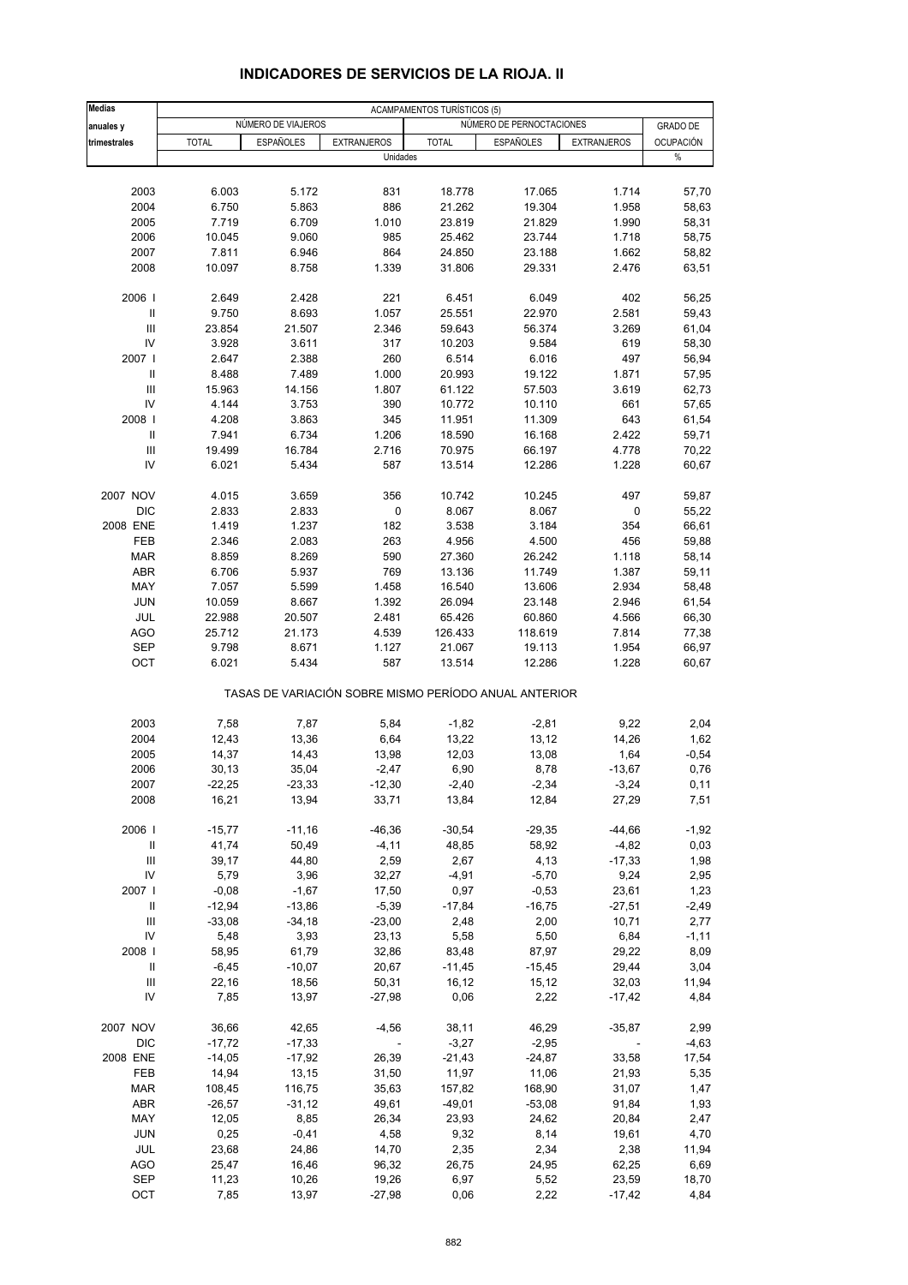| <b>Medias</b><br>anuales y         |                   | NÚMERO DE VIAJEROS |                                | ACAMPAMENTOS TURÍSTICOS (5) | NÚMERO DE PERNOCTACIONES                              |                    | <b>GRADO DE</b>          |
|------------------------------------|-------------------|--------------------|--------------------------------|-----------------------------|-------------------------------------------------------|--------------------|--------------------------|
|                                    |                   |                    |                                |                             |                                                       |                    |                          |
| trimestrales                       | <b>TOTAL</b>      | <b>ESPAÑOLES</b>   | <b>EXTRANJEROS</b><br>Unidades | <b>TOTAL</b>                | <b>ESPAÑOLES</b>                                      | <b>EXTRANJEROS</b> | <b>OCUPACIÓN</b><br>$\%$ |
|                                    |                   |                    |                                |                             |                                                       |                    |                          |
| 2003                               | 6.003             | 5.172              | 831                            | 18.778                      | 17.065                                                | 1.714              | 57,70                    |
| 2004                               | 6.750             | 5.863              | 886                            | 21.262                      | 19.304                                                | 1.958              | 58,63                    |
| 2005                               | 7.719             | 6.709              | 1.010                          | 23.819                      | 21.829                                                | 1.990              | 58,31                    |
| 2006                               | 10.045            | 9.060              | 985                            | 25.462                      | 23.744                                                | 1.718              | 58,75                    |
| 2007                               | 7.811             | 6.946              | 864                            | 24.850                      | 23.188                                                | 1.662              | 58,82                    |
| 2008                               | 10.097            | 8.758              | 1.339                          | 31.806                      | 29.331                                                | 2.476              | 63,51                    |
| 2006                               | 2.649             | 2.428              | 221                            | 6.451                       | 6.049                                                 | 402                | 56,25                    |
| $\ensuremath{\mathsf{II}}$         | 9.750             | 8.693              | 1.057                          | 25.551                      | 22.970                                                | 2.581              | 59,43                    |
| $\mathbf{III}$                     | 23.854            | 21.507             | 2.346                          |                             |                                                       | 3.269              | 61,04                    |
|                                    |                   |                    |                                | 59.643                      | 56.374                                                |                    |                          |
| IV                                 | 3.928             | 3.611              | 317                            | 10.203                      | 9.584                                                 | 619                | 58,30                    |
| 2007                               | 2.647             | 2.388              | 260                            | 6.514                       | 6.016                                                 | 497                | 56,94                    |
| Ш                                  | 8.488             | 7.489              | 1.000                          | 20.993                      | 19.122                                                | 1.871              | 57,95                    |
| Ш                                  | 15.963            | 14.156             | 1.807                          | 61.122                      | 57.503                                                | 3.619              | 62,73                    |
| IV                                 | 4.144             | 3.753              | 390                            | 10.772                      | 10.110                                                | 661                | 57,65                    |
| 2008                               | 4.208             | 3.863              | 345                            | 11.951                      | 11.309                                                | 643                | 61,54                    |
| Ш                                  | 7.941             | 6.734              | 1.206                          | 18.590                      | 16.168                                                | 2.422              | 59,71                    |
| $\ensuremath{\mathsf{III}}\xspace$ | 19.499            | 16.784             | 2.716                          | 70.975                      | 66.197                                                | 4.778              | 70,22                    |
| IV                                 | 6.021             | 5.434              | 587                            | 13.514                      | 12.286                                                | 1.228              | 60,67                    |
| 2007 NOV                           | 4.015             | 3.659              | 356                            | 10.742                      | 10.245                                                | 497                | 59,87                    |
| <b>DIC</b>                         | 2.833             | 2.833              | 0                              | 8.067                       | 8.067                                                 | 0                  | 55,22                    |
| 2008 ENE                           | 1.419             | 1.237              | 182                            | 3.538                       | 3.184                                                 | 354                | 66,61                    |
|                                    |                   |                    |                                |                             |                                                       |                    |                          |
| FEB                                | 2.346             | 2.083              | 263                            | 4.956                       | 4.500                                                 | 456                | 59,88                    |
| <b>MAR</b>                         | 8.859             | 8.269              | 590                            | 27.360                      | 26.242                                                | 1.118              | 58,14                    |
| ABR                                | 6.706             | 5.937              | 769                            | 13.136                      | 11.749                                                | 1.387              | 59,11                    |
| MAY                                | 7.057             | 5.599              | 1.458                          | 16.540                      | 13.606                                                | 2.934              | 58,48                    |
| <b>JUN</b>                         | 10.059            | 8.667              | 1.392                          | 26.094                      | 23.148                                                | 2.946              | 61,54                    |
| JUL                                | 22.988            | 20.507             | 2.481                          | 65.426                      | 60.860                                                | 4.566              | 66,30                    |
| <b>AGO</b>                         | 25.712            | 21.173             | 4.539                          | 126.433                     | 118.619                                               | 7.814              | 77,38                    |
| <b>SEP</b>                         | 9.798             | 8.671              | 1.127                          | 21.067                      | 19.113                                                | 1.954              | 66,97                    |
| OCT                                | 6.021             | 5.434              | 587                            | 13.514                      | 12.286                                                | 1.228              | 60,67                    |
|                                    |                   |                    |                                |                             | TASAS DE VARIACIÓN SOBRE MISMO PERÍODO ANUAL ANTERIOR |                    |                          |
| 2003                               | 7,58              | 7,87               | 5,84                           | $-1,82$                     | $-2,81$                                               | 9,22               | 2,04                     |
| 2004                               | 12,43             | 13,36              | 6,64                           | 13,22                       | 13,12                                                 | 14,26              | 1,62                     |
|                                    |                   |                    |                                |                             |                                                       |                    |                          |
| 2005                               | 14,37             | 14,43              | 13,98                          | 12,03                       | 13,08                                                 | 1,64               | $-0,54$                  |
| 2006                               | 30,13             | 35,04              | $-2,47$                        | 6,90                        | 8,78                                                  | $-13,67$           | 0,76                     |
| 2007<br>2008                       | $-22,25$<br>16,21 | $-23,33$<br>13,94  | $-12,30$<br>33,71              | $-2,40$<br>13,84            | $-2,34$<br>12,84                                      | $-3,24$<br>27,29   | 0,11<br>7,51             |
|                                    |                   |                    |                                |                             |                                                       |                    |                          |
| 2006                               | $-15,77$          | $-11,16$           | $-46,36$                       | $-30,54$                    | $-29,35$                                              | $-44,66$           | $-1,92$                  |
| $\ensuremath{\mathsf{II}}$         | 41,74             | 50,49              | $-4, 11$                       | 48,85                       | 58,92                                                 | $-4,82$            | 0,03                     |
| Ш                                  | 39,17             | 44,80              | 2,59                           | 2,67                        | 4,13                                                  | $-17,33$           | 1,98                     |
| IV                                 | 5,79              | 3,96               | 32,27                          | $-4,91$                     | $-5,70$                                               | 9,24               | 2,95                     |
| 2007                               | $-0,08$           | $-1,67$            | 17,50                          | 0,97                        | $-0,53$                                               | 23,61              | 1,23                     |
| Ш                                  | $-12,94$          | $-13,86$           | $-5,39$                        | $-17,84$                    | $-16,75$                                              | $-27,51$           | $-2,49$                  |
| Ш                                  | $-33,08$          | $-34,18$           | $-23,00$                       | 2,48                        | 2,00                                                  | 10,71              | 2,77                     |
| IV                                 | 5,48              | 3,93               | 23,13                          | 5,58                        | 5,50                                                  | 6,84               | $-1,11$                  |
| 2008                               | 58,95             | 61,79              | 32,86                          | 83,48                       | 87,97                                                 | 29,22              | 8,09                     |
| Ш                                  | $-6,45$           | $-10,07$           | 20,67                          | $-11,45$                    | $-15,45$                                              | 29,44              | 3,04                     |
| $\ensuremath{\mathsf{III}}\xspace$ |                   |                    |                                |                             |                                                       |                    |                          |
| IV                                 | 22,16<br>7,85     | 18,56<br>13,97     | 50,31<br>$-27,98$              | 16,12<br>0,06               | 15, 12<br>2,22                                        | 32,03<br>$-17,42$  | 11,94<br>4,84            |
|                                    |                   |                    |                                |                             |                                                       |                    |                          |
| 2007 NOV                           | 36,66             | 42,65              | $-4,56$                        | 38,11                       | 46,29                                                 | $-35,87$           | 2,99                     |
| <b>DIC</b>                         | $-17,72$          | $-17,33$           | $\overline{\phantom{a}}$       | $-3,27$                     | $-2,95$                                               |                    | $-4,63$                  |
| 2008 ENE                           | $-14,05$          | $-17,92$           | 26,39                          | $-21,43$                    | $-24,87$                                              | 33,58              | 17,54                    |
| FEB                                | 14,94             | 13,15              | 31,50                          | 11,97                       | 11,06                                                 | 21,93              | 5,35                     |
| <b>MAR</b>                         | 108,45            | 116,75             | 35,63                          | 157,82                      | 168,90                                                | 31,07              | 1,47                     |
| ABR                                | $-26,57$          | $-31,12$           | 49,61                          | $-49,01$                    | $-53,08$                                              | 91,84              | 1,93                     |
| MAY                                | 12,05             | 8,85               | 26,34                          | 23,93                       | 24,62                                                 | 20,84              | 2,47                     |
| <b>JUN</b>                         |                   |                    |                                |                             |                                                       |                    |                          |
|                                    | 0,25              | $-0,41$            | 4,58                           | 9,32                        | 8,14                                                  | 19,61              | 4,70                     |
| JUL                                | 23,68             | 24,86              | 14,70                          | 2,35                        | 2,34                                                  | 2,38               | 11,94                    |
| <b>AGO</b>                         | 25,47             | 16,46              | 96,32                          | 26,75                       | 24,95                                                 | 62,25              | 6,69                     |
| <b>SEP</b>                         | 11,23             | 10,26              | 19,26                          | 6,97                        | 5,52                                                  | 23,59              | 18,70                    |
| OCT                                | 7,85              | 13,97              | $-27,98$                       | 0,06                        | 2,22                                                  | $-17,42$           | 4,84                     |

## **INDICADORES DE SERVICIOS DE LA RIOJA. II**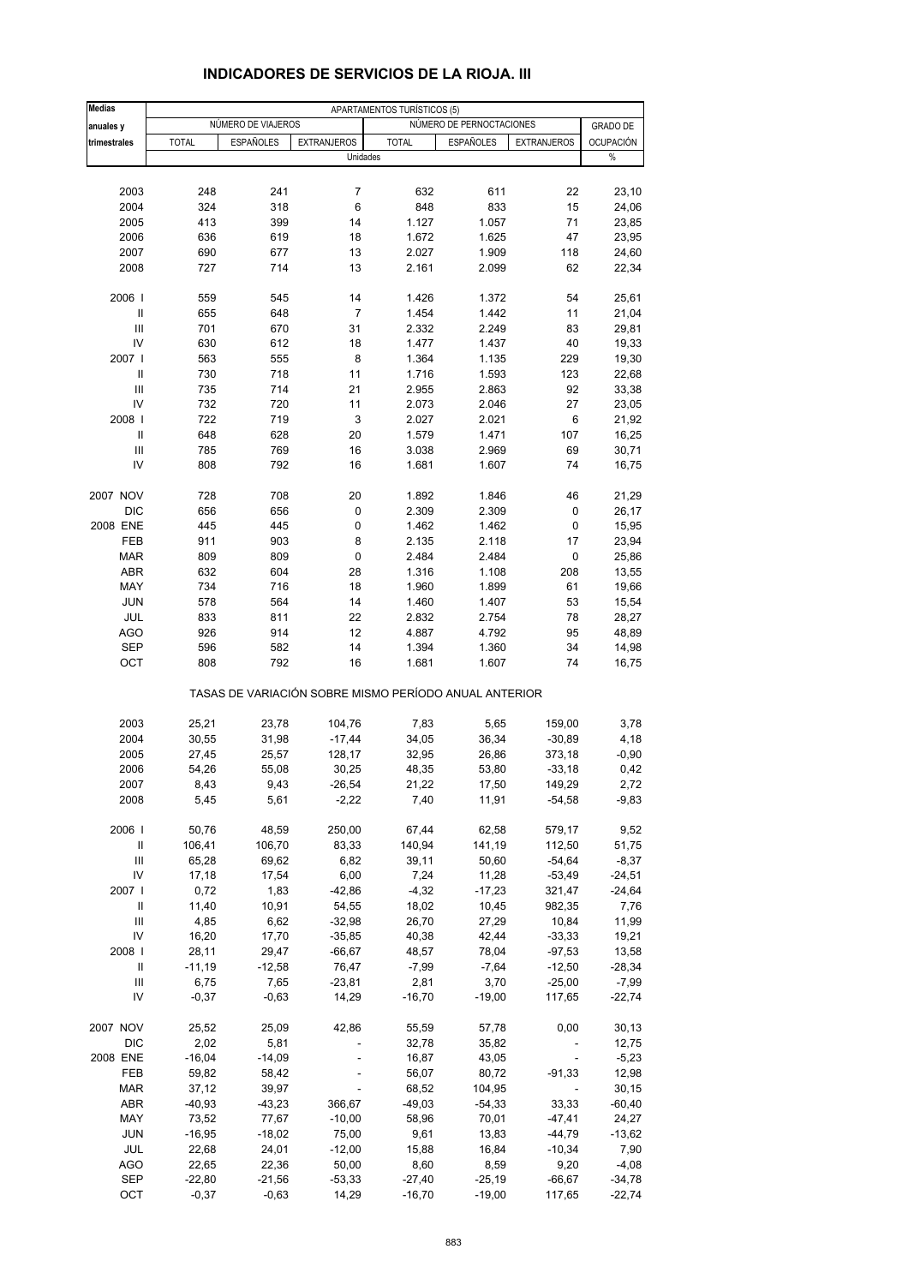| <b>Medias</b>  |              |                    |                                                       | APARTAMENTOS TURÍSTICOS (5) |                          |                    |                  |
|----------------|--------------|--------------------|-------------------------------------------------------|-----------------------------|--------------------------|--------------------|------------------|
| anuales y      |              | NÚMERO DE VIAJEROS |                                                       |                             | NÚMERO DE PERNOCTACIONES |                    | <b>GRADO DE</b>  |
| trimestrales   | <b>TOTAL</b> | <b>ESPAÑOLES</b>   | <b>EXTRANJEROS</b>                                    | <b>TOTAL</b>                | <b>ESPAÑOLES</b>         | <b>EXTRANJEROS</b> | <b>OCUPACIÓN</b> |
|                |              |                    | Unidades                                              |                             |                          |                    | $\%$             |
|                |              |                    |                                                       |                             |                          |                    |                  |
| 2003           | 248          | 241                | 7                                                     | 632                         | 611                      | 22                 | 23,10            |
| 2004           | 324          | 318                | 6                                                     | 848                         | 833                      | 15                 | 24,06            |
| 2005           | 413          | 399                | 14                                                    | 1.127                       | 1.057                    | 71                 | 23,85            |
| 2006           | 636          | 619                | 18                                                    | 1.672                       | 1.625                    | 47                 | 23,95            |
| 2007           | 690          | 677                | 13                                                    | 2.027                       | 1.909                    | 118                | 24,60            |
| 2008           | 727          | 714                | 13                                                    | 2.161                       | 2.099                    | 62                 | 22,34            |
|                |              |                    |                                                       |                             |                          |                    |                  |
| 2006           | 559          | 545                | 14                                                    | 1.426                       | 1.372                    | 54                 | 25,61            |
| Ш              | 655          | 648                | 7                                                     | 1.454                       | 1.442                    | 11                 | 21,04            |
| Ш              | 701          | 670                | 31                                                    | 2.332                       | 2.249                    | 83                 | 29,81            |
| IV             | 630          | 612                | 18                                                    | 1.477                       | 1.437                    | 40                 | 19,33            |
| 2007 l         | 563          | 555                | 8                                                     | 1.364                       | 1.135                    | 229                | 19,30            |
| $\mathbf{I}$   | 730          | 718                | 11                                                    | 1.716                       | 1.593                    | 123                | 22,68            |
| III            | 735          | 714                | 21                                                    | 2.955                       | 2.863                    | 92                 | 33,38            |
| IV             | 732          | 720                | 11                                                    | 2.073                       | 2.046                    | 27                 | 23,05            |
| 2008           | 722          | 719                | 3                                                     | 2.027                       | 2.021                    | $\,6$              | 21,92            |
| $\mathbf{II}$  | 648          | 628                | 20                                                    | 1.579                       | 1.471                    | 107                | 16,25            |
| III            | 785          | 769                | 16                                                    | 3.038                       | 2.969                    | 69                 | 30,71            |
| IV             | 808          | 792                | 16                                                    | 1.681                       | 1.607                    | 74                 | 16,75            |
|                |              |                    |                                                       |                             |                          |                    |                  |
| 2007 NOV       | 728          | 708                | 20                                                    | 1.892                       | 1.846                    | 46                 | 21,29            |
| <b>DIC</b>     | 656          | 656                | 0                                                     | 2.309                       | 2.309                    | 0                  | 26,17            |
| 2008 ENE       | 445          | 445                | $\pmb{0}$                                             | 1.462                       | 1.462                    | 0                  | 15,95            |
| <b>FEB</b>     | 911          | 903                | 8                                                     | 2.135                       | 2.118                    | 17                 | 23,94            |
|                |              |                    |                                                       |                             |                          |                    |                  |
| <b>MAR</b>     | 809          | 809                | 0                                                     | 2.484                       | 2.484                    | 0                  | 25,86            |
| ABR            | 632          | 604                | 28                                                    | 1.316                       | 1.108                    | 208                | 13,55            |
| MAY            | 734          | 716                | 18                                                    | 1.960                       | 1.899                    | 61                 | 19,66            |
| <b>JUN</b>     | 578          | 564                | 14                                                    | 1.460                       | 1.407                    | 53                 | 15,54            |
| JUL            | 833          | 811                | 22                                                    | 2.832                       | 2.754                    | 78                 | 28,27            |
| <b>AGO</b>     | 926          | 914                | 12                                                    | 4.887                       | 4.792                    | 95                 | 48,89            |
| <b>SEP</b>     | 596          | 582                | 14                                                    | 1.394                       | 1.360                    | 34                 | 14,98            |
| OCT            | 808          | 792                | 16                                                    | 1.681                       | 1.607                    | 74                 | 16,75            |
|                |              |                    | TASAS DE VARIACIÓN SOBRE MISMO PERÍODO ANUAL ANTERIOR |                             |                          |                    |                  |
|                |              |                    |                                                       |                             |                          |                    |                  |
| 2003           | 25,21        | 23,78              | 104,76                                                | 7,83                        | 5,65                     | 159,00             | 3,78             |
| 2004           | 30,55        | 31,98              | $-17,44$                                              | 34,05                       | 36,34                    | $-30,89$           | 4,18             |
| 2005           | 27,45        | 25,57              | 128,17                                                | 32,95                       | 26,86                    | 373,18             | $-0,90$          |
| 2006           | 54,26        | 55,08              | 30,25                                                 | 48,35                       | 53,80                    | $-33,18$           | 0,42             |
| 2007           | 8,43         | 9,43               | -26,54                                                | 21,22                       | 17,50                    | 149,29             | 2,72             |
| 2008           | 5,45         | 5,61               | $-2,22$                                               | 7,40                        | 11,91                    | $-54,58$           | $-9,83$          |
| 2006           | 50,76        | 48,59              | 250,00                                                | 67,44                       | 62,58                    | 579,17             | 9,52             |
| Ш              | 106,41       | 106,70             | 83,33                                                 | 140,94                      | 141,19                   | 112,50             | 51,75            |
| $\mathsf{III}$ | 65,28        | 69,62              | 6,82                                                  | 39,11                       | 50,60                    | $-54,64$           | $-8,37$          |
| IV             | 17,18        | 17,54              | 6,00                                                  | 7,24                        | 11,28                    | $-53,49$           | -24,51           |
| 2007           | 0,72         | 1,83               | $-42,86$                                              | $-4,32$                     | $-17,23$                 | 321,47             | $-24,64$         |
| Ш              | 11,40        | 10,91              | 54,55                                                 | 18,02                       | 10,45                    | 982,35             | 7,76             |
| Ш              | 4,85         | 6,62               | $-32,98$                                              | 26,70                       | 27,29                    | 10,84              | 11,99            |
| IV             | 16,20        | 17,70              | $-35,85$                                              | 40,38                       | 42,44                    | $-33,33$           | 19,21            |
| 2008           | 28,11        | 29,47              | $-66,67$                                              | 48,57                       | 78,04                    | $-97,53$           | 13,58            |
| Ш              | $-11,19$     | $-12,58$           | 76,47                                                 | $-7,99$                     | $-7,64$                  | $-12,50$           | $-28,34$         |
| Ш              | 6,75         | 7,65               | $-23,81$                                              | 2,81                        | 3,70                     | $-25,00$           | $-7,99$          |
| IV             | $-0,37$      | $-0,63$            | 14,29                                                 | $-16,70$                    | $-19,00$                 | 117,65             | $-22,74$         |
| 2007 NOV       | 25,52        | 25,09              | 42,86                                                 | 55,59                       | 57,78                    | 0,00               | 30, 13           |
| DIC            | 2,02         | 5,81               |                                                       | 32,78                       | 35,82                    |                    | 12,75            |
| 2008 ENE       | $-16,04$     | $-14,09$           |                                                       | 16,87                       | 43,05                    |                    | $-5,23$          |
| FEB            | 59,82        | 58,42              |                                                       | 56,07                       | 80,72                    | $-91,33$           | 12,98            |
| <b>MAR</b>     | 37,12        | 39,97              |                                                       | 68,52                       | 104,95                   |                    | 30, 15           |
| ABR            | $-40,93$     | $-43,23$           | 366,67                                                | $-49,03$                    | $-54,33$                 | 33,33              | $-60,40$         |
| MAY            | 73,52        | 77,67              | $-10,00$                                              | 58,96                       | 70,01                    | $-47,41$           | 24,27            |
| <b>JUN</b>     | $-16,95$     | $-18,02$           | 75,00                                                 | 9,61                        | 13,83                    | $-44,79$           | $-13,62$         |
| JUL            | 22,68        | 24,01              | $-12,00$                                              | 15,88                       | 16,84                    | $-10,34$           | 7,90             |
| <b>AGO</b>     | 22,65        | 22,36              | 50,00                                                 | 8,60                        | 8,59                     | 9,20               | $-4,08$          |
| SEP            | $-22,80$     | $-21,56$           | $-53,33$                                              | $-27,40$                    | $-25,19$                 | $-66,67$           | $-34,78$         |
| OCT            | $-0,37$      | $-0,63$            | 14,29                                                 | $-16,70$                    | $-19,00$                 | 117,65             | $-22,74$         |

# **INDICADORES DE SERVICIOS DE LA RIOJA. III**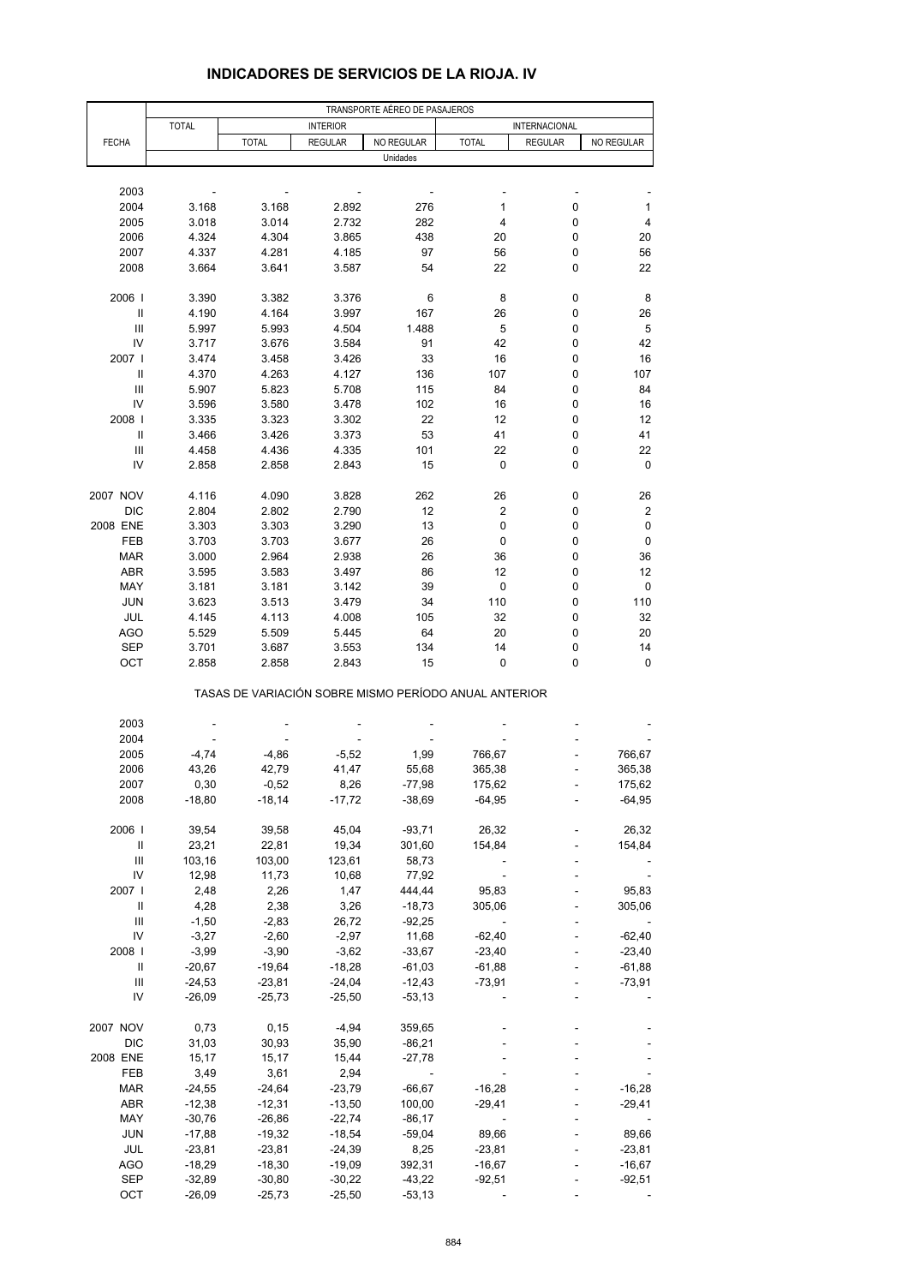|                                    |                |                                                       |                 | TRANSPORTE AÉREO DE PASAJEROS |              |                |            |
|------------------------------------|----------------|-------------------------------------------------------|-----------------|-------------------------------|--------------|----------------|------------|
|                                    | <b>TOTAL</b>   |                                                       | <b>INTERIOR</b> |                               |              | INTERNACIONAL  |            |
| <b>FECHA</b>                       |                | <b>TOTAL</b>                                          | <b>REGULAR</b>  | NO REGULAR                    | <b>TOTAL</b> | <b>REGULAR</b> | NO REGULAR |
|                                    |                |                                                       |                 | Unidades                      |              |                |            |
|                                    |                |                                                       |                 |                               |              |                |            |
| 2003                               |                |                                                       |                 |                               |              |                |            |
| 2004                               | 3.168          | 3.168                                                 | 2.892           | 276                           | 1            | 0              | 1          |
| 2005                               | 3.018          | 3.014                                                 | 2.732           | 282                           | 4            | 0              | 4          |
| 2006                               | 4.324          | 4.304                                                 | 3.865           | 438                           | 20           | 0              | 20         |
| 2007                               | 4.337          | 4.281                                                 | 4.185           | 97                            | 56           | 0              | 56         |
| 2008                               | 3.664          | 3.641                                                 | 3.587           | 54                            | 22           | 0              | 22         |
|                                    |                |                                                       |                 |                               |              |                |            |
| 2006                               | 3.390          | 3.382                                                 | 3.376           | 6                             | 8            | 0              | 8          |
| $\ensuremath{\mathsf{II}}$         | 4.190          | 4.164                                                 | 3.997           | 167                           | 26           | 0              | 26         |
| $\ensuremath{\mathsf{III}}\xspace$ | 5.997          | 5.993                                                 | 4.504           | 1.488                         | 5            | 0              | $\sqrt{5}$ |
| IV                                 | 3.717          | 3.676                                                 | 3.584           | 91                            | 42           | 0              | 42         |
| 2007 l                             | 3.474          | 3.458                                                 | 3.426           | 33                            | 16           | 0              | 16         |
| Ш                                  | 4.370          | 4.263                                                 | 4.127           | 136                           | 107          | 0              | 107        |
| $\ensuremath{\mathsf{III}}\xspace$ | 5.907          | 5.823                                                 | 5.708           | 115                           | 84           | 0              | 84         |
| IV                                 | 3.596          | 3.580                                                 | 3.478           | 102                           | 16           | 0              | 16         |
| 2008                               | 3.335          | 3.323                                                 | 3.302           | 22                            | 12           | 0              | 12         |
| Ш                                  | 3.466          | 3.426                                                 | 3.373           | 53                            | 41           | 0              | 41         |
| Ш                                  | 4.458          | 4.436                                                 | 4.335           | 101                           | 22           | 0              | 22         |
| IV                                 | 2.858          | 2.858                                                 | 2.843           | 15                            | 0            | 0              | 0          |
|                                    |                |                                                       |                 |                               |              |                |            |
| 2007 NOV                           | 4.116          | 4.090                                                 | 3.828           | 262                           | 26           | 0              | 26         |
| <b>DIC</b>                         | 2.804          | 2.802                                                 | 2.790           | 12                            | 2            | 0              | 2          |
| 2008 ENE                           | 3.303          | 3.303                                                 | 3.290           | 13                            | 0            | 0              | 0          |
| FEB                                | 3.703          | 3.703                                                 | 3.677           | 26                            | 0            | 0              | 0          |
| <b>MAR</b>                         |                | 2.964                                                 |                 | 26                            | 36           | 0              | 36         |
| ABR                                | 3.000<br>3.595 | 3.583                                                 | 2.938           | 86                            | 12           | 0              | 12         |
| MAY                                | 3.181          | 3.181                                                 | 3.497<br>3.142  | 39                            | $\pmb{0}$    | 0              | 0          |
| <b>JUN</b>                         |                |                                                       |                 |                               | 110          |                |            |
|                                    | 3.623          | 3.513                                                 | 3.479           | 34                            |              | 0<br>0         | 110<br>32  |
| JUL                                | 4.145          | 4.113                                                 | 4.008           | 105                           | 32           |                |            |
| AGO                                | 5.529          | 5.509                                                 | 5.445           | 64                            | 20<br>14     | 0<br>0         | 20<br>14   |
| SEP<br>OCT                         | 3.701          | 3.687<br>2.858                                        | 3.553<br>2.843  | 134<br>15                     | 0            | 0              | 0          |
|                                    | 2.858          |                                                       |                 |                               |              |                |            |
|                                    |                | TASAS DE VARIACIÓN SOBRE MISMO PERÍODO ANUAL ANTERIOR |                 |                               |              |                |            |
|                                    |                |                                                       |                 |                               |              |                |            |
| 2003                               |                |                                                       |                 |                               |              |                |            |
| 2004                               |                |                                                       |                 |                               |              |                |            |
| 2005                               | $-4,74$        | $-4,86$                                               | $-5,52$         | 1,99                          | 766,67       |                | 766,67     |
| 2006                               | 43,26          | 42,79                                                 | 41,47           | 55,68                         | 365,38       |                | 365,38     |
| 2007                               | 0,30           | $-0,52$                                               | 8,26            | $-77,98$                      | 175,62       |                | 175,62     |
| 2008                               | $-18,80$       | $-18,14$                                              | $-17,72$        | $-38,69$                      | $-64,95$     |                | $-64,95$   |
|                                    |                |                                                       |                 |                               |              |                |            |
| 2006                               | 39,54          | 39,58                                                 | 45,04           | $-93,71$                      | 26,32        |                | 26,32      |
| $\, \parallel$                     | 23,21          | 22,81                                                 | 19,34           | 301,60                        | 154,84       |                | 154,84     |
| Ш                                  | 103,16         | 103,00                                                | 123,61          | 58,73                         |              |                |            |
| IV                                 | 12,98          | 11,73                                                 | 10,68           | 77,92                         |              |                |            |
| 2007 l                             | 2,48           | 2,26                                                  | 1,47            | 444,44                        | 95,83        |                | 95,83      |
| Ш                                  | 4,28           | 2,38                                                  | 3,26            | $-18,73$                      | 305,06       |                | 305,06     |
| $\ensuremath{\mathsf{III}}\xspace$ | $-1,50$        | $-2,83$                                               | 26,72           | $-92,25$                      |              |                |            |
| IV                                 | $-3,27$        | $-2,60$                                               | $-2,97$         | 11,68                         | $-62,40$     |                | $-62,40$   |
| 2008                               | $-3,99$        | $-3,90$                                               | $-3,62$         | $-33,67$                      | $-23,40$     |                | $-23,40$   |
| Ш                                  | $-20,67$       | $-19,64$                                              | $-18,28$        | $-61,03$                      | $-61,88$     |                | $-61,88$   |
| $\ensuremath{\mathsf{III}}\xspace$ | $-24,53$       | $-23,81$                                              | $-24,04$        | $-12,43$                      | $-73,91$     |                | $-73,91$   |
| IV                                 | $-26,09$       | $-25,73$                                              | $-25,50$        | $-53,13$                      |              |                |            |
|                                    |                |                                                       |                 |                               |              |                |            |
| 2007 NOV                           | 0,73           | 0,15                                                  | $-4,94$         | 359,65                        |              |                |            |
| DIC                                | 31,03          | 30,93                                                 | 35,90           | $-86,21$                      |              |                |            |
| 2008 ENE                           | 15,17          | 15,17                                                 | 15,44           | $-27,78$                      |              |                |            |
| FEB                                | 3,49           | 3,61                                                  | 2,94            |                               |              |                |            |
| <b>MAR</b>                         | $-24,55$       | $-24,64$                                              | $-23,79$        | $-66,67$                      | $-16,28$     |                | $-16,28$   |
| ABR                                | $-12,38$       | $-12,31$                                              | $-13,50$        | 100,00                        | $-29,41$     |                | $-29,41$   |
| MAY                                | $-30,76$       | $-26,86$                                              | $-22,74$        | $-86,17$                      |              |                |            |
| <b>JUN</b>                         | $-17,88$       | $-19,32$                                              | $-18,54$        | $-59,04$                      | 89,66        |                | 89,66      |
| JUL                                | $-23,81$       | $-23,81$                                              | $-24,39$        | 8,25                          | $-23,81$     |                | $-23,81$   |
| AGO                                | $-18,29$       | $-18,30$                                              | $-19,09$        | 392,31                        | $-16,67$     |                | $-16,67$   |
| <b>SEP</b>                         | $-32,89$       | $-30,80$                                              | $-30,22$        | $-43,22$                      | $-92,51$     |                | $-92,51$   |
| OCT                                | $-26,09$       | $-25,73$                                              | $-25,50$        | $-53,13$                      |              |                |            |
|                                    |                |                                                       |                 |                               |              |                |            |

## **INDICADORES DE SERVICIOS DE LA RIOJA. IV**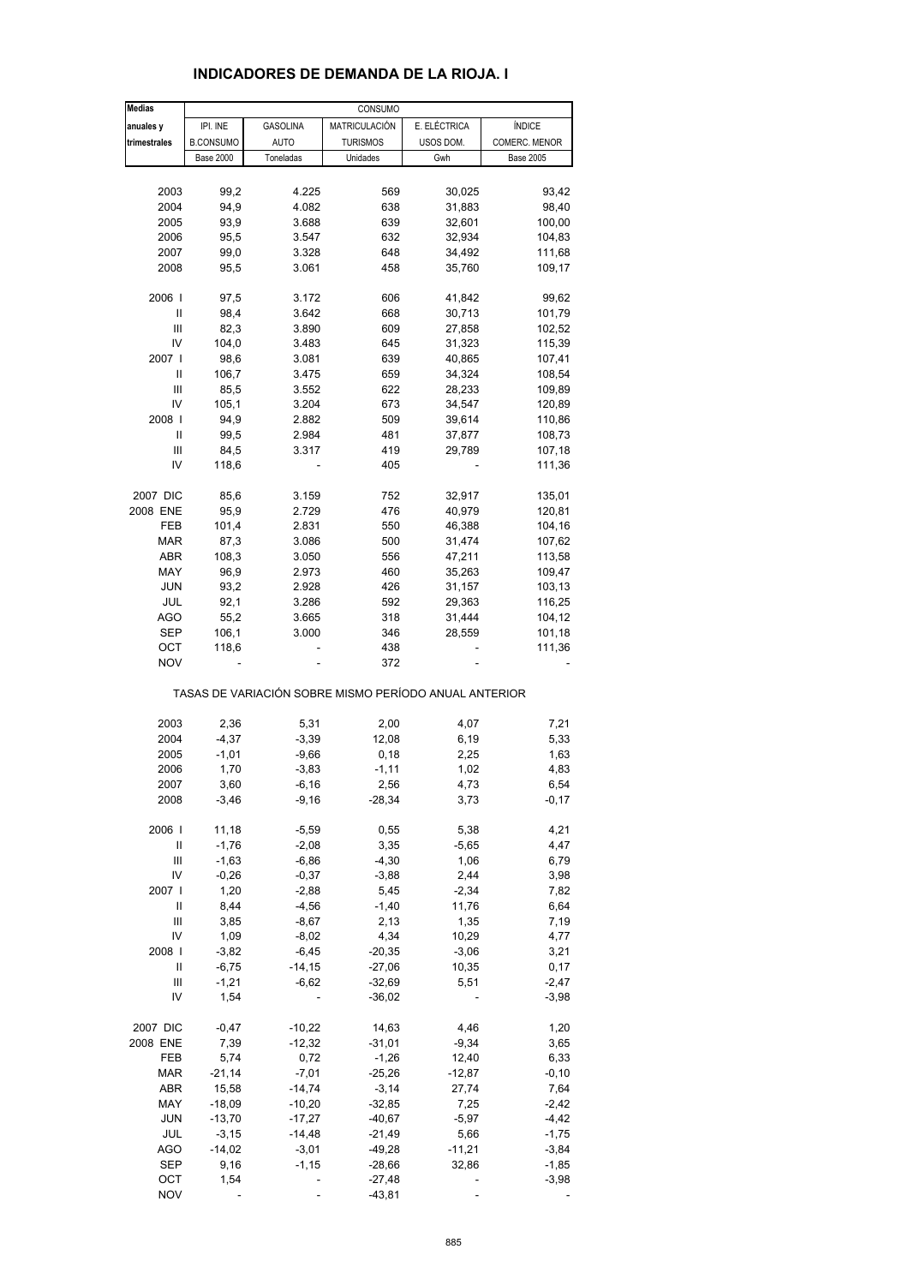| Medias       |                  |                                                       | CONSUMO         |              |                  |
|--------------|------------------|-------------------------------------------------------|-----------------|--------------|------------------|
| anuales y    | IPI. INE         | <b>GASOLINA</b>                                       | MATRICULACIÓN   | E. ELÉCTRICA | <b>ÍNDICE</b>    |
| trimestrales | <b>B.CONSUMO</b> | <b>AUTO</b>                                           | <b>TURISMOS</b> | USOS DOM.    | COMERC. MENOR    |
|              | <b>Base 2000</b> | Toneladas                                             | Unidades        | Gwh          | <b>Base 2005</b> |
|              |                  |                                                       |                 |              |                  |
| 2003         | 99,2             | 4.225                                                 | 569             | 30,025       | 93,42            |
| 2004         | 94,9             | 4.082                                                 | 638             | 31,883       | 98,40            |
| 2005         | 93,9             | 3.688                                                 | 639             | 32,601       | 100,00           |
|              |                  |                                                       |                 |              |                  |
| 2006         | 95,5             | 3.547                                                 | 632             | 32,934       | 104,83           |
| 2007         | 99,0             | 3.328                                                 | 648             | 34,492       | 111,68           |
| 2008         | 95,5             | 3.061                                                 | 458             | 35,760       | 109,17           |
|              |                  |                                                       |                 |              |                  |
| 2006         | 97,5             | 3.172                                                 | 606             | 41,842       | 99,62            |
| Ш            | 98,4             | 3.642                                                 | 668             | 30,713       | 101,79           |
| Ш            | 82,3             | 3.890                                                 | 609             | 27,858       | 102,52           |
| IV           | 104,0            | 3.483                                                 | 645             | 31,323       | 115,39           |
| 2007 l       | 98,6             | 3.081                                                 | 639             | 40,865       | 107,41           |
| Ш            | 106,7            | 3.475                                                 | 659             | 34,324       | 108,54           |
| Ш            | 85,5             | 3.552                                                 | 622             | 28,233       | 109,89           |
| IV           | 105,1            | 3.204                                                 | 673             | 34,547       | 120,89           |
| 2008         | 94,9             | 2.882                                                 | 509             | 39,614       | 110,86           |
| $\sf II$     | 99,5             | 2.984                                                 | 481             | 37,877       | 108,73           |
| Ш            | 84,5             | 3.317                                                 | 419             | 29,789       | 107,18           |
| IV           | 118,6            |                                                       | 405             |              | 111,36           |
|              |                  |                                                       |                 |              |                  |
| 2007 DIC     | 85,6             | 3.159                                                 | 752             | 32,917       | 135,01           |
| 2008 ENE     | 95,9             | 2.729                                                 | 476             | 40,979       | 120,81           |
| FEB          | 101,4            | 2.831                                                 | 550             | 46,388       | 104,16           |
| <b>MAR</b>   | 87,3             | 3.086                                                 | 500             | 31,474       | 107,62           |
| ABR          | 108,3            | 3.050                                                 | 556             | 47,211       | 113,58           |
| MAY          | 96,9             | 2.973                                                 | 460             | 35,263       | 109,47           |
| <b>JUN</b>   | 93,2             | 2.928                                                 | 426             | 31,157       | 103,13           |
| JUL          | 92,1             | 3.286                                                 | 592             | 29,363       | 116,25           |
|              |                  |                                                       |                 |              |                  |
| <b>AGO</b>   | 55,2             | 3.665                                                 | 318             | 31,444       | 104,12           |
| SEP          | 106,1            | 3.000                                                 | 346             | 28,559       | 101,18           |
| ост          | 118,6            |                                                       | 438             |              | 111,36           |
| <b>NOV</b>   |                  |                                                       | 372             |              |                  |
|              |                  | TASAS DE VARIACIÓN SOBRE MISMO PERÍODO ANUAL ANTERIOR |                 |              |                  |
| 2003         | 2,36             | 5,31                                                  | 2,00            | 4,07         | 7,21             |
| 2004         | $-4,37$          | $-3,39$                                               | 12,08           | 6,19         | 5,33             |
|              |                  |                                                       |                 |              |                  |
| 2005         | $-1,01$          | $-9,66$                                               | 0,18            | 2,25         | 1,63             |
| 2006         | 1,70             | $-3,83$                                               | $-1,11$         | 1,02         | 4,83             |
| 2007         | 3,60             | $-6, 16$                                              | 2,56            | 4,73         | 6,54             |
| 2008         | $-3,46$          | $-9,16$                                               | $-28,34$        | 3,73         | $-0,17$          |
| 2006         | 11,18            | $-5,59$                                               | 0,55            | 5,38         | 4,21             |
| Ш            | $-1,76$          | $-2,08$                                               | 3,35            | $-5,65$      | 4,47             |
| Ш            | $-1,63$          |                                                       | $-4,30$         |              |                  |
| IV           |                  | $-6,86$                                               |                 | 1,06         | 6,79             |
| 2007 l       | $-0,26$          | $-0,37$                                               | $-3,88$         | 2,44         | 3,98             |
|              | 1,20             | $-2,88$                                               | 5,45            | $-2,34$      | 7,82             |
| Ш            | 8,44             | $-4,56$                                               | $-1,40$         | 11,76        | 6,64             |
| Ш            | 3,85             | $-8,67$                                               | 2,13            | 1,35         | 7,19             |
| IV           | 1,09             | $-8,02$                                               | 4,34            | 10,29        | 4,77             |
| 2008         | $-3,82$          | $-6,45$                                               | $-20,35$        | $-3,06$      | 3,21             |
| Ш            | $-6,75$          | $-14, 15$                                             | $-27,06$        | 10,35        | 0,17             |
| Ш            | $-1,21$          | $-6,62$                                               | $-32,69$        | 5,51         | $-2,47$          |
| IV           | 1,54             |                                                       | $-36,02$        |              | $-3,98$          |
| 2007 DIC     | $-0,47$          | $-10,22$                                              | 14,63           | 4,46         | 1,20             |
| 2008 ENE     | 7,39             | $-12,32$                                              | $-31,01$        | $-9,34$      | 3,65             |
|              |                  |                                                       |                 |              |                  |
| FEB          | 5,74             | 0,72                                                  | $-1,26$         | 12,40        | 6,33             |
| MAR          | $-21,14$         | $-7,01$                                               | $-25,26$        | $-12,87$     | $-0, 10$         |
| ABR          | 15,58            | $-14,74$                                              | $-3,14$         | 27,74        | 7,64             |
| MAY          | $-18,09$         | $-10,20$                                              | $-32,85$        | 7,25         | $-2,42$          |
| <b>JUN</b>   | $-13,70$         | $-17,27$                                              | $-40,67$        | $-5,97$      | $-4,42$          |
| JUL          | $-3,15$          | $-14,48$                                              | -21,49          | 5,66         | $-1,75$          |
| <b>AGO</b>   | $-14,02$         | $-3,01$                                               | $-49,28$        | $-11,21$     | $-3,84$          |
| <b>SEP</b>   | 9,16             | $-1, 15$                                              | $-28,66$        | 32,86        | $-1,85$          |
| OCT          | 1,54             |                                                       | $-27,48$        |              | $-3,98$          |
| <b>NOV</b>   |                  |                                                       | $-43,81$        |              |                  |

# **INDICADORES DE DEMANDA DE LA RIOJA. I**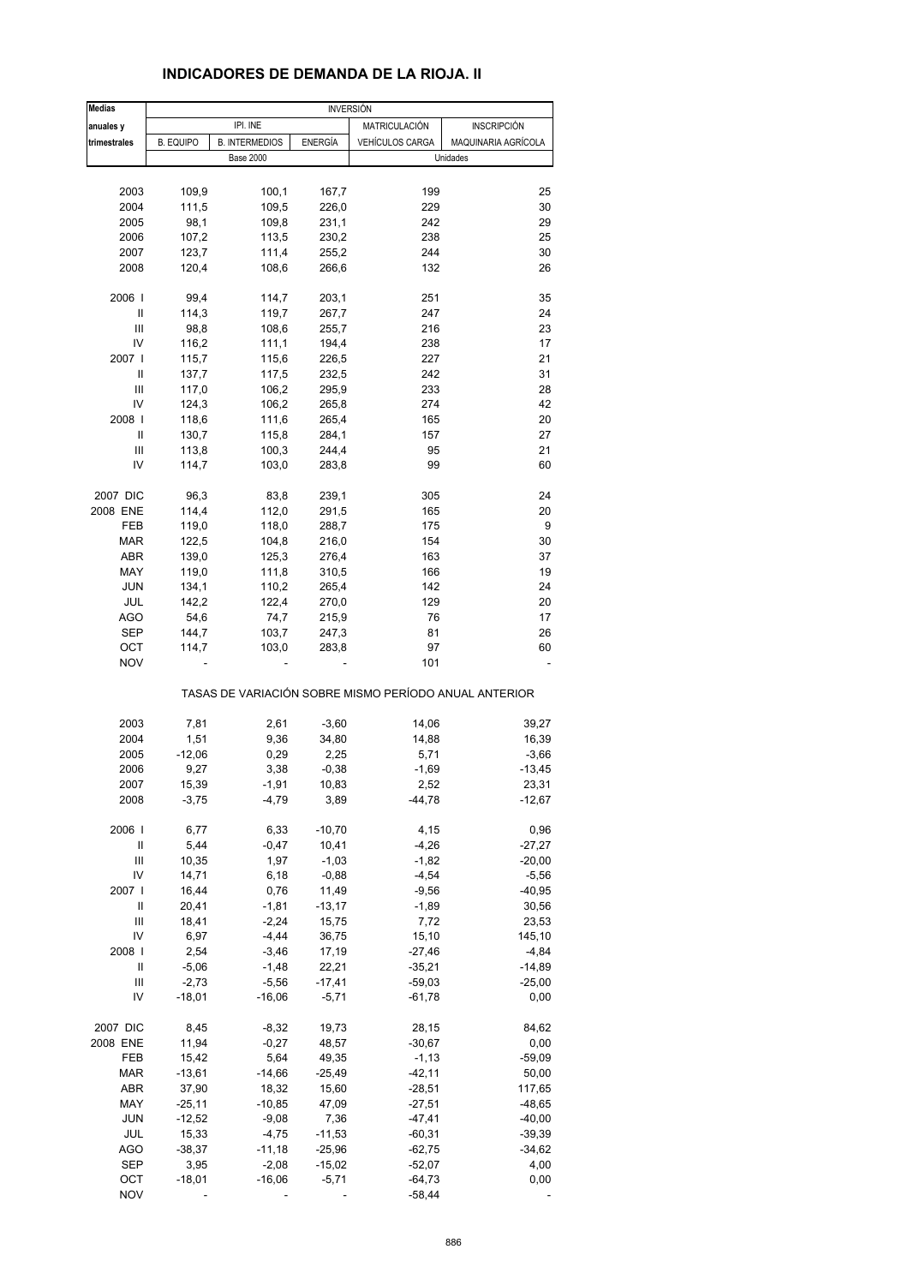| <b>Medias</b>  |                  |                       | <b>INVERSIÓN</b> |                 |                                                       |
|----------------|------------------|-----------------------|------------------|-----------------|-------------------------------------------------------|
| anuales y      |                  | IPI. INE              |                  | MATRICULACIÓN   | <b>INSCRIPCIÓN</b>                                    |
| trimestrales   | <b>B. EQUIPO</b> | <b>B. INTERMEDIOS</b> | ENERGÍA          | VEHÍCULOS CARGA | MAQUINARIA AGRÍCOLA                                   |
|                |                  | <b>Base 2000</b>      |                  |                 | Unidades                                              |
|                |                  |                       |                  |                 |                                                       |
|                |                  |                       |                  |                 |                                                       |
| 2003           | 109,9            | 100,1                 | 167,7            | 199             | 25                                                    |
| 2004           | 111,5            | 109,5                 | 226,0            | 229             | 30                                                    |
| 2005           | 98,1             | 109,8                 | 231,1            | 242             | 29                                                    |
| 2006           | 107,2            | 113,5                 | 230,2            | 238             | 25                                                    |
| 2007           | 123,7            | 111,4                 | 255,2            | 244             | 30                                                    |
| 2008           | 120,4            | 108,6                 | 266,6            | 132             | 26                                                    |
|                |                  |                       |                  |                 |                                                       |
| 2006           | 99,4             | 114,7                 | 203,1            | 251             | 35                                                    |
| Ш              | 114,3            | 119,7                 | 267,7            | 247             | 24                                                    |
| Ш              | 98,8             | 108,6                 | 255,7            | 216             | 23                                                    |
| IV             | 116,2            | 111,1                 | 194,4            | 238             | 17                                                    |
| 2007 l         | 115,7            | 115,6                 | 226,5            | 227             | 21                                                    |
| Ш              | 137,7            | 117,5                 | 232,5            | 242             | 31                                                    |
| Ш              | 117,0            | 106,2                 | 295,9            | 233             | 28                                                    |
| IV             | 124,3            | 106,2                 | 265,8            | 274             | 42                                                    |
| 2008           | 118,6            | 111,6                 | 265,4            | 165             | 20                                                    |
| Ш              | 130,7            | 115,8                 | 284,1            | 157             | 27                                                    |
| Ш              | 113,8            | 100,3                 | 244,4            | 95              | 21                                                    |
| IV             | 114,7            | 103,0                 | 283,8            | 99              | 60                                                    |
|                |                  |                       |                  |                 |                                                       |
| 2007 DIC       | 96,3             | 83,8                  | 239,1            | 305             | 24                                                    |
| 2008 ENE       | 114,4            | 112,0                 | 291,5            | 165             | 20                                                    |
| FEB            | 119,0            | 118,0                 | 288,7            | 175             | 9                                                     |
| <b>MAR</b>     | 122,5            | 104,8                 | 216,0            | 154             | 30                                                    |
| ABR            | 139,0            | 125,3                 | 276,4            | 163             | 37                                                    |
| MAY            | 119,0            | 111,8                 | 310,5            | 166             | 19                                                    |
| <b>JUN</b>     | 134,1            | 110,2                 | 265,4            | 142             | 24                                                    |
| JUL            | 142,2            | 122,4                 | 270,0            | 129             | 20                                                    |
| AGO            | 54,6             | 74,7                  | 215,9            | 76              | 17                                                    |
|                |                  |                       |                  | 81              | 26                                                    |
| SEP            | 144,7            | 103,7                 | 247,3            |                 |                                                       |
| ОСТ            | 114,7            | 103,0                 | 283,8            | 97              | 60                                                    |
| <b>NOV</b>     |                  |                       |                  | 101             |                                                       |
|                |                  |                       |                  |                 | TASAS DE VARIACIÓN SOBRE MISMO PERÍODO ANUAL ANTERIOR |
|                |                  |                       |                  |                 |                                                       |
| 2003           | 7,81             | 2,61                  | $-3,60$          | 14,06           | 39,27                                                 |
| 2004           | 1,51             | 9,36                  | 34,80            | 14,88           | 16,39                                                 |
| 2005           | $-12,06$         | 0,29                  | 2,25             | 5,71            | $-3,66$                                               |
| 2006           | 9,27             | 3,38                  | $-0,38$          | $-1,69$         | $-13,45$                                              |
| 2007           | 15,39            | $-1,91$               | 10,83            | 2,52            | 23,31                                                 |
| 2008           | $-3,75$          | $-4,79$               | 3,89             | $-44,78$        | $-12,67$                                              |
|                |                  |                       |                  |                 |                                                       |
| 2006           | 6,77             | 6,33                  | $-10,70$         | 4,15            | 0,96                                                  |
| Ш              | 5,44             | $-0,47$               | 10,41            | $-4,26$         | $-27,27$                                              |
| $\mathbf{III}$ | 10,35            | 1,97                  | $-1,03$          | $-1,82$         | $-20,00$                                              |
| IV             | 14,71            | 6,18                  | $-0,88$          | $-4,54$         | $-5,56$                                               |
| 2007 l         | 16,44            | 0,76                  | 11,49            | $-9,56$         | $-40,95$                                              |
| Ш              | 20,41            | $-1,81$               | $-13,17$         | $-1,89$         | 30,56                                                 |
| Ш              | 18,41            | $-2,24$               | 15,75            | 7,72            | 23,53                                                 |
| IV             | 6,97             | $-4,44$               | 36,75            | 15,10           | 145,10                                                |
|                |                  |                       |                  |                 |                                                       |
| 2008           | 2,54             | $-3,46$               | 17,19            | $-27,46$        | $-4,84$                                               |
| Ш              | $-5,06$          | $-1,48$               | 22,21            | $-35,21$        | $-14,89$                                              |
| Ш              | $-2,73$          | $-5,56$               | $-17,41$         | $-59,03$        | $-25,00$                                              |
| IV             | $-18,01$         | $-16,06$              | $-5,71$          | $-61,78$        | 0,00                                                  |
| 2007 DIC       | 8,45             | $-8,32$               | 19,73            | 28,15           | 84,62                                                 |
| 2008 ENE       | 11,94            | $-0,27$               | 48,57            | $-30,67$        | 0,00                                                  |
|                |                  |                       |                  |                 |                                                       |
| FEB            | 15,42            | 5,64                  | 49,35            | $-1, 13$        | $-59,09$                                              |
| MAR            | $-13,61$         | $-14,66$              | $-25,49$         | $-42, 11$       | 50,00                                                 |
| ABR            | 37,90            | 18,32                 | 15,60            | $-28,51$        | 117,65                                                |
| MAY            | $-25,11$         | $-10,85$              | 47,09            | $-27,51$        | $-48,65$                                              |
| JUN            | $-12,52$         | $-9,08$               | 7,36             | $-47,41$        | $-40,00$                                              |
| JUL            | 15,33            | $-4,75$               | $-11,53$         | $-60,31$        | $-39,39$                                              |
| <b>AGO</b>     | $-38,37$         | $-11,18$              | $-25,96$         | $-62,75$        | -34,62                                                |
| <b>SEP</b>     | 3,95             | $-2,08$               | $-15,02$         | $-52,07$        | 4,00                                                  |
| OCT            | $-18,01$         | $-16,06$              | $-5,71$          | $-64,73$        | 0,00                                                  |

NOV - - - -58,44 -

#### **INDICADORES DE DEMANDA DE LA RIOJA. II**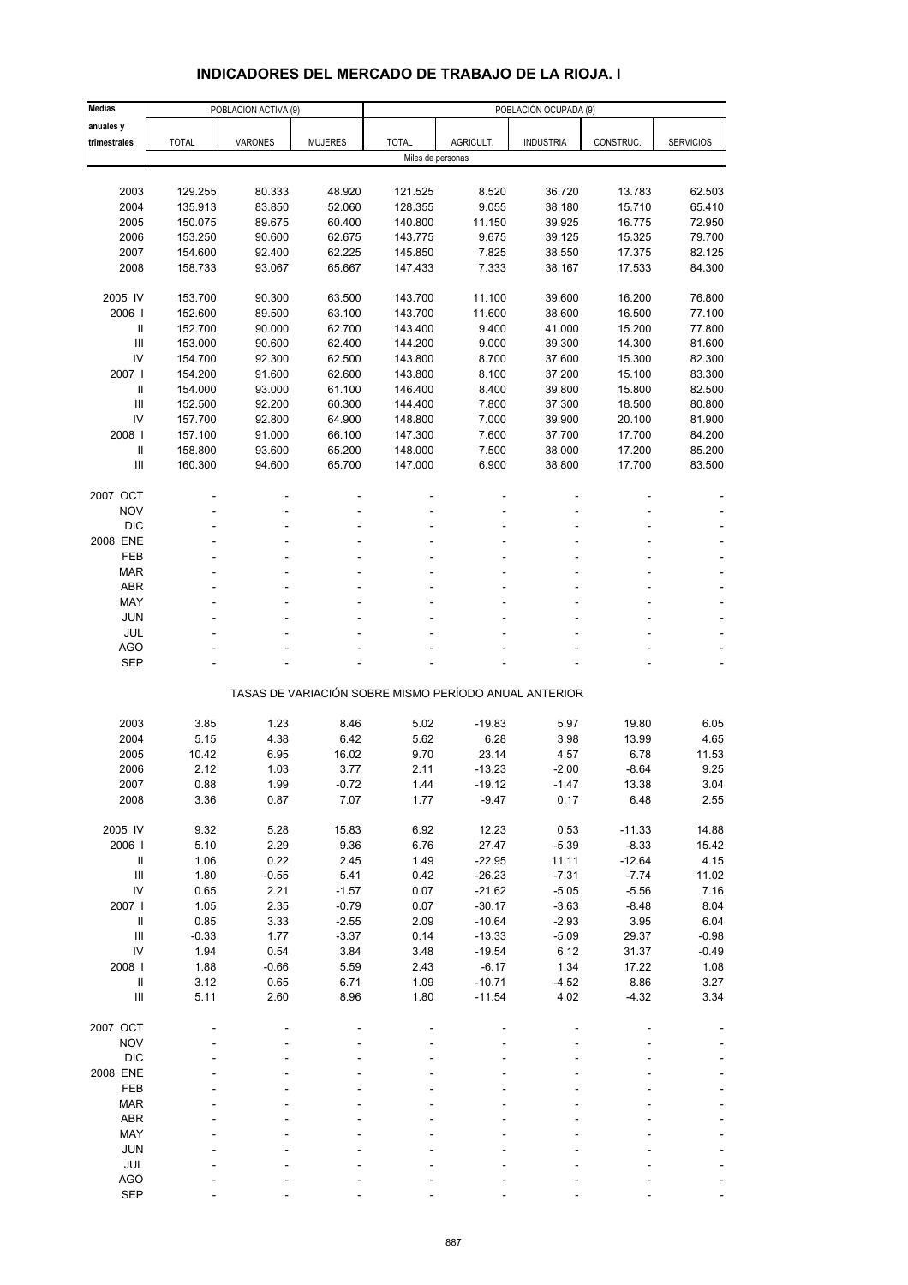# **INDICADORES DEL MERCADO DE TRABAJO DE LA RIOJA. I**

| <b>Medias</b>                      |              | POBLACIÓN ACTIVA (9) |                |                   |           | POBLACIÓN OCUPADA (9)                                 |           |                  |
|------------------------------------|--------------|----------------------|----------------|-------------------|-----------|-------------------------------------------------------|-----------|------------------|
| anuales y                          |              |                      |                |                   |           |                                                       |           |                  |
| trimestrales                       | <b>TOTAL</b> | <b>VARONES</b>       | <b>MUJERES</b> | <b>TOTAL</b>      | AGRICULT. | <b>INDUSTRIA</b>                                      | CONSTRUC. | <b>SERVICIOS</b> |
|                                    |              |                      |                | Miles de personas |           |                                                       |           |                  |
|                                    |              |                      |                |                   |           |                                                       |           |                  |
| 2003                               | 129.255      | 80.333               | 48.920         | 121.525           | 8.520     | 36.720                                                | 13.783    | 62.503           |
| 2004                               | 135.913      | 83.850               | 52.060         | 128.355           | 9.055     | 38.180                                                | 15.710    | 65.410           |
| 2005                               | 150.075      | 89.675               | 60.400         | 140.800           | 11.150    | 39.925                                                | 16.775    | 72.950           |
| 2006                               | 153.250      | 90.600               | 62.675         | 143.775           | 9.675     | 39.125                                                | 15.325    | 79.700           |
| 2007                               | 154.600      | 92.400               | 62.225         | 145.850           | 7.825     | 38.550                                                | 17.375    | 82.125           |
| 2008                               | 158.733      | 93.067               | 65.667         | 147.433           | 7.333     | 38.167                                                | 17.533    | 84.300           |
|                                    |              |                      |                |                   |           |                                                       |           |                  |
| 2005 IV                            | 153.700      | 90.300               | 63.500         | 143.700           | 11.100    | 39.600                                                | 16.200    | 76.800           |
| 2006                               | 152.600      | 89.500               | 63.100         | 143.700           | 11.600    | 38.600                                                | 16.500    | 77.100           |
| Ш                                  | 152.700      | 90.000               | 62.700         | 143.400           | 9.400     | 41.000                                                | 15.200    | 77.800           |
| $\mathop{\mathrm{III}}\nolimits$   | 153.000      | 90.600               | 62.400         | 144.200           | 9.000     | 39.300                                                | 14.300    | 81.600           |
| IV                                 | 154.700      | 92.300               | 62.500         | 143.800           | 8.700     | 37.600                                                | 15.300    | 82.300           |
| 2007 l                             | 154.200      | 91.600               | 62.600         | 143.800           | 8.100     | 37.200                                                | 15.100    | 83.300           |
| $\mathbf{II}$                      | 154.000      | 93.000               | 61.100         | 146.400           | 8.400     | 39.800                                                | 15.800    | 82.500           |
| $\mathbf{III}$                     | 152.500      | 92.200               | 60.300         | 144.400           | 7.800     | 37.300                                                | 18.500    | 80.800           |
| IV                                 | 157.700      | 92.800               | 64.900         | 148.800           | 7.000     | 39.900                                                | 20.100    | 81.900           |
| 2008                               | 157.100      | 91.000               | 66.100         | 147.300           | 7.600     | 37.700                                                | 17.700    | 84.200           |
| $\ensuremath{\mathsf{II}}$         | 158.800      | 93.600               | 65.200         | 148.000           | 7.500     | 38.000                                                | 17.200    | 85.200           |
| $\mathbf{III}$                     | 160.300      | 94.600               | 65.700         | 147.000           | 6.900     | 38.800                                                | 17.700    | 83.500           |
|                                    |              |                      |                |                   |           |                                                       |           |                  |
| 2007 OCT                           |              |                      |                |                   |           |                                                       |           |                  |
| <b>NOV</b>                         |              |                      |                |                   |           |                                                       |           |                  |
| <b>DIC</b>                         |              |                      |                |                   |           |                                                       |           |                  |
| 2008 ENE                           |              |                      |                |                   |           |                                                       |           |                  |
| FEB                                |              |                      |                |                   |           |                                                       |           |                  |
| <b>MAR</b>                         |              |                      |                |                   |           |                                                       |           |                  |
| <b>ABR</b>                         |              |                      |                |                   |           |                                                       |           |                  |
| MAY                                |              |                      |                |                   |           |                                                       |           |                  |
| <b>JUN</b>                         |              |                      |                |                   |           |                                                       |           |                  |
| JUL                                |              |                      |                |                   |           |                                                       |           |                  |
| <b>AGO</b>                         |              |                      |                |                   |           |                                                       |           |                  |
| <b>SEP</b>                         |              |                      |                |                   |           |                                                       |           |                  |
|                                    |              |                      |                |                   |           |                                                       |           |                  |
|                                    |              |                      |                |                   |           | TASAS DE VARIACIÓN SOBRE MISMO PERÍODO ANUAL ANTERIOR |           |                  |
|                                    |              |                      |                |                   |           |                                                       |           |                  |
| 2003                               | 3.85         | 1.23                 | 8.46           | 5.02              | $-19.83$  | 5.97                                                  | 19.80     | 6.05             |
| 2004                               | 5.15         | 4.38                 | 6.42           | 5.62              | 6.28      | 3.98                                                  | 13.99     | 4.65             |
| 2005                               | 10.42        | 6.95                 | 16.02          | 9.70              | 23.14     | 4.57                                                  | 6.78      | 11.53            |
| 2006                               | 2.12         | 1.03                 | 3.77           | 2.11              | $-13.23$  | $-2.00$                                               | $-8.64$   | 9.25             |
| 2007                               | 0.88         | 1.99                 | $-0.72$        | 1.44              | -19.12    | -1.47                                                 | 13.38     | 3.04             |
| 2008                               | 3.36         | 0.87                 | 7.07           | 1.77              | $-9.47$   | 0.17                                                  | 6.48      | 2.55             |
|                                    |              |                      |                |                   |           |                                                       |           |                  |
| 2005 IV                            | 9.32         | 5.28                 | 15.83          | 6.92              | 12.23     | 0.53                                                  | $-11.33$  | 14.88            |
| 2006                               | 5.10         | 2.29                 | 9.36           | 6.76              | 27.47     | $-5.39$                                               | $-8.33$   | 15.42            |
| Ш                                  | 1.06         | 0.22                 | 2.45           | 1.49              | $-22.95$  | 11.11                                                 | $-12.64$  | 4.15             |
| $\ensuremath{\mathsf{III}}\xspace$ | 1.80         | $-0.55$              | 5.41           | 0.42              | $-26.23$  | $-7.31$                                               | $-7.74$   | 11.02            |
| IV                                 | 0.65         | 2.21                 | $-1.57$        | 0.07              | $-21.62$  | $-5.05$                                               | $-5.56$   | 7.16             |
| 2007 l                             | 1.05         | 2.35                 | $-0.79$        | 0.07              | $-30.17$  | $-3.63$                                               | $-8.48$   | 8.04             |
| $\, \parallel$                     | 0.85         | 3.33                 | $-2.55$        | 2.09              | $-10.64$  | $-2.93$                                               | 3.95      | 6.04             |
| $\ensuremath{\mathsf{III}}\xspace$ | $-0.33$      | 1.77                 | $-3.37$        | 0.14              | $-13.33$  | $-5.09$                                               | 29.37     | $-0.98$          |
| IV                                 | 1.94         | 0.54                 | 3.84           | 3.48              | $-19.54$  | 6.12                                                  | 31.37     | $-0.49$          |
| 2008                               | 1.88         | $-0.66$              | 5.59           | 2.43              | $-6.17$   | 1.34                                                  | 17.22     | 1.08             |
| $\, \parallel$                     | 3.12         | 0.65                 | 6.71           | 1.09              | $-10.71$  | $-4.52$                                               | 8.86      | 3.27             |
| Ш                                  | 5.11         | 2.60                 | 8.96           | 1.80              | $-11.54$  | 4.02                                                  | $-4.32$   | 3.34             |
|                                    |              |                      |                |                   |           |                                                       |           |                  |
| 2007 OCT                           |              |                      |                |                   |           |                                                       |           |                  |
| <b>NOV</b>                         |              |                      |                |                   |           |                                                       |           |                  |
| <b>DIC</b>                         |              |                      |                |                   |           |                                                       |           |                  |
| 2008 ENE                           |              |                      |                |                   |           |                                                       |           |                  |
| FEB                                |              |                      |                |                   |           |                                                       |           |                  |
| <b>MAR</b>                         |              |                      |                |                   |           |                                                       |           |                  |
| ABR                                |              |                      |                |                   |           |                                                       |           |                  |
| MAY                                |              |                      |                |                   |           |                                                       |           |                  |
| <b>JUN</b>                         |              |                      |                |                   |           |                                                       |           |                  |
| JUL                                |              |                      |                |                   |           |                                                       |           |                  |
| <b>AGO</b>                         |              |                      |                |                   |           |                                                       |           |                  |
| <b>SEP</b>                         |              |                      |                |                   |           |                                                       |           |                  |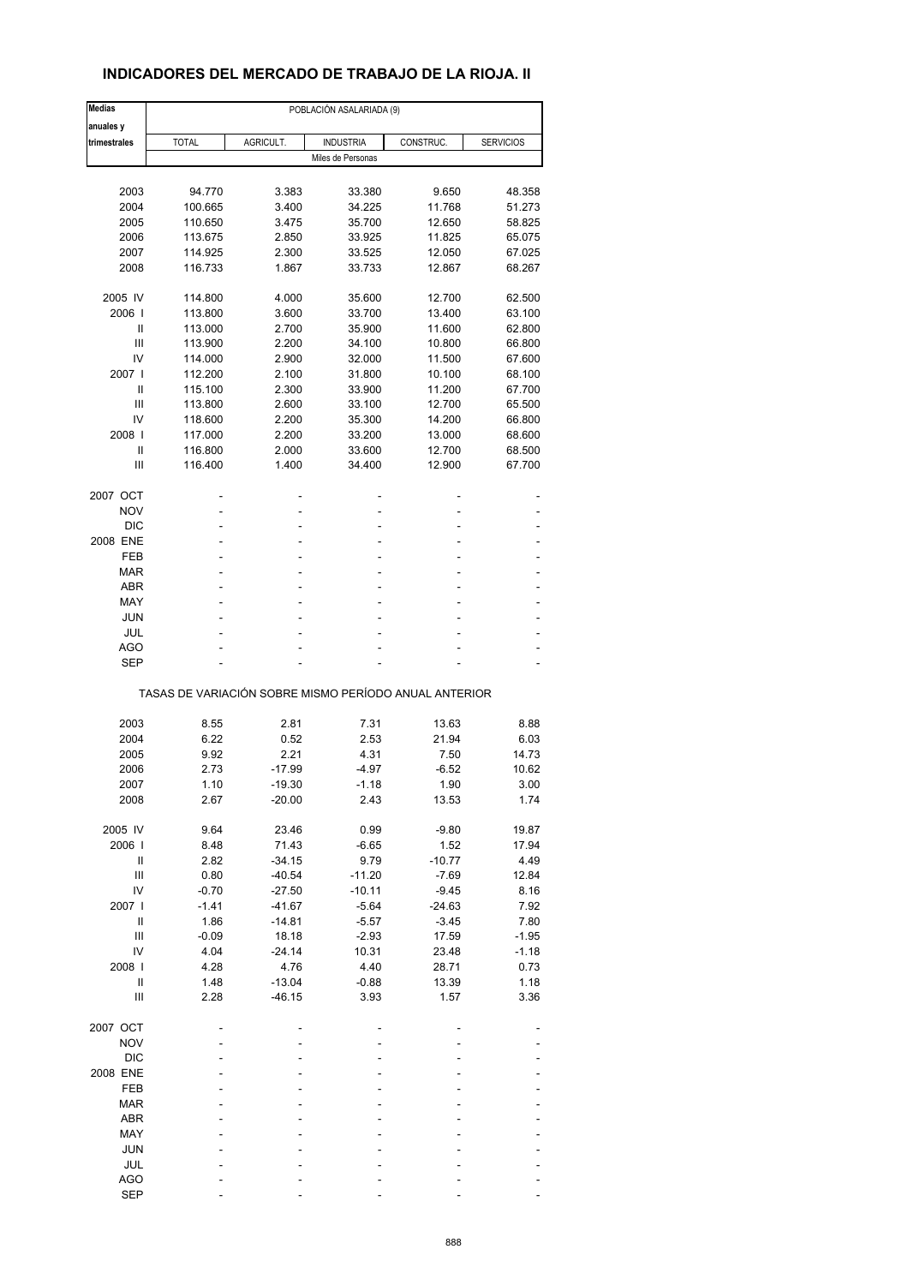# **INDICADORES DEL MERCADO DE TRABAJO DE LA RIOJA. II**

| <b>Medias</b>  | POBLACIÓN ASALARIADA (9)                              |           |                   |           |                  |  |  |  |
|----------------|-------------------------------------------------------|-----------|-------------------|-----------|------------------|--|--|--|
| anuales y      |                                                       |           |                   |           |                  |  |  |  |
| trimestrales   | <b>TOTAL</b>                                          | AGRICULT. | <b>INDUSTRIA</b>  | CONSTRUC. | <b>SERVICIOS</b> |  |  |  |
|                |                                                       |           | Miles de Personas |           |                  |  |  |  |
|                |                                                       |           |                   |           |                  |  |  |  |
| 2003           | 94.770                                                | 3.383     | 33.380            | 9.650     | 48.358           |  |  |  |
| 2004           | 100.665                                               | 3.400     | 34.225            | 11.768    | 51.273           |  |  |  |
| 2005           | 110.650                                               | 3.475     | 35.700            | 12.650    | 58.825           |  |  |  |
| 2006           | 113.675                                               | 2.850     | 33.925            | 11.825    | 65.075           |  |  |  |
| 2007           | 114.925                                               | 2.300     | 33.525            | 12.050    | 67.025           |  |  |  |
| 2008           | 116.733                                               | 1.867     | 33.733            | 12.867    | 68.267           |  |  |  |
| 2005 IV        | 114.800                                               | 4.000     | 35.600            | 12.700    | 62.500           |  |  |  |
| 2006           | 113.800                                               | 3.600     | 33.700            | 13.400    | 63.100           |  |  |  |
| Ш              | 113.000                                               | 2.700     | 35.900            | 11.600    | 62.800           |  |  |  |
| Ш              | 113.900                                               | 2.200     | 34.100            | 10.800    | 66.800           |  |  |  |
| IV             | 114.000                                               | 2.900     | 32.000            | 11.500    | 67.600           |  |  |  |
| 2007 l         | 112.200                                               | 2.100     | 31.800            | 10.100    | 68.100           |  |  |  |
|                |                                                       |           |                   |           |                  |  |  |  |
| Ш              | 115.100                                               | 2.300     | 33.900            | 11.200    | 67.700           |  |  |  |
| Ш              | 113.800                                               | 2.600     | 33.100            | 12.700    | 65.500           |  |  |  |
| IV             | 118.600                                               | 2.200     | 35.300            | 14.200    | 66.800           |  |  |  |
| 2008           | 117.000                                               | 2.200     | 33.200            | 13.000    | 68.600           |  |  |  |
| Ш              | 116.800                                               | 2.000     | 33.600            | 12.700    | 68.500           |  |  |  |
| Ш              | 116.400                                               | 1.400     | 34.400            | 12.900    | 67.700           |  |  |  |
| 2007 OCT       |                                                       | -         | $\overline{a}$    |           |                  |  |  |  |
| <b>NOV</b>     |                                                       |           |                   |           |                  |  |  |  |
| <b>DIC</b>     |                                                       |           |                   |           |                  |  |  |  |
| 2008 ENE       |                                                       |           | ۰                 |           |                  |  |  |  |
| FEB            |                                                       |           |                   |           |                  |  |  |  |
| MAR            |                                                       |           | ٠                 |           |                  |  |  |  |
|                |                                                       |           |                   |           |                  |  |  |  |
| <b>ABR</b>     |                                                       |           | ۰                 |           |                  |  |  |  |
| MAY            |                                                       |           |                   |           |                  |  |  |  |
| <b>JUN</b>     |                                                       |           |                   |           |                  |  |  |  |
| JUL            |                                                       |           | ٠                 |           |                  |  |  |  |
| AGO            |                                                       |           |                   |           |                  |  |  |  |
| <b>SEP</b>     |                                                       |           |                   |           |                  |  |  |  |
|                | TASAS DE VARIACIÓN SOBRE MISMO PERÍODO ANUAL ANTERIOR |           |                   |           |                  |  |  |  |
| 2003           | 8.55                                                  | 2.81      | 7.31              | 13.63     | 8.88             |  |  |  |
|                |                                                       |           |                   |           |                  |  |  |  |
| 2004           | 6.22                                                  | 0.52      | 2.53              | 21.94     | 6.03             |  |  |  |
| 2005           | 9.92                                                  | 2.21      | 4.31              | 7.50      | 14.73            |  |  |  |
| 2006           | 2.73                                                  | $-17.99$  | -4.97             | $-6.52$   | 10.62            |  |  |  |
| 2007           | 1.10                                                  | $-19.30$  | -1.18             | 1.90      | 3.00             |  |  |  |
| 2008           | 2.67                                                  | $-20.00$  | 2.43              | 13.53     | 1.74             |  |  |  |
| 2005 IV        | 9.64                                                  | 23.46     | 0.99              | $-9.80$   | 19.87            |  |  |  |
| 2006           | 8.48                                                  | 71.43     | $-6.65$           | 1.52      | 17.94            |  |  |  |
| Ш              | 2.82                                                  | $-34.15$  | 9.79              | $-10.77$  | 4.49             |  |  |  |
| Ш              | 0.80                                                  | $-40.54$  | $-11.20$          | $-7.69$   | 12.84            |  |  |  |
| IV             | $-0.70$                                               | $-27.50$  | $-10.11$          | $-9.45$   | 8.16             |  |  |  |
| 2007 l         | $-1.41$                                               | $-41.67$  | $-5.64$           | $-24.63$  | 7.92             |  |  |  |
| $\sf II$       | 1.86                                                  | $-14.81$  |                   | $-3.45$   | 7.80             |  |  |  |
|                |                                                       |           | $-5.57$           |           |                  |  |  |  |
| $\mathbf{III}$ | $-0.09$                                               | 18.18     | $-2.93$           | 17.59     | $-1.95$          |  |  |  |
| IV             | 4.04                                                  | $-24.14$  | 10.31             | 23.48     | $-1.18$          |  |  |  |
| 2008           | 4.28                                                  | 4.76      | 4.40              | 28.71     | 0.73             |  |  |  |
| $\sf II$       | 1.48                                                  | $-13.04$  | $-0.88$           | 13.39     | 1.18             |  |  |  |
| Ш              | 2.28                                                  | $-46.15$  | 3.93              | 1.57      | 3.36             |  |  |  |
| 2007 OCT       |                                                       |           |                   |           |                  |  |  |  |
| <b>NOV</b>     |                                                       |           |                   |           |                  |  |  |  |
| <b>DIC</b>     |                                                       |           |                   |           |                  |  |  |  |
| 2008 ENE       |                                                       |           |                   |           |                  |  |  |  |
|                |                                                       |           |                   |           |                  |  |  |  |
| FEB            |                                                       |           |                   |           |                  |  |  |  |
| <b>MAR</b>     |                                                       |           |                   |           |                  |  |  |  |
| ABR            |                                                       |           |                   |           |                  |  |  |  |
| MAY            |                                                       |           |                   |           |                  |  |  |  |
| <b>JUN</b>     |                                                       |           |                   |           |                  |  |  |  |
| JUL            |                                                       |           |                   |           |                  |  |  |  |
| <b>AGO</b>     |                                                       |           |                   |           |                  |  |  |  |
| <b>SEP</b>     |                                                       |           |                   |           |                  |  |  |  |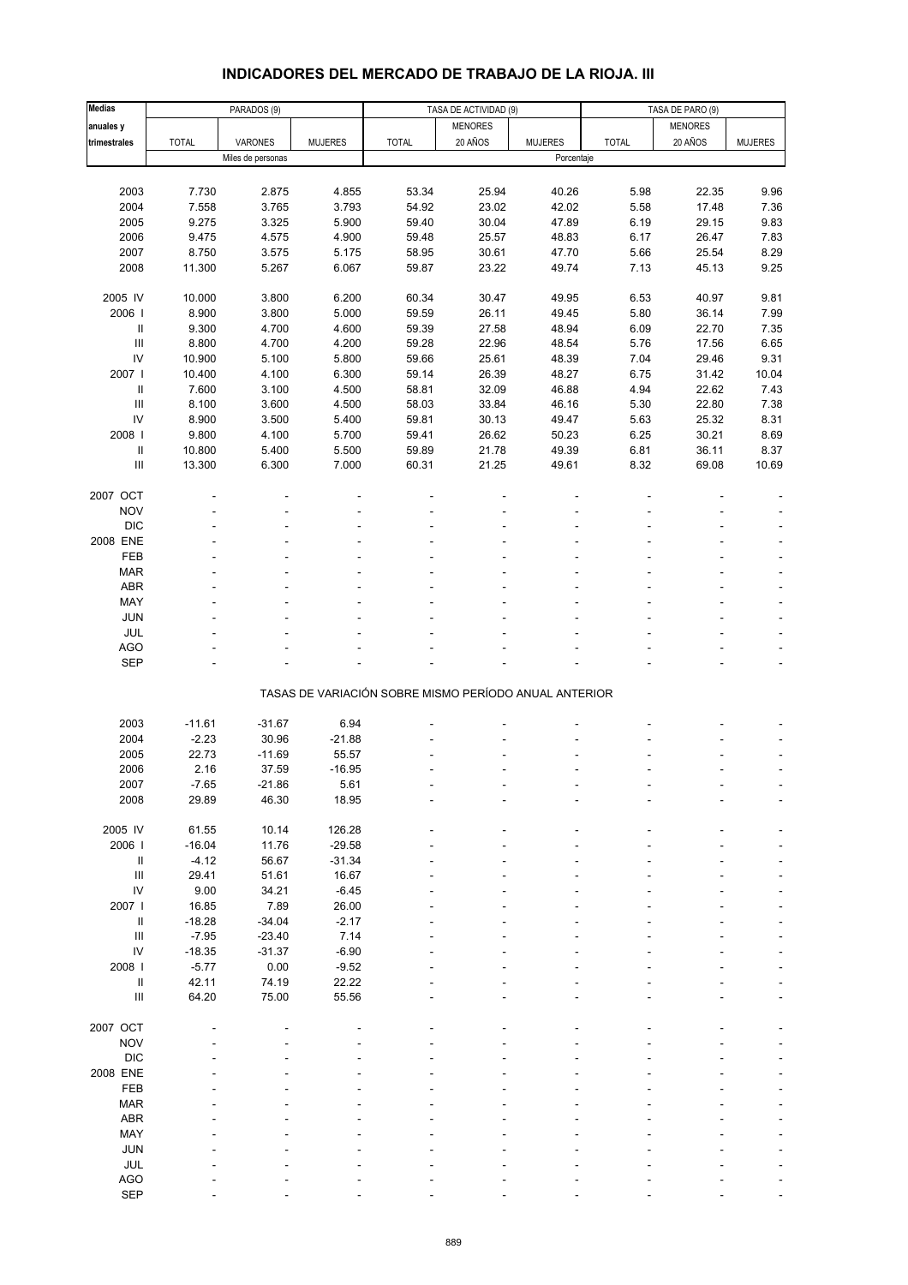| Medias                             |              | PARADOS (9)       |                |              | TASA DE ACTIVIDAD (9)                                 |                |              | TASA DE PARO (9) |                |
|------------------------------------|--------------|-------------------|----------------|--------------|-------------------------------------------------------|----------------|--------------|------------------|----------------|
| anuales y                          |              |                   |                |              | <b>MENORES</b>                                        |                |              | <b>MENORES</b>   |                |
| trimestrales                       | <b>TOTAL</b> | VARONES           | <b>MUJERES</b> | <b>TOTAL</b> | 20 AÑOS                                               | <b>MUJERES</b> | <b>TOTAL</b> | 20 AÑOS          | <b>MUJERES</b> |
|                                    |              | Miles de personas |                |              |                                                       | Porcentaje     |              |                  |                |
|                                    |              |                   |                |              |                                                       |                |              |                  |                |
|                                    |              |                   |                |              |                                                       |                |              |                  |                |
| 2003                               | 7.730        | 2.875             | 4.855          | 53.34        | 25.94                                                 | 40.26          | 5.98         | 22.35            | 9.96           |
| 2004                               | 7.558        | 3.765             | 3.793          | 54.92        | 23.02                                                 | 42.02          | 5.58         | 17.48            | 7.36           |
| 2005                               | 9.275        | 3.325             | 5.900          | 59.40        | 30.04                                                 | 47.89          | 6.19         | 29.15            | 9.83           |
| 2006                               | 9.475        | 4.575             | 4.900          | 59.48        | 25.57                                                 | 48.83          | 6.17         | 26.47            | 7.83           |
| 2007                               | 8.750        | 3.575             | 5.175          | 58.95        | 30.61                                                 | 47.70          | 5.66         | 25.54            | 8.29           |
| 2008                               | 11.300       | 5.267             | 6.067          | 59.87        | 23.22                                                 | 49.74          | 7.13         | 45.13            | 9.25           |
|                                    |              |                   |                |              |                                                       |                |              |                  |                |
| 2005 IV                            | 10.000       | 3.800             | 6.200          | 60.34        | 30.47                                                 | 49.95          | 6.53         | 40.97            | 9.81           |
| 2006                               | 8.900        | 3.800             | 5.000          | 59.59        | 26.11                                                 | 49.45          | 5.80         | 36.14            | 7.99           |
| Ш                                  | 9.300        | 4.700             | 4.600          | 59.39        | 27.58                                                 | 48.94          | 6.09         | 22.70            | 7.35           |
| $\ensuremath{\mathsf{III}}\xspace$ | 8.800        | 4.700             | 4.200          | 59.28        | 22.96                                                 | 48.54          | 5.76         | 17.56            | 6.65           |
| ${\sf IV}$                         | 10.900       | 5.100             | 5.800          | 59.66        | 25.61                                                 | 48.39          | 7.04         | 29.46            | 9.31           |
| 2007 l                             |              | 4.100             |                | 59.14        | 26.39                                                 | 48.27          | 6.75         | 31.42            | 10.04          |
|                                    | 10.400       |                   | 6.300          |              |                                                       |                |              |                  |                |
| Ш                                  | 7.600        | 3.100             | 4.500          | 58.81        | 32.09                                                 | 46.88          | 4.94         | 22.62            | 7.43           |
| $\ensuremath{\mathsf{III}}\xspace$ | 8.100        | 3.600             | 4.500          | 58.03        | 33.84                                                 | 46.16          | 5.30         | 22.80            | 7.38           |
| IV                                 | 8.900        | 3.500             | 5.400          | 59.81        | 30.13                                                 | 49.47          | 5.63         | 25.32            | 8.31           |
| 2008 l                             | 9.800        | 4.100             | 5.700          | 59.41        | 26.62                                                 | 50.23          | 6.25         | 30.21            | 8.69           |
| $\ensuremath{\mathsf{II}}$         | 10.800       | 5.400             | 5.500          | 59.89        | 21.78                                                 | 49.39          | 6.81         | 36.11            | 8.37           |
| Ш                                  | 13.300       | 6.300             | 7.000          | 60.31        | 21.25                                                 | 49.61          | 8.32         | 69.08            | 10.69          |
|                                    |              |                   |                |              |                                                       |                |              |                  |                |
| 2007 OCT                           |              |                   |                |              |                                                       |                |              |                  |                |
| <b>NOV</b>                         |              |                   |                |              |                                                       |                |              |                  |                |
| <b>DIC</b>                         |              |                   |                |              |                                                       |                |              |                  |                |
| 2008 ENE                           |              |                   |                |              |                                                       |                |              |                  |                |
| FEB                                |              |                   |                |              |                                                       |                |              |                  |                |
| <b>MAR</b>                         |              |                   |                |              |                                                       |                |              |                  |                |
|                                    |              |                   |                |              |                                                       |                |              |                  |                |
| <b>ABR</b>                         |              |                   |                |              |                                                       |                |              |                  | L,             |
| MAY                                |              |                   |                |              |                                                       |                |              |                  |                |
| JUN                                |              |                   |                |              |                                                       |                |              |                  |                |
| JUL                                |              |                   |                |              |                                                       |                |              |                  | L,             |
| <b>AGO</b>                         |              |                   |                |              |                                                       |                |              |                  |                |
| <b>SEP</b>                         |              |                   |                |              |                                                       |                |              |                  |                |
|                                    |              |                   |                |              | TASAS DE VARIACIÓN SOBRE MISMO PERÍODO ANUAL ANTERIOR |                |              |                  |                |
|                                    |              |                   |                |              |                                                       |                |              |                  |                |
|                                    |              |                   |                |              |                                                       |                |              |                  |                |
| 2003                               | $-11.61$     | $-31.67$          | 6.94           |              |                                                       |                |              |                  |                |
| 2004                               | $-2.23$      | 30.96             | $-21.88$       |              |                                                       |                |              |                  |                |
| 2005                               | 22.73        | $-11.69$          | 55.57          |              |                                                       |                |              |                  | ÷,             |
| 2006                               | 2.16         | 37.59             | $-16.95$       |              |                                                       |                |              |                  |                |
| 2007                               | -7.65        | -21.86            | 5.61           |              |                                                       |                |              |                  |                |
| 2008                               | 29.89        | 46.30             | 18.95          |              |                                                       |                |              |                  |                |
|                                    |              |                   |                |              |                                                       |                |              |                  |                |
| 2005 IV                            | 61.55        | 10.14             | 126.28         |              |                                                       |                |              |                  |                |
| 2006                               | $-16.04$     | 11.76             | $-29.58$       |              |                                                       |                |              |                  |                |
| $\ensuremath{\mathsf{II}}$         | $-4.12$      | 56.67             | $-31.34$       |              |                                                       |                |              |                  |                |
| $\ensuremath{\mathsf{III}}\xspace$ | 29.41        | 51.61             | 16.67          |              |                                                       |                |              |                  |                |
| IV                                 | 9.00         | 34.21             | $-6.45$        |              |                                                       |                |              |                  |                |
|                                    |              |                   |                |              |                                                       |                |              |                  |                |
| 2007 l                             | 16.85        | 7.89              | 26.00          |              |                                                       |                |              |                  |                |
| $\ensuremath{\mathsf{II}}$         | $-18.28$     | $-34.04$          | $-2.17$        |              |                                                       |                |              |                  |                |
| $\ensuremath{\mathsf{III}}\xspace$ | $-7.95$      | $-23.40$          | 7.14           |              |                                                       |                |              |                  |                |
| ${\sf IV}$                         | $-18.35$     | $-31.37$          | $-6.90$        |              |                                                       |                |              |                  |                |
| 2008 l                             | $-5.77$      | 0.00              | $-9.52$        |              |                                                       |                |              |                  |                |
| Ш                                  | 42.11        | 74.19             | 22.22          |              |                                                       |                |              |                  |                |
| $\ensuremath{\mathsf{III}}\xspace$ | 64.20        | 75.00             | 55.56          |              |                                                       |                |              |                  |                |
|                                    |              |                   |                |              |                                                       |                |              |                  |                |
| 2007 OCT                           |              |                   |                |              |                                                       |                |              |                  |                |
| <b>NOV</b>                         |              |                   |                |              |                                                       |                |              |                  |                |
| <b>DIC</b>                         |              |                   |                |              |                                                       |                |              |                  |                |
| 2008 ENE                           |              |                   |                |              |                                                       |                |              |                  |                |
|                                    |              |                   |                |              |                                                       |                |              |                  |                |
| FEB                                |              |                   |                |              |                                                       |                |              |                  |                |
| <b>MAR</b>                         |              |                   |                |              |                                                       |                |              |                  |                |
| ABR                                |              |                   |                |              |                                                       |                |              |                  |                |
| MAY                                |              |                   |                |              |                                                       |                |              |                  |                |
| JUN                                |              |                   |                |              |                                                       |                |              |                  |                |
| JUL                                |              |                   |                |              |                                                       |                |              |                  |                |
| AGO                                |              |                   |                |              |                                                       |                |              |                  |                |
| <b>SEP</b>                         |              |                   |                |              |                                                       |                |              |                  |                |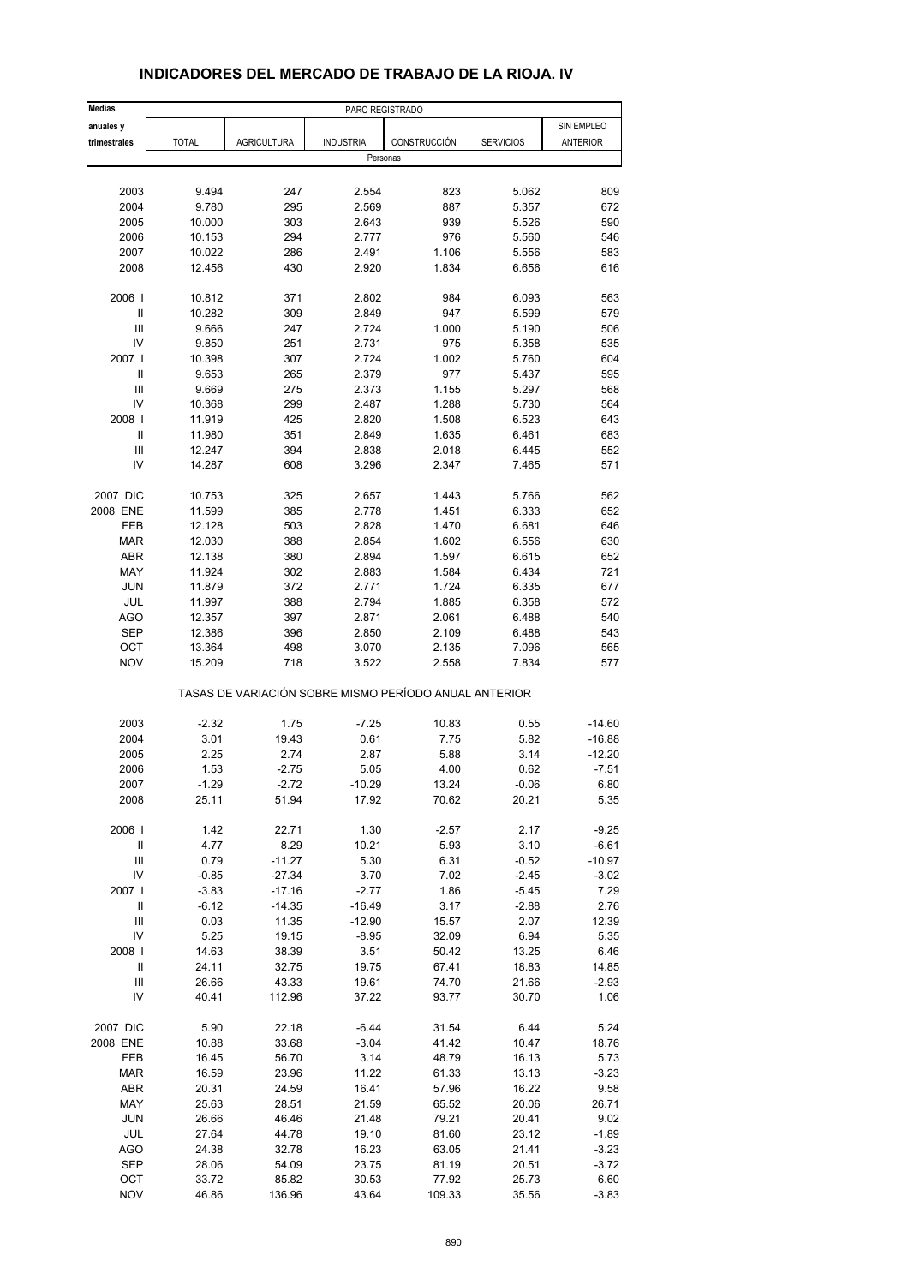| <b>Medias</b>                      |              |                                                       | PARO REGISTRADO  |              |                  |            |
|------------------------------------|--------------|-------------------------------------------------------|------------------|--------------|------------------|------------|
| anuales y                          |              |                                                       |                  |              |                  | SIN EMPLEO |
| trimestrales                       | <b>TOTAL</b> | <b>AGRICULTURA</b>                                    | <b>INDUSTRIA</b> | CONSTRUCCIÓN | <b>SERVICIOS</b> | ANTERIOR   |
|                                    |              |                                                       | Personas         |              |                  |            |
|                                    |              |                                                       |                  |              |                  |            |
| 2003                               | 9.494        | 247                                                   | 2.554            | 823          | 5.062            | 809        |
| 2004                               | 9.780        | 295                                                   | 2.569            | 887          | 5.357            | 672        |
| 2005                               | 10.000       | 303                                                   | 2.643            | 939          | 5.526            | 590        |
| 2006                               | 10.153       | 294                                                   | 2.777            | 976          | 5.560            | 546        |
| 2007                               | 10.022       | 286                                                   | 2.491            | 1.106        | 5.556            | 583        |
| 2008                               | 12.456       | 430                                                   | 2.920            | 1.834        | 6.656            | 616        |
|                                    |              |                                                       |                  |              |                  |            |
| 2006                               | 10.812       | 371                                                   | 2.802            | 984          | 6.093            | 563        |
| Ш                                  | 10.282       | 309                                                   | 2.849            | 947          | 5.599            | 579        |
| Ш                                  | 9.666        | 247                                                   | 2.724            | 1.000        | 5.190            | 506        |
| IV                                 | 9.850        | 251                                                   | 2.731            | 975          | 5.358            | 535        |
| 2007 I                             | 10.398       | 307                                                   | 2.724            | 1.002        | 5.760            | 604        |
| Ш                                  | 9.653        | 265                                                   | 2.379            | 977          | 5.437            | 595        |
| Ш                                  | 9.669        | 275                                                   | 2.373            | 1.155        | 5.297            | 568        |
| IV                                 | 10.368       | 299                                                   | 2.487            | 1.288        | 5.730            | 564        |
| 2008                               | 11.919       | 425                                                   | 2.820            | 1.508        | 6.523            | 643        |
| Ш                                  | 11.980       | 351                                                   | 2.849            | 1.635        | 6.461            | 683        |
| Ш                                  | 12.247       | 394                                                   | 2.838            | 2.018        | 6.445            | 552        |
| IV                                 | 14.287       | 608                                                   | 3.296            | 2.347        | 7.465            | 571        |
|                                    |              |                                                       |                  |              |                  |            |
| 2007 DIC                           | 10.753       | 325                                                   | 2.657            | 1.443        | 5.766            | 562        |
| 2008 ENE                           | 11.599       | 385                                                   | 2.778            | 1.451        | 6.333            | 652        |
| FEB                                | 12.128       | 503                                                   | 2.828            | 1.470        | 6.681            | 646        |
| <b>MAR</b>                         | 12.030       | 388                                                   | 2.854            | 1.602        | 6.556            | 630        |
| ABR                                | 12.138       | 380                                                   | 2.894            | 1.597        | 6.615            | 652        |
| MAY                                | 11.924       | 302                                                   | 2.883            | 1.584        | 6.434            | 721        |
| <b>JUN</b>                         | 11.879       | 372                                                   | 2.771            | 1.724        | 6.335            | 677        |
| JUL                                | 11.997       | 388                                                   | 2.794            | 1.885        | 6.358            | 572        |
| AGO                                | 12.357       | 397                                                   | 2.871            | 2.061        | 6.488            | 540        |
| <b>SEP</b>                         | 12.386       | 396                                                   | 2.850            | 2.109        | 6.488            | 543        |
| OCT                                | 13.364       | 498                                                   | 3.070            | 2.135        | 7.096            | 565        |
| <b>NOV</b>                         | 15.209       | 718                                                   | 3.522            | 2.558        | 7.834            | 577        |
|                                    |              | TASAS DE VARIACIÓN SOBRE MISMO PERÍODO ANUAL ANTERIOR |                  |              |                  |            |
|                                    |              |                                                       |                  |              |                  |            |
| 2003                               | $-2.32$      | 1.75                                                  | $-7.25$          | 10.83        | 0.55             | $-14.60$   |
| 2004                               | 3.01         | 19.43                                                 | 0.61             | 7.75         | 5.82             | $-16.88$   |
| 2005                               | 2.25         | 2.74                                                  | 2.87             | 5.88         | 3.14             | $-12.20$   |
| 2006                               | 1.53         | $-2.75$                                               | 5.05             | 4.00         | 0.62             | $-7.51$    |
| 2007                               | -1.29        | $-2.72$                                               | $-10.29$         | 13.24        | $-0.06$          | 6.80       |
| 2008                               | 25.11        | 51.94                                                 | 17.92            | 70.62        | 20.21            | 5.35       |
| 2006                               | 1.42         | 22.71                                                 | 1.30             | $-2.57$      | 2.17             | $-9.25$    |
| Ш                                  | 4.77         | 8.29                                                  | 10.21            | 5.93         | 3.10             | $-6.61$    |
| $\ensuremath{\mathsf{III}}\xspace$ | 0.79         | $-11.27$                                              | 5.30             | 6.31         | $-0.52$          | $-10.97$   |
| IV                                 | $-0.85$      | $-27.34$                                              | 3.70             | 7.02         | $-2.45$          | $-3.02$    |
| 2007                               | $-3.83$      | $-17.16$                                              | $-2.77$          | 1.86         | -5.45            | 7.29       |
| $\ensuremath{\mathsf{II}}$         | $-6.12$      | $-14.35$                                              | $-16.49$         | 3.17         | $-2.88$          | 2.76       |
| Ш                                  | 0.03         | 11.35                                                 | $-12.90$         | 15.57        | 2.07             | 12.39      |
| IV                                 | 5.25         | 19.15                                                 | $-8.95$          | 32.09        | 6.94             | 5.35       |
| 2008                               | 14.63        | 38.39                                                 | 3.51             | 50.42        | 13.25            | 6.46       |
| Ш                                  | 24.11        | 32.75                                                 | 19.75            | 67.41        | 18.83            | 14.85      |
| Ш                                  | 26.66        | 43.33                                                 | 19.61            | 74.70        | 21.66            | $-2.93$    |
| IV                                 | 40.41        | 112.96                                                | 37.22            | 93.77        | 30.70            | 1.06       |
|                                    |              |                                                       |                  |              |                  |            |
| 2007 DIC                           | 5.90         | 22.18                                                 | $-6.44$          | 31.54        | 6.44             | 5.24       |
| 2008 ENE                           | 10.88        | 33.68                                                 | $-3.04$          | 41.42        | 10.47            | 18.76      |
| FEB                                | 16.45        | 56.70                                                 | 3.14             | 48.79        | 16.13            | 5.73       |
| <b>MAR</b>                         | 16.59        | 23.96                                                 | 11.22            | 61.33        | 13.13            | $-3.23$    |
| ABR                                | 20.31        | 24.59                                                 | 16.41            | 57.96        | 16.22            | 9.58       |
| MAY                                | 25.63        | 28.51                                                 | 21.59            | 65.52        | 20.06            | 26.71      |
| <b>JUN</b>                         | 26.66        | 46.46                                                 | 21.48            | 79.21        | 20.41            | 9.02       |
| JUL                                | 27.64        | 44.78                                                 | 19.10            | 81.60        | 23.12            | $-1.89$    |
| AGO                                | 24.38        | 32.78                                                 | 16.23            | 63.05        | 21.41            | $-3.23$    |
| <b>SEP</b>                         | 28.06        | 54.09                                                 | 23.75            | 81.19        | 20.51            | $-3.72$    |
| OCT                                | 33.72        | 85.82                                                 | 30.53            | 77.92        | 25.73            | 6.60       |
| <b>NOV</b>                         | 46.86        | 136.96                                                | 43.64            | 109.33       | 35.56            | $-3.83$    |

### **INDICADORES DEL MERCADO DE TRABAJO DE LA RIOJA. IV**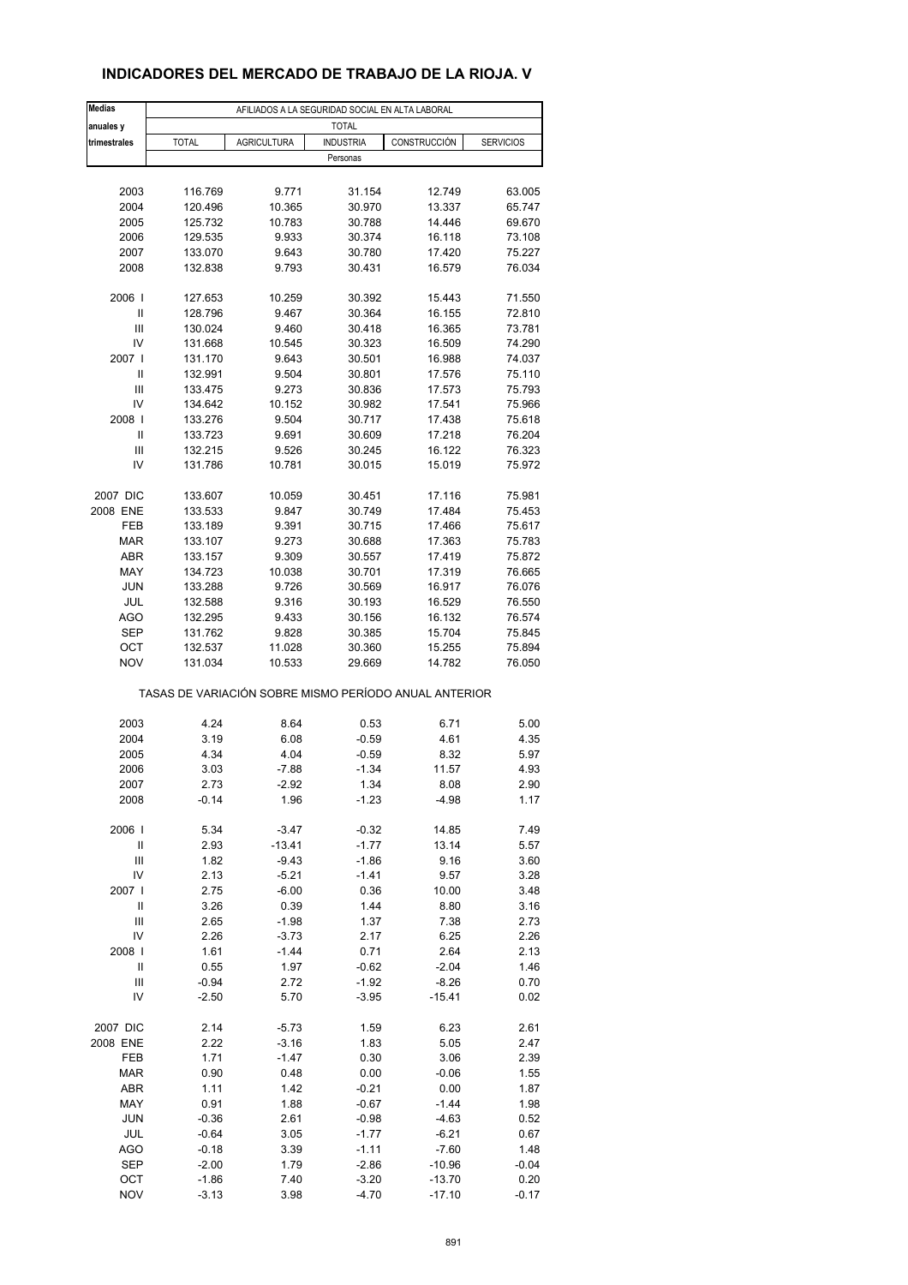## **INDICADORES DEL MERCADO DE TRABAJO DE LA RIOJA. V**

| <b>Medias</b>  | AFILIADOS A LA SEGURIDAD SOCIAL EN ALTA LABORAL |                    |                  |                                                       |                  |  |  |  |
|----------------|-------------------------------------------------|--------------------|------------------|-------------------------------------------------------|------------------|--|--|--|
| anuales y      |                                                 |                    | <b>TOTAL</b>     |                                                       |                  |  |  |  |
| trimestrales   | <b>TOTAL</b>                                    | <b>AGRICULTURA</b> | <b>INDUSTRIA</b> | CONSTRUCCIÓN                                          | <b>SERVICIOS</b> |  |  |  |
|                |                                                 |                    | Personas         |                                                       |                  |  |  |  |
|                |                                                 |                    |                  |                                                       |                  |  |  |  |
| 2003           | 116.769                                         | 9.771              | 31.154           | 12.749                                                | 63.005           |  |  |  |
| 2004           | 120.496                                         | 10.365             | 30.970           | 13.337                                                | 65.747           |  |  |  |
| 2005           | 125.732                                         | 10.783             | 30.788           | 14.446                                                | 69.670           |  |  |  |
| 2006           | 129.535                                         | 9.933              | 30.374           | 16.118                                                | 73.108           |  |  |  |
| 2007           | 133.070                                         | 9.643              | 30.780           | 17.420                                                | 75.227           |  |  |  |
| 2008           | 132.838                                         | 9.793              | 30.431           | 16.579                                                | 76.034           |  |  |  |
| 2006           | 127.653                                         | 10.259             | 30.392           | 15.443                                                | 71.550           |  |  |  |
| Ш              | 128.796                                         | 9.467              | 30.364           | 16.155                                                | 72.810           |  |  |  |
| Ш              | 130.024                                         | 9.460              | 30.418           | 16.365                                                | 73.781           |  |  |  |
| IV             | 131.668                                         | 10.545             | 30.323           | 16.509                                                | 74.290           |  |  |  |
| 2007 l         | 131.170                                         | 9.643              | 30.501           | 16.988                                                | 74.037           |  |  |  |
| Ш              | 132.991                                         | 9.504              | 30.801           | 17.576                                                | 75.110           |  |  |  |
| Ш              | 133.475                                         | 9.273              | 30.836           | 17.573                                                | 75.793           |  |  |  |
| IV             | 134.642                                         | 10.152             | 30.982           | 17.541                                                | 75.966           |  |  |  |
| 2008           | 133.276                                         | 9.504              | 30.717           | 17.438                                                | 75.618           |  |  |  |
| Ш              | 133.723                                         | 9.691              | 30.609           | 17.218                                                | 76.204           |  |  |  |
| Ш              | 132.215                                         | 9.526              | 30.245           | 16.122                                                | 76.323           |  |  |  |
| IV             | 131.786                                         | 10.781             | 30.015           | 15.019                                                | 75.972           |  |  |  |
| 2007 DIC       | 133.607                                         | 10.059             | 30.451           | 17.116                                                | 75.981           |  |  |  |
| 2008 ENE       | 133.533                                         | 9.847              | 30.749           | 17.484                                                | 75.453           |  |  |  |
| FEB            | 133.189                                         | 9.391              | 30.715           | 17.466                                                | 75.617           |  |  |  |
| <b>MAR</b>     | 133.107                                         | 9.273              | 30.688           | 17.363                                                | 75.783           |  |  |  |
| ABR            | 133.157                                         | 9.309              | 30.557           | 17.419                                                | 75.872           |  |  |  |
| MAY            | 134.723                                         | 10.038             | 30.701           | 17.319                                                | 76.665           |  |  |  |
| <b>JUN</b>     | 133.288                                         | 9.726              | 30.569           | 16.917                                                | 76.076           |  |  |  |
| JUL            | 132.588                                         | 9.316              | 30.193           | 16.529                                                | 76.550           |  |  |  |
| AGO            | 132.295                                         | 9.433              | 30.156           | 16.132                                                | 76.574           |  |  |  |
| <b>SEP</b>     | 131.762                                         | 9.828              | 30.385           | 15.704                                                | 75.845           |  |  |  |
| OCT            | 132.537                                         | 11.028             | 30.360           | 15.255                                                | 75.894           |  |  |  |
| <b>NOV</b>     | 131.034                                         | 10.533             | 29.669           | 14.782                                                | 76.050           |  |  |  |
|                |                                                 |                    |                  | TASAS DE VARIACIÓN SOBRE MISMO PERÍODO ANUAL ANTERIOR |                  |  |  |  |
| 2003           | 4.24                                            | 8.64               | 0.53             | 6.71                                                  | 5.00             |  |  |  |
| 2004           | 3.19                                            | 6.08               | $-0.59$          | 4.61                                                  | 4.35             |  |  |  |
| 2005           | 4.34                                            | 4.04               | $-0.59$          | 8.32                                                  | 5.97             |  |  |  |
| 2006           | 3.03                                            | $-7.88$            | $-1.34$          | 11.57                                                 | 4.93             |  |  |  |
| 2007           | 2.73                                            | -2.92              | 1.34             | 8.08                                                  | 2.90             |  |  |  |
| 2008           | $-0.14$                                         | 1.96               | $-1.23$          | $-4.98$                                               | 1.17             |  |  |  |
| 2006           | 5.34                                            | $-3.47$            | $-0.32$          | 14.85                                                 | 7.49             |  |  |  |
| $\sf II$       | 2.93                                            | $-13.41$           | $-1.77$          | 13.14                                                 |                  |  |  |  |
| Ш              | 1.82                                            | $-9.43$            | $-1.86$          | 9.16                                                  | 5.57<br>3.60     |  |  |  |
| IV             | 2.13                                            | $-5.21$            | $-1.41$          | 9.57                                                  | 3.28             |  |  |  |
| 2007 l         | 2.75                                            | $-6.00$            | 0.36             | 10.00                                                 | 3.48             |  |  |  |
| $\mathsf{I}$   | 3.26                                            | 0.39               | 1.44             | 8.80                                                  | 3.16             |  |  |  |
| $\mathsf{III}$ | 2.65                                            | $-1.98$            | 1.37             | 7.38                                                  | 2.73             |  |  |  |
| IV             | 2.26                                            | $-3.73$            | 2.17             | 6.25                                                  | 2.26             |  |  |  |
| 2008           | 1.61                                            | $-1.44$            | 0.71             | 2.64                                                  | 2.13             |  |  |  |
| Ш              | 0.55                                            | 1.97               | $-0.62$          | $-2.04$                                               | 1.46             |  |  |  |
| Ш              | $-0.94$                                         | 2.72               | $-1.92$          | $-8.26$                                               | 0.70             |  |  |  |
| IV             | -2.50                                           | 5.70               | $-3.95$          | $-15.41$                                              | 0.02             |  |  |  |
|                |                                                 |                    |                  |                                                       |                  |  |  |  |
| 2007 DIC       | 2.14                                            | $-5.73$            | 1.59             | 6.23                                                  | 2.61             |  |  |  |
| 2008 ENE       | 2.22                                            | $-3.16$            | 1.83             | 5.05                                                  | 2.47             |  |  |  |
| FEB            | 1.71                                            | $-1.47$            | 0.30             | 3.06                                                  | 2.39             |  |  |  |
| <b>MAR</b>     | 0.90                                            | 0.48               | 0.00             | $-0.06$                                               | 1.55             |  |  |  |
| ABR            | 1.11                                            | 1.42               | $-0.21$          | 0.00                                                  | 1.87             |  |  |  |
| MAY            | 0.91                                            | 1.88               | $-0.67$          | $-1.44$                                               | 1.98             |  |  |  |
| <b>JUN</b>     | $-0.36$                                         | 2.61               | $-0.98$          | $-4.63$                                               | 0.52             |  |  |  |
| JUL            | $-0.64$                                         | 3.05               | $-1.77$          | $-6.21$                                               | 0.67             |  |  |  |
| AGO            | $-0.18$                                         | 3.39               | $-1.11$          | $-7.60$                                               | 1.48             |  |  |  |
| <b>SEP</b>     | $-2.00$                                         | 1.79               | $-2.86$          | $-10.96$                                              | $-0.04$          |  |  |  |
| OCT            | $-1.86$                                         | 7.40               | $-3.20$          | $-13.70$                                              | 0.20             |  |  |  |
| <b>NOV</b>     | $-3.13$                                         | 3.98               | $-4.70$          | $-17.10$                                              | $-0.17$          |  |  |  |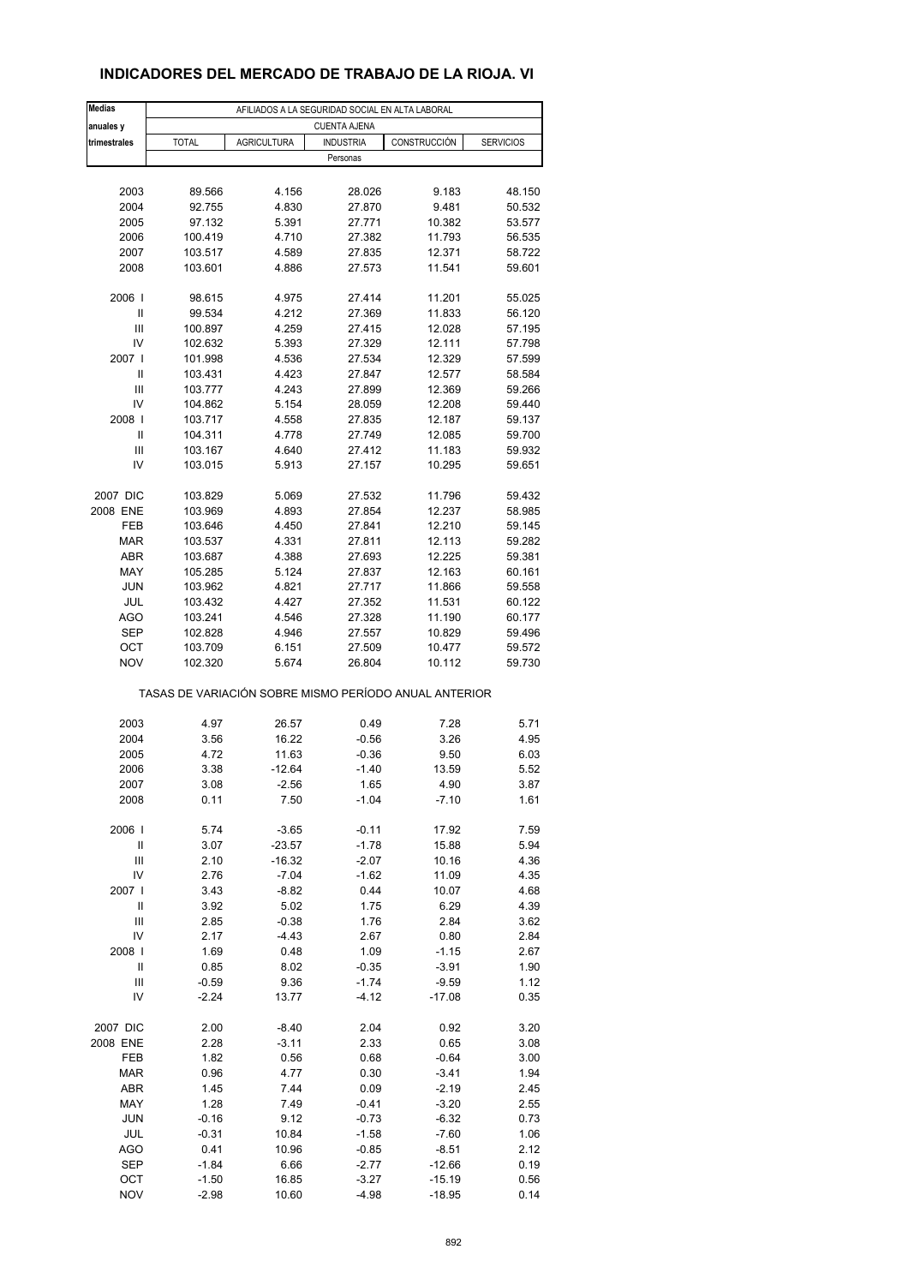# **INDICADORES DEL MERCADO DE TRABAJO DE LA RIOJA. VI**

| <b>Medias</b>     | AFILIADOS A LA SEGURIDAD SOCIAL EN ALTA LABORAL       |                     |                     |                  |                  |  |  |  |
|-------------------|-------------------------------------------------------|---------------------|---------------------|------------------|------------------|--|--|--|
| anuales y         |                                                       |                     | <b>CUENTA AJENA</b> |                  |                  |  |  |  |
| trimestrales      | <b>TOTAL</b>                                          | <b>AGRICULTURA</b>  | <b>INDUSTRIA</b>    | CONSTRUCCIÓN     | <b>SERVICIOS</b> |  |  |  |
|                   |                                                       |                     | Personas            |                  |                  |  |  |  |
|                   |                                                       |                     |                     |                  |                  |  |  |  |
| 2003              | 89.566                                                | 4.156               | 28.026              | 9.183            | 48.150           |  |  |  |
| 2004              | 92.755                                                | 4.830               | 27.870              | 9.481            | 50.532           |  |  |  |
| 2005              | 97.132                                                | 5.391               | 27.771              | 10.382           | 53.577           |  |  |  |
| 2006              | 100.419                                               | 4.710               | 27.382              | 11.793           | 56.535           |  |  |  |
| 2007              | 103.517                                               | 4.589               | 27.835              | 12.371           | 58.722           |  |  |  |
| 2008              | 103.601                                               | 4.886               | 27.573              | 11.541           | 59.601           |  |  |  |
|                   |                                                       |                     |                     |                  |                  |  |  |  |
| 2006              | 98.615                                                | 4.975               | 27.414              | 11.201           | 55.025           |  |  |  |
| Ш                 | 99.534                                                | 4.212               | 27.369              | 11.833           | 56.120           |  |  |  |
| Ш<br>IV           | 100.897<br>102.632                                    | 4.259<br>5.393      | 27.415<br>27.329    | 12.028<br>12.111 | 57.195<br>57.798 |  |  |  |
| 2007 l            | 101.998                                               | 4.536               | 27.534              | 12.329           | 57.599           |  |  |  |
| Ш                 | 103.431                                               | 4.423               | 27.847              | 12.577           | 58.584           |  |  |  |
| Ш                 | 103.777                                               | 4.243               | 27.899              | 12.369           | 59.266           |  |  |  |
| IV                | 104.862                                               | 5.154               | 28.059              | 12.208           | 59.440           |  |  |  |
| 2008              | 103.717                                               | 4.558               | 27.835              | 12.187           | 59.137           |  |  |  |
| Ш                 | 104.311                                               | 4.778               | 27.749              | 12.085           | 59.700           |  |  |  |
| Ш                 | 103.167                                               | 4.640               | 27.412              | 11.183           | 59.932           |  |  |  |
| IV                | 103.015                                               | 5.913               | 27.157              | 10.295           | 59.651           |  |  |  |
|                   |                                                       |                     |                     |                  |                  |  |  |  |
| 2007 DIC          | 103.829                                               | 5.069               | 27.532              | 11.796           | 59.432           |  |  |  |
| 2008 ENE          | 103.969                                               | 4.893               | 27.854              | 12.237           | 58.985           |  |  |  |
| FEB               | 103.646                                               | 4.450               | 27.841              | 12.210           | 59.145           |  |  |  |
| <b>MAR</b>        | 103.537                                               | 4.331               | 27.811              | 12.113           | 59.282           |  |  |  |
| ABR               | 103.687                                               | 4.388               | 27.693              | 12.225           | 59.381           |  |  |  |
| MAY               | 105.285                                               | 5.124               | 27.837              | 12.163           | 60.161           |  |  |  |
| <b>JUN</b>        | 103.962                                               | 4.821               | 27.717              | 11.866           | 59.558           |  |  |  |
| JUL               | 103.432                                               | 4.427               | 27.352              | 11.531           | 60.122           |  |  |  |
| AGO               | 103.241                                               | 4.546               | 27.328              | 11.190           | 60.177           |  |  |  |
| <b>SEP</b>        | 102.828                                               | 4.946               | 27.557              | 10.829           | 59.496           |  |  |  |
| ОСТ<br><b>NOV</b> | 103.709<br>102.320                                    | 6.151<br>5.674      | 27.509<br>26.804    | 10.477<br>10.112 | 59.572<br>59.730 |  |  |  |
|                   |                                                       |                     |                     |                  |                  |  |  |  |
|                   | TASAS DE VARIACIÓN SOBRE MISMO PERÍODO ANUAL ANTERIOR |                     |                     |                  |                  |  |  |  |
|                   |                                                       |                     |                     |                  |                  |  |  |  |
| 2003              | 4.97                                                  | 26.57               | 0.49                | 7.28             | 5.71             |  |  |  |
| 2004              | 3.56                                                  | 16.22               | $-0.56$             | 3.26             | 4.95             |  |  |  |
| 2005              | 4.72                                                  | 11.63               | $-0.36$             | 9.50             | 6.03             |  |  |  |
| 2006              | 3.38                                                  | -12.64              | $-1.40$             | 13.59            | 5.52             |  |  |  |
| 2007              | 3.08                                                  | -2.56               | 1.65                | 4.90             | 3.87             |  |  |  |
| 2008              | 0.11                                                  | 7.50                | $-1.04$             | $-7.10$          | 1.61             |  |  |  |
|                   |                                                       |                     |                     |                  |                  |  |  |  |
| 2006              | 5.74                                                  | $-3.65$             | $-0.11$             | 17.92            | 7.59             |  |  |  |
| Ш                 | 3.07                                                  | $-23.57$            | $-1.78$             | 15.88            | 5.94             |  |  |  |
| Ш<br>IV           | 2.10<br>2.76                                          | $-16.32$<br>$-7.04$ | $-2.07$<br>$-1.62$  | 10.16<br>11.09   | 4.36<br>4.35     |  |  |  |
| 2007              | 3.43                                                  | $-8.82$             | 0.44                | 10.07            | 4.68             |  |  |  |
| $\mathsf{I}$      | 3.92                                                  | 5.02                | 1.75                | 6.29             | 4.39             |  |  |  |
| Ш                 | 2.85                                                  | $-0.38$             | 1.76                | 2.84             | 3.62             |  |  |  |
| IV                | 2.17                                                  | $-4.43$             | 2.67                | 0.80             | 2.84             |  |  |  |
| 2008              | 1.69                                                  | 0.48                | 1.09                | $-1.15$          | 2.67             |  |  |  |
| Ш                 | 0.85                                                  | 8.02                | $-0.35$             | $-3.91$          | 1.90             |  |  |  |
| Ш                 | $-0.59$                                               | 9.36                | $-1.74$             | $-9.59$          | 1.12             |  |  |  |
| IV                | $-2.24$                                               | 13.77               | $-4.12$             | $-17.08$         | 0.35             |  |  |  |
|                   |                                                       |                     |                     |                  |                  |  |  |  |
| 2007 DIC          | 2.00                                                  | $-8.40$             | 2.04                | 0.92             | 3.20             |  |  |  |
| 2008 ENE          | 2.28                                                  | $-3.11$             | 2.33                | 0.65             | 3.08             |  |  |  |
| FEB               | 1.82                                                  | 0.56                | 0.68                | $-0.64$          | 3.00             |  |  |  |
| <b>MAR</b>        | 0.96                                                  | 4.77                | 0.30                | $-3.41$          | 1.94             |  |  |  |
| ABR               | 1.45                                                  | 7.44                | 0.09                | $-2.19$          | 2.45             |  |  |  |
| MAY               | 1.28                                                  | 7.49                | $-0.41$             | $-3.20$          | 2.55             |  |  |  |
| <b>JUN</b>        | $-0.16$                                               | 9.12                | $-0.73$             | $-6.32$          | 0.73             |  |  |  |
| JUL               | $-0.31$                                               | 10.84               | $-1.58$             | $-7.60$          | 1.06             |  |  |  |
| AGO               | 0.41                                                  | 10.96               | $-0.85$             | $-8.51$          | 2.12             |  |  |  |
| SEP               | $-1.84$                                               | 6.66                | $-2.77$             | $-12.66$         | 0.19             |  |  |  |
| OCT               | $-1.50$                                               | 16.85               | $-3.27$             | $-15.19$         | 0.56             |  |  |  |
| <b>NOV</b>        | $-2.98$                                               | 10.60               | $-4.98$             | $-18.95$         | 0.14             |  |  |  |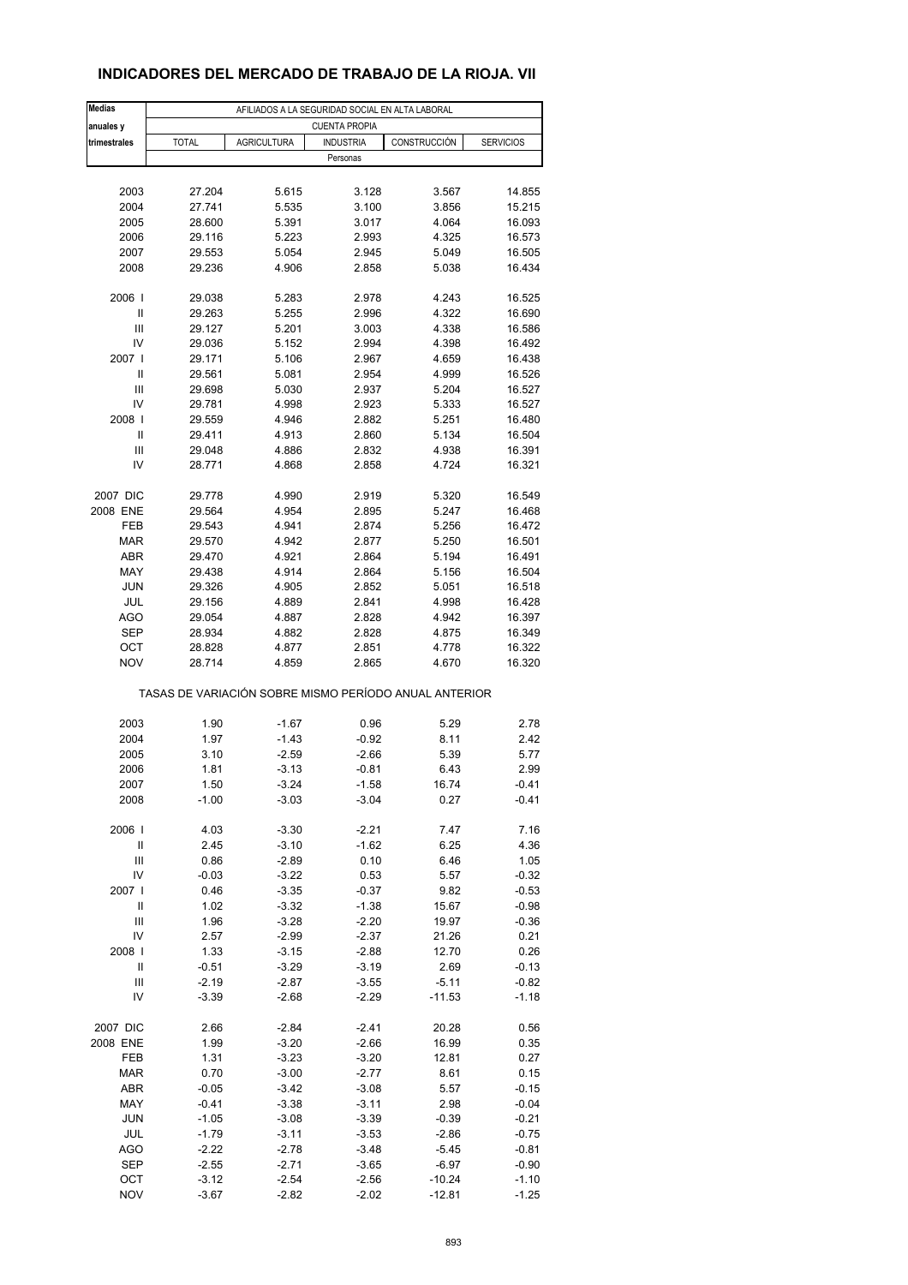## **INDICADORES DEL MERCADO DE TRABAJO DE LA RIOJA. VII**

| <b>Medias</b>     | AFILIADOS A LA SEGURIDAD SOCIAL EN ALTA LABORAL       |                    |                      |                     |                    |  |  |  |
|-------------------|-------------------------------------------------------|--------------------|----------------------|---------------------|--------------------|--|--|--|
| anuales y         |                                                       |                    | <b>CUENTA PROPIA</b> |                     |                    |  |  |  |
| trimestrales      | <b>TOTAL</b>                                          | <b>AGRICULTURA</b> | <b>INDUSTRIA</b>     | CONSTRUCCIÓN        | <b>SERVICIOS</b>   |  |  |  |
|                   |                                                       |                    | Personas             |                     |                    |  |  |  |
|                   |                                                       |                    |                      |                     |                    |  |  |  |
| 2003              | 27.204                                                | 5.615              | 3.128                | 3.567               | 14.855             |  |  |  |
| 2004              | 27.741                                                | 5.535              | 3.100                | 3.856               | 15.215             |  |  |  |
| 2005<br>2006      | 28.600<br>29.116                                      | 5.391<br>5.223     | 3.017                | 4.064               | 16.093<br>16.573   |  |  |  |
| 2007              | 29.553                                                | 5.054              | 2.993<br>2.945       | 4.325<br>5.049      | 16.505             |  |  |  |
| 2008              | 29.236                                                | 4.906              | 2.858                | 5.038               | 16.434             |  |  |  |
|                   |                                                       |                    |                      |                     |                    |  |  |  |
| 2006              | 29.038                                                | 5.283              | 2.978                | 4.243               | 16.525             |  |  |  |
| Ш                 | 29.263                                                | 5.255              | 2.996                | 4.322               | 16.690             |  |  |  |
| Ш                 | 29.127                                                | 5.201              | 3.003                | 4.338               | 16.586             |  |  |  |
| IV                | 29.036                                                | 5.152              | 2.994                | 4.398               | 16.492             |  |  |  |
| 2007 l            | 29.171                                                | 5.106              | 2.967                | 4.659               | 16.438             |  |  |  |
| Ш                 | 29.561                                                | 5.081              | 2.954                | 4.999               | 16.526             |  |  |  |
| Ш                 | 29.698                                                | 5.030              | 2.937                | 5.204               | 16.527             |  |  |  |
| IV                | 29.781                                                | 4.998              | 2.923                | 5.333               | 16.527             |  |  |  |
| 2008              | 29.559                                                | 4.946              | 2.882                | 5.251               | 16.480             |  |  |  |
| Ш                 | 29.411                                                | 4.913              | 2.860                | 5.134               | 16.504             |  |  |  |
| Ш                 | 29.048                                                | 4.886              | 2.832                | 4.938               | 16.391             |  |  |  |
| IV                | 28.771                                                | 4.868              | 2.858                | 4.724               | 16.321             |  |  |  |
| 2007 DIC          | 29.778                                                | 4.990              | 2.919                | 5.320               | 16.549             |  |  |  |
| 2008 ENE          | 29.564                                                | 4.954              | 2.895                | 5.247               | 16.468             |  |  |  |
| FEB               | 29.543                                                | 4.941              | 2.874                | 5.256               | 16.472             |  |  |  |
| <b>MAR</b>        | 29.570                                                | 4.942              | 2.877                | 5.250               | 16.501             |  |  |  |
| ABR               | 29.470                                                | 4.921              | 2.864                | 5.194               | 16.491             |  |  |  |
| MAY               | 29.438                                                | 4.914              | 2.864                | 5.156               | 16.504             |  |  |  |
| <b>JUN</b>        | 29.326                                                | 4.905              | 2.852                | 5.051               | 16.518             |  |  |  |
| JUL               | 29.156                                                | 4.889              | 2.841                | 4.998               | 16.428             |  |  |  |
| AGO               | 29.054                                                | 4.887              | 2.828                | 4.942               | 16.397             |  |  |  |
| <b>SEP</b>        | 28.934                                                | 4.882              | 2.828                | 4.875               | 16.349             |  |  |  |
| OCT               | 28.828                                                | 4.877              | 2.851                | 4.778               | 16.322             |  |  |  |
| <b>NOV</b>        | 28.714                                                | 4.859              | 2.865                | 4.670               | 16.320             |  |  |  |
|                   |                                                       |                    |                      |                     |                    |  |  |  |
|                   | TASAS DE VARIACIÓN SOBRE MISMO PERÍODO ANUAL ANTERIOR |                    |                      |                     |                    |  |  |  |
|                   |                                                       |                    |                      |                     |                    |  |  |  |
| 2003              | 1.90                                                  | $-1.67$            | 0.96                 | 5.29                | 2.78               |  |  |  |
| 2004              | 1.97                                                  | $-1.43$            | $-0.92$              | 8.11                | 2.42               |  |  |  |
| 2005<br>2006      | 3.10                                                  | $-2.59$            | $-2.66$              | 5.39<br>6.43        | 5.77<br>2.99       |  |  |  |
|                   | 1.81                                                  | $-3.13$            | $-0.81$              |                     |                    |  |  |  |
| 2007<br>2008      | 1.50<br>$-1.00$                                       | -3.24<br>$-3.03$   | $-1.58$<br>$-3.04$   | 16.74<br>0.27       | $-0.41$<br>$-0.41$ |  |  |  |
|                   |                                                       |                    |                      |                     |                    |  |  |  |
| 2006              | 4.03                                                  | $-3.30$            | $-2.21$              | 7.47                | 7.16               |  |  |  |
| Ш                 | 2.45                                                  | $-3.10$            | $-1.62$              | 6.25                | 4.36               |  |  |  |
| Ш                 | 0.86                                                  | $-2.89$            | 0.10                 | 6.46                | 1.05               |  |  |  |
| IV                | $-0.03$                                               | $-3.22$            | 0.53                 | 5.57                | $-0.32$            |  |  |  |
| 2007 l            | 0.46                                                  | $-3.35$            | $-0.37$              | 9.82                | $-0.53$            |  |  |  |
| $\mathsf{I}$      | 1.02                                                  | $-3.32$            | $-1.38$              | 15.67               | $-0.98$            |  |  |  |
| $\mathsf{III}$    | 1.96                                                  | $-3.28$            | $-2.20$              | 19.97               | $-0.36$            |  |  |  |
| IV                | 2.57                                                  | $-2.99$            | $-2.37$              | 21.26               | 0.21               |  |  |  |
| 2008              | 1.33                                                  | $-3.15$            | $-2.88$              | 12.70               | 0.26               |  |  |  |
| $\sf II$          | $-0.51$                                               | $-3.29$            | $-3.19$              | 2.69                | $-0.13$            |  |  |  |
| Ш                 | $-2.19$                                               | $-2.87$            | $-3.55$              | $-5.11$             | $-0.82$            |  |  |  |
| IV                | $-3.39$                                               | $-2.68$            | $-2.29$              | $-11.53$            | $-1.18$            |  |  |  |
|                   |                                                       |                    |                      |                     |                    |  |  |  |
| 2007 DIC          | 2.66                                                  | $-2.84$            | $-2.41$              | 20.28               | 0.56               |  |  |  |
| 2008 ENE          | 1.99                                                  | $-3.20$            | $-2.66$              | 16.99               | 0.35               |  |  |  |
| FEB               | 1.31                                                  | $-3.23$            | $-3.20$              | 12.81               | 0.27               |  |  |  |
| <b>MAR</b>        | 0.70                                                  | $-3.00$            | $-2.77$              | 8.61                | 0.15               |  |  |  |
| ABR               | $-0.05$                                               | $-3.42$            | $-3.08$              | 5.57                | $-0.15$            |  |  |  |
| MAY               | $-0.41$                                               | $-3.38$            | $-3.11$              | 2.98                | $-0.04$            |  |  |  |
| <b>JUN</b>        | $-1.05$                                               | $-3.08$            | $-3.39$              | $-0.39$             | $-0.21$            |  |  |  |
| JUL               | $-1.79$                                               | $-3.11$            | $-3.53$              | $-2.86$             | $-0.75$            |  |  |  |
| AGO               | $-2.22$                                               | $-2.78$            | -3.48                | $-5.45$             | $-0.81$            |  |  |  |
| <b>SEP</b><br>OCT | $-2.55$<br>$-3.12$                                    | $-2.71$<br>$-2.54$ | $-3.65$<br>$-2.56$   | $-6.97$<br>$-10.24$ | $-0.90$            |  |  |  |
| <b>NOV</b>        | $-3.67$                                               | $-2.82$            | $-2.02$              | $-12.81$            | $-1.10$<br>$-1.25$ |  |  |  |
|                   |                                                       |                    |                      |                     |                    |  |  |  |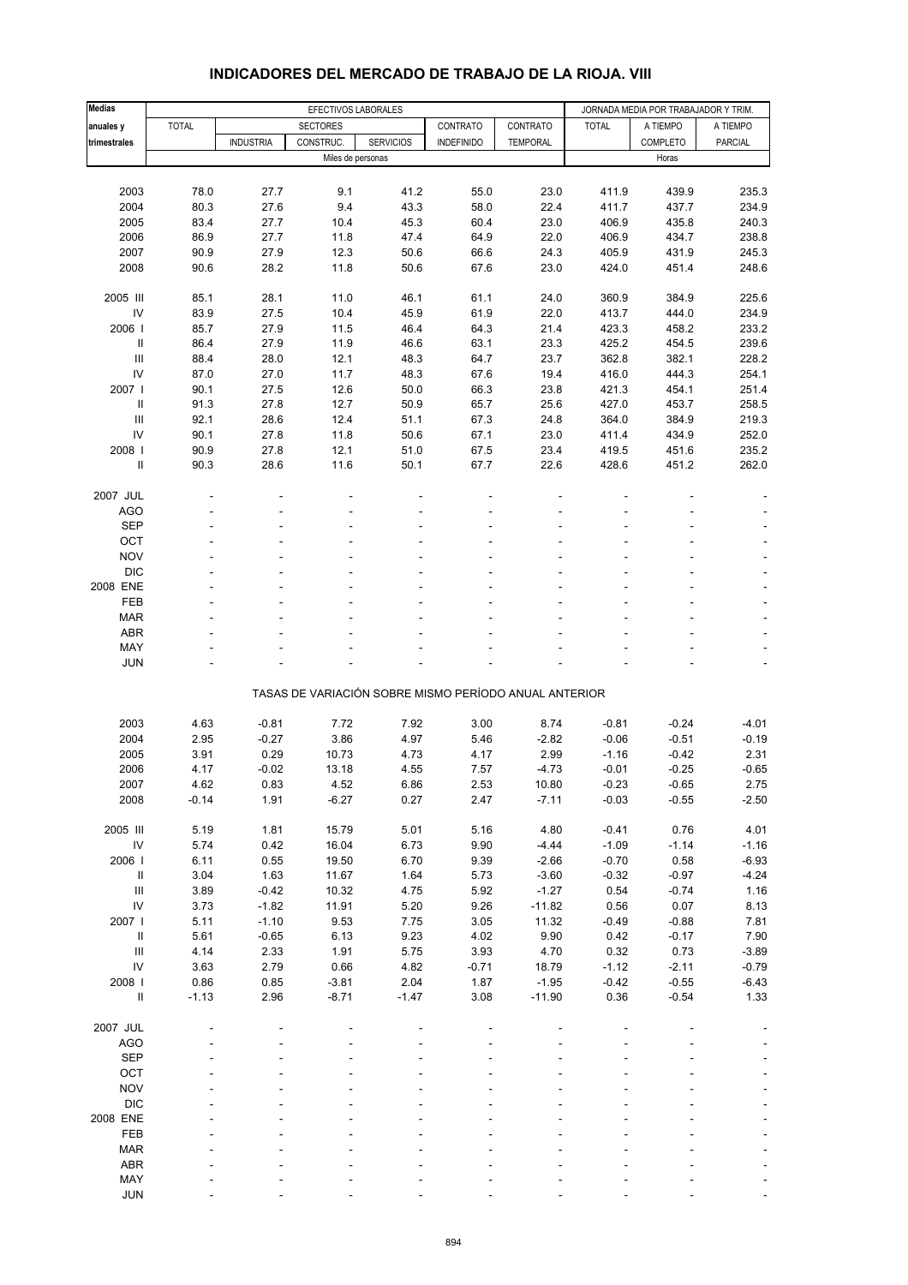| <b>Medias</b>                      |              | EFECTIVOS LABORALES |                   |                  |                                                       |                    | JORNADA MEDIA POR TRABAJADOR Y TRIM. |                 |                          |
|------------------------------------|--------------|---------------------|-------------------|------------------|-------------------------------------------------------|--------------------|--------------------------------------|-----------------|--------------------------|
| anuales y                          | <b>TOTAL</b> |                     | <b>SECTORES</b>   |                  | CONTRATO                                              | CONTRATO           | <b>TOTAL</b>                         | A TIEMPO        | A TIEMPO                 |
| trimestrales                       |              | <b>INDUSTRIA</b>    | CONSTRUC.         | <b>SERVICIOS</b> | <b>INDEFINIDO</b>                                     | <b>TEMPORAL</b>    |                                      | COMPLETO        | PARCIAL                  |
|                                    |              |                     | Miles de personas |                  |                                                       |                    |                                      | Horas           |                          |
|                                    |              |                     |                   |                  |                                                       |                    |                                      |                 |                          |
| 2003                               | 78.0         | 27.7                | 9.1               | 41.2             | 55.0                                                  | 23.0               | 411.9                                | 439.9           | 235.3                    |
| 2004                               | 80.3         | 27.6                | 9.4               | 43.3             | 58.0                                                  | 22.4               | 411.7                                | 437.7           | 234.9                    |
| 2005                               | 83.4         | 27.7                | 10.4              | 45.3             | 60.4                                                  | 23.0               | 406.9                                | 435.8           | 240.3                    |
| 2006                               | 86.9         | 27.7                | 11.8              | 47.4             | 64.9                                                  | 22.0               | 406.9                                | 434.7           | 238.8                    |
| 2007                               | 90.9         | 27.9                | 12.3              | 50.6             | 66.6                                                  | 24.3               | 405.9                                | 431.9           | 245.3                    |
| 2008                               | 90.6         | 28.2                | 11.8              | 50.6             | 67.6                                                  | 23.0               | 424.0                                | 451.4           | 248.6                    |
| 2005 III                           | 85.1         | 28.1                | 11.0              | 46.1             | 61.1                                                  | 24.0               | 360.9                                | 384.9           | 225.6                    |
| IV                                 | 83.9         | 27.5                | 10.4              | 45.9             | 61.9                                                  | 22.0               | 413.7                                | 444.0           | 234.9                    |
| 2006                               | 85.7         | 27.9                | 11.5              | 46.4             | 64.3                                                  | 21.4               | 423.3                                | 458.2           | 233.2                    |
| $\ensuremath{\mathsf{II}}$         | 86.4         | 27.9                | 11.9              | 46.6             | 63.1                                                  | 23.3               | 425.2                                | 454.5           | 239.6                    |
| $\mathbf{III}$                     | 88.4         | 28.0                | 12.1              | 48.3             | 64.7                                                  | 23.7               | 362.8                                | 382.1           | 228.2                    |
| IV                                 | 87.0         | 27.0                | 11.7              | 48.3             | 67.6                                                  | 19.4               | 416.0                                | 444.3           | 254.1                    |
| 2007 l                             | 90.1         | 27.5                | 12.6              | 50.0             | 66.3                                                  | 23.8               | 421.3                                | 454.1           | 251.4                    |
| $\mathbf{II}$                      | 91.3         | 27.8                | 12.7              | 50.9             | 65.7                                                  | 25.6               | 427.0                                | 453.7           | 258.5                    |
| Ш                                  | 92.1         | 28.6                | 12.4              | 51.1             | 67.3                                                  | 24.8               | 364.0                                | 384.9           | 219.3                    |
| IV                                 | 90.1         | 27.8                | 11.8              | 50.6             | 67.1                                                  | 23.0               | 411.4                                | 434.9           | 252.0                    |
| 2008                               | 90.9         | 27.8                | 12.1              | 51.0             | 67.5                                                  | 23.4               | 419.5                                | 451.6           | 235.2                    |
| Ш                                  | 90.3         | 28.6                | 11.6              | 50.1             | 67.7                                                  | 22.6               | 428.6                                | 451.2           | 262.0                    |
| 2007 JUL                           |              |                     |                   |                  |                                                       |                    |                                      |                 |                          |
| AGO                                |              |                     |                   |                  |                                                       |                    |                                      |                 |                          |
| <b>SEP</b>                         |              |                     |                   |                  |                                                       |                    |                                      |                 |                          |
| OCT                                |              |                     |                   |                  |                                                       |                    |                                      |                 |                          |
| <b>NOV</b>                         |              |                     |                   |                  |                                                       |                    |                                      |                 |                          |
| <b>DIC</b>                         |              |                     |                   |                  |                                                       |                    |                                      |                 | ÷,                       |
| 2008 ENE                           |              |                     |                   |                  |                                                       |                    |                                      |                 | $\overline{\phantom{a}}$ |
| FEB                                |              |                     |                   |                  |                                                       |                    |                                      |                 |                          |
| <b>MAR</b>                         |              |                     |                   |                  |                                                       |                    |                                      |                 | ÷,                       |
| <b>ABR</b>                         |              |                     |                   |                  |                                                       |                    |                                      |                 |                          |
| MAY                                |              |                     |                   |                  |                                                       |                    |                                      |                 |                          |
| <b>JUN</b>                         |              |                     |                   |                  |                                                       |                    |                                      |                 | ÷,                       |
|                                    |              |                     |                   |                  | TASAS DE VARIACIÓN SOBRE MISMO PERÍODO ANUAL ANTERIOR |                    |                                      |                 |                          |
|                                    |              |                     |                   |                  |                                                       |                    |                                      |                 |                          |
| 2003                               | 4.63         | $-0.81$             | 7.72              | 7.92             | 3.00                                                  | 8.74               | $-0.81$                              | $-0.24$         | $-4.01$                  |
| 2004                               | 2.95         | $-0.27$             | 3.86              | 4.97             | 5.46                                                  | $-2.82$            | $-0.06$                              | $-0.51$         | $-0.19$                  |
| 2005                               | 3.91         | 0.29                | 10.73             | 4.73             | 4.17                                                  | 2.99               | $-1.16$                              | $-0.42$         | 2.31                     |
| 2006                               | 4.17         | $-0.02$             | 13.18             | 4.55             | 7.57                                                  | $-4.73$            | $-0.01$                              | $-0.25$         | $-0.65$                  |
| 2007                               | 4.62         | 0.83                | 4.52              | 6.86             | 2.53                                                  | 10.80              | $-0.23$                              | $-0.65$         | 2.75                     |
| 2008                               | $-0.14$      | 1.91                | $-6.27$           | 0.27             | 2.47                                                  | $-7.11$            | $-0.03$                              | $-0.55$         | $-2.50$                  |
|                                    |              |                     |                   |                  |                                                       |                    |                                      |                 |                          |
| 2005 III                           | 5.19         | 1.81                | 15.79             | 5.01             | 5.16                                                  | 4.80               | $-0.41$                              | 0.76            | 4.01                     |
| IV<br>2006                         | 5.74         | 0.42                | 16.04<br>19.50    | 6.73             | 9.90<br>9.39                                          | $-4.44$            | $-1.09$<br>$-0.70$                   | $-1.14$<br>0.58 | $-1.16$                  |
| Ш                                  | 6.11<br>3.04 | 0.55<br>1.63        | 11.67             | 6.70<br>1.64     | 5.73                                                  | $-2.66$<br>$-3.60$ | $-0.32$                              | $-0.97$         | $-6.93$<br>$-4.24$       |
| $\mathop{\mathsf{III}}\nolimits$   | 3.89         | $-0.42$             | 10.32             | 4.75             | 5.92                                                  | $-1.27$            | 0.54                                 | $-0.74$         | 1.16                     |
| IV                                 | 3.73         | $-1.82$             | 11.91             | 5.20             | 9.26                                                  | $-11.82$           | 0.56                                 | 0.07            | 8.13                     |
| 2007 l                             | 5.11         | $-1.10$             | 9.53              | 7.75             | 3.05                                                  | 11.32              | $-0.49$                              | $-0.88$         | 7.81                     |
| $\ensuremath{\mathsf{II}}$         | 5.61         | $-0.65$             | 6.13              | 9.23             | 4.02                                                  | 9.90               | 0.42                                 | $-0.17$         | 7.90                     |
| $\ensuremath{\mathsf{III}}\xspace$ | 4.14         | 2.33                | 1.91              | 5.75             | 3.93                                                  | 4.70               | 0.32                                 | 0.73            | $-3.89$                  |
| IV                                 | 3.63         | 2.79                | 0.66              | 4.82             | $-0.71$                                               | 18.79              | $-1.12$                              | $-2.11$         | $-0.79$                  |
| 2008                               | 0.86         | 0.85                | $-3.81$           | 2.04             | 1.87                                                  | $-1.95$            | $-0.42$                              | $-0.55$         | $-6.43$                  |
| $\rm H$                            | $-1.13$      | 2.96                | $-8.71$           | $-1.47$          | 3.08                                                  | $-11.90$           | 0.36                                 | $-0.54$         | 1.33                     |
|                                    |              |                     |                   |                  |                                                       |                    |                                      |                 |                          |
| 2007 JUL                           |              |                     |                   |                  |                                                       |                    |                                      |                 |                          |
| <b>AGO</b>                         |              |                     |                   |                  |                                                       |                    |                                      |                 |                          |
| SEP                                |              |                     |                   |                  |                                                       |                    |                                      |                 |                          |
| OCT<br><b>NOV</b>                  |              |                     |                   |                  |                                                       |                    |                                      |                 |                          |
| <b>DIC</b>                         |              |                     |                   |                  |                                                       |                    |                                      |                 |                          |
| 2008 ENE                           |              |                     |                   |                  |                                                       |                    |                                      |                 |                          |
| FEB                                |              |                     |                   |                  |                                                       |                    |                                      |                 |                          |
| <b>MAR</b>                         |              |                     |                   |                  |                                                       |                    |                                      |                 |                          |
| ABR                                |              |                     |                   |                  |                                                       |                    |                                      |                 |                          |
| MAY                                |              |                     |                   |                  |                                                       |                    |                                      |                 |                          |
| <b>JUN</b>                         |              |                     |                   |                  |                                                       |                    |                                      |                 |                          |

### **INDICADORES DEL MERCADO DE TRABAJO DE LA RIOJA. VIII**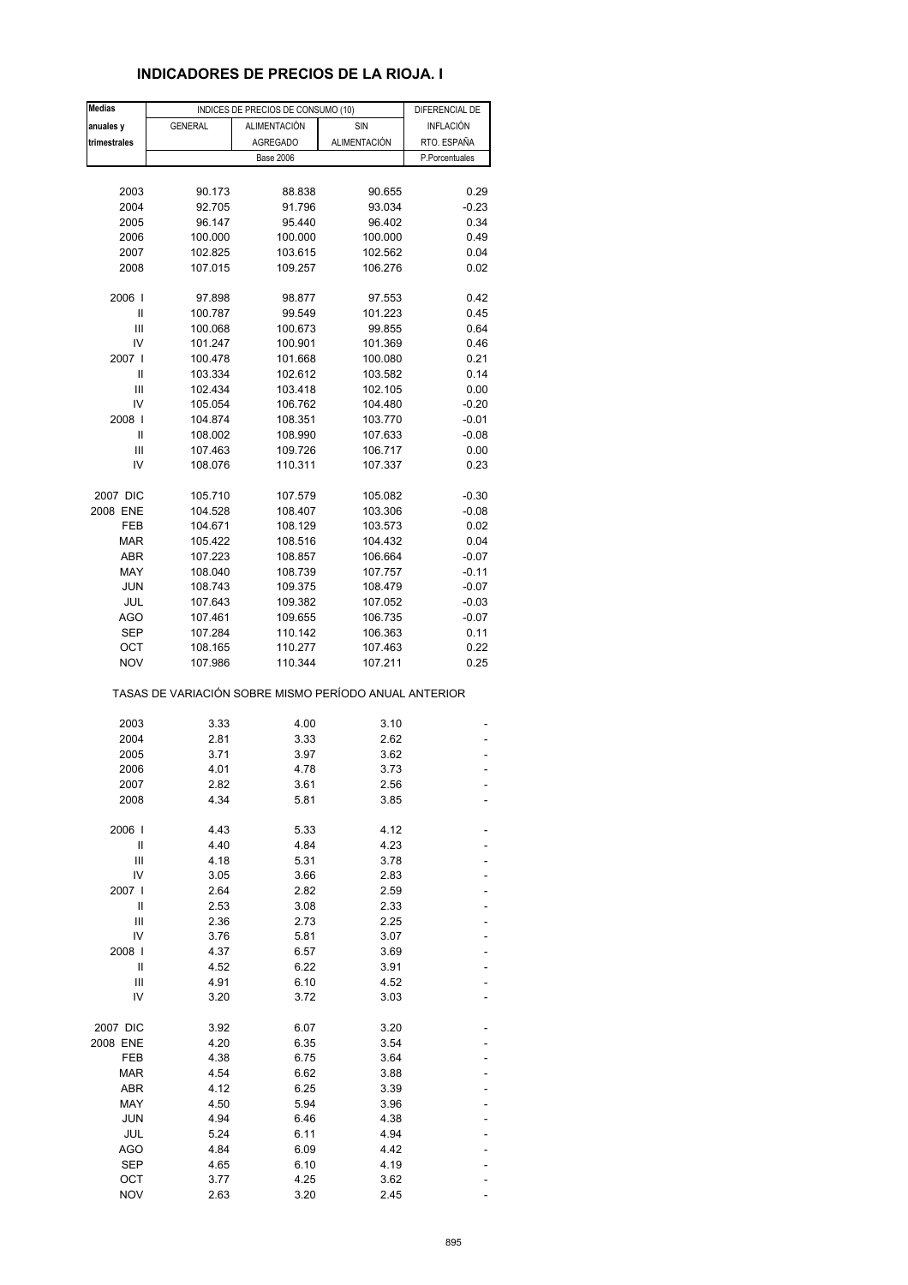# **INDICADORES DE PRECIOS DE LA RIOJA. I**

| Medias       |                                                       | INDICES DE PRECIOS DE CONSUMO (10) | DIFERENCIAL DE |                  |
|--------------|-------------------------------------------------------|------------------------------------|----------------|------------------|
| anuales y    | <b>GENERAL</b>                                        | ALIMENTACIÓN                       | SIN            | <b>INFLACIÓN</b> |
| trimestrales |                                                       | <b>AGREGADO</b>                    | ALIMENTACIÓN   | RTO. ESPAÑA      |
|              |                                                       | <b>Base 2006</b>                   |                | P.Porcentuales   |
|              |                                                       |                                    |                |                  |
|              |                                                       |                                    |                |                  |
| 2003         | 90.173                                                | 88.838                             | 90.655         | 0.29             |
| 2004         | 92.705                                                | 91.796                             | 93.034         | $-0.23$          |
| 2005         | 96.147                                                | 95.440                             | 96.402         | 0.34             |
| 2006         | 100.000                                               | 100.000                            | 100.000        | 0.49             |
| 2007         | 102.825                                               | 103.615                            | 102.562        | 0.04             |
| 2008         | 107.015                                               | 109.257                            | 106.276        | 0.02             |
| 2006         | 97.898                                                | 98.877                             | 97.553         | 0.42             |
| Ш            | 100.787                                               | 99.549                             | 101.223        | 0.45             |
| Ш            | 100.068                                               | 100.673                            | 99.855         | 0.64             |
| IV           | 101.247                                               | 100.901                            | 101.369        | 0.46             |
| 2007 l       | 100.478                                               | 101.668                            | 100.080        | 0.21             |
| Ш            | 103.334                                               | 102.612                            | 103.582        | 0.14             |
| Ш            | 102.434                                               |                                    |                |                  |
|              |                                                       | 103.418                            | 102.105        | 0.00             |
| IV           | 105.054                                               | 106.762                            | 104.480        | $-0.20$          |
| 2008         | 104.874                                               | 108.351                            | 103.770        | $-0.01$          |
| Ш            | 108.002                                               | 108.990                            | 107.633        | $-0.08$          |
| Ш            | 107.463                                               | 109.726                            | 106.717        | 0.00             |
| IV           | 108.076                                               | 110.311                            | 107.337        | 0.23             |
| 2007 DIC     | 105.710                                               | 107.579                            | 105.082        | $-0.30$          |
| 2008 ENE     | 104.528                                               | 108.407                            | 103.306        | $-0.08$          |
| FEB          | 104.671                                               | 108.129                            | 103.573        | 0.02             |
|              |                                                       |                                    |                |                  |
| <b>MAR</b>   | 105.422                                               | 108.516                            | 104.432        | 0.04             |
| <b>ABR</b>   | 107.223                                               | 108.857                            | 106.664        | $-0.07$          |
| MAY          | 108.040                                               | 108.739                            | 107.757        | $-0.11$          |
| JUN          | 108.743                                               | 109.375                            | 108.479        | $-0.07$          |
| JUL          | 107.643                                               | 109.382                            | 107.052        | $-0.03$          |
| AGO          | 107.461                                               | 109.655                            | 106.735        | $-0.07$          |
| <b>SEP</b>   | 107.284                                               | 110.142                            | 106.363        | 0.11             |
| ОСТ          | 108.165                                               | 110.277                            | 107.463        | 0.22             |
| <b>NOV</b>   | 107.986                                               | 110.344                            | 107.211        | 0.25             |
|              | TASAS DE VARIACIÓN SOBRE MISMO PERÍODO ANUAL ANTERIOR |                                    |                |                  |
| 2003         | 3.33                                                  | 4.00                               | 3.10           |                  |
|              | 2.81                                                  |                                    |                |                  |
| 2004         |                                                       | 3.33                               | 2.62           |                  |
| 2005         | 3.71                                                  | 3.97                               | 3.62           |                  |
| 2006         | 4.01                                                  | 4.78                               | 3.73           |                  |
| 2007         | 2.82                                                  | 3.61                               | 2.56           |                  |
| 2008         | 4.34                                                  | 5.81                               | 3.85           |                  |
| 2006         | 4.43                                                  | 5.33                               | 4.12           |                  |
| Ш            | 4.40                                                  | 4.84                               | 4.23           |                  |
| Ш            | 4.18                                                  | 5.31                               | 3.78           |                  |
| IV           | 3.05                                                  | 3.66                               | 2.83           |                  |
| 2007         | 2.64                                                  | 2.82                               | 2.59           |                  |
| Ш            | 2.53                                                  | 3.08                               | 2.33           |                  |
| Ш            | 2.36                                                  | 2.73                               | 2.25           |                  |
| IV           |                                                       |                                    | 3.07           |                  |
|              | 3.76                                                  | 5.81                               |                |                  |
| 2008         | 4.37                                                  | 6.57                               | 3.69           |                  |
| Ш            | 4.52                                                  | 6.22                               | 3.91           |                  |
| Ш            | 4.91                                                  | 6.10                               | 4.52           |                  |
| IV           | 3.20                                                  | 3.72                               | 3.03           |                  |
| 2007 DIC     | 3.92                                                  | 6.07                               | 3.20           |                  |
| 2008 ENE     | 4.20                                                  | 6.35                               | 3.54           |                  |
| FEB          | 4.38                                                  | 6.75                               | 3.64           |                  |
| <b>MAR</b>   | 4.54                                                  | 6.62                               | 3.88           |                  |
| <b>ABR</b>   | 4.12                                                  | 6.25                               | 3.39           |                  |
|              |                                                       |                                    |                |                  |
| MAY          | 4.50                                                  | 5.94                               | 3.96           |                  |
| <b>JUN</b>   | 4.94                                                  | 6.46                               | 4.38           |                  |
| JUL          | 5.24                                                  | 6.11                               | 4.94           |                  |
| AGO          | 4.84                                                  | 6.09                               | 4.42           |                  |
| <b>SEP</b>   | 4.65                                                  | 6.10                               | 4.19           |                  |
| OCT          | 3.77                                                  | 4.25                               | 3.62           |                  |
| <b>NOV</b>   | 2.63                                                  | 3.20                               | 2.45           |                  |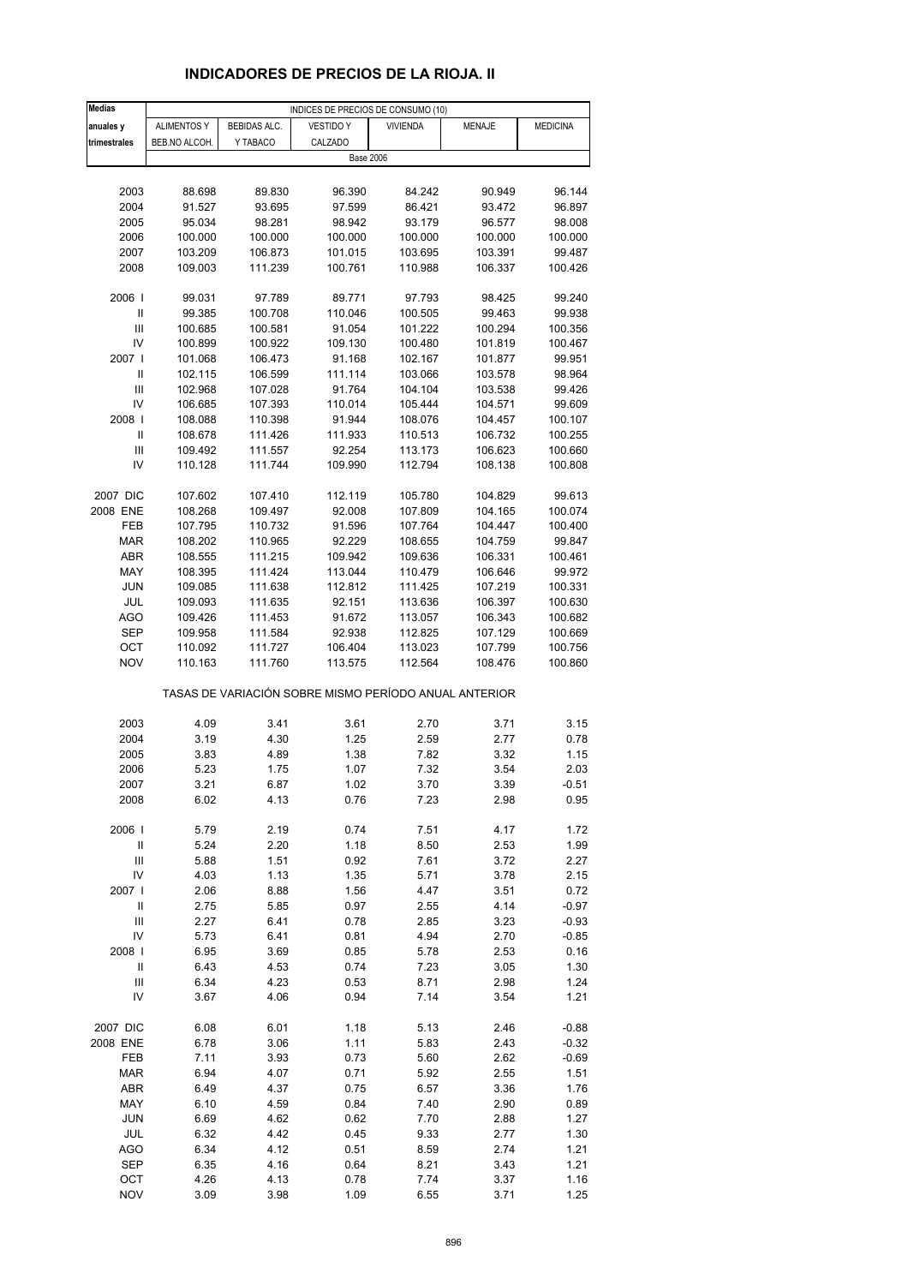# **INDICADORES DE PRECIOS DE LA RIOJA. II**

| <b>Medias</b>                      | INDICES DE PRECIOS DE CONSUMO (10) |                    |                                                       |                    |                    |                   |  |
|------------------------------------|------------------------------------|--------------------|-------------------------------------------------------|--------------------|--------------------|-------------------|--|
| anuales y                          | <b>ALIMENTOS Y</b>                 | BEBIDAS ALC.       | <b>VESTIDO Y</b>                                      | <b>VIVIENDA</b>    | <b>MENAJE</b>      | <b>MEDICINA</b>   |  |
| trimestrales                       | BEB.NO ALCOH.                      | Y TABACO           | CALZADO                                               |                    |                    |                   |  |
|                                    |                                    |                    | <b>Base 2006</b>                                      |                    |                    |                   |  |
|                                    |                                    |                    |                                                       |                    |                    |                   |  |
| 2003                               | 88.698                             | 89.830             | 96.390                                                | 84.242             | 90.949             | 96.144            |  |
| 2004                               | 91.527                             | 93.695             | 97.599                                                | 86.421             | 93.472             | 96.897            |  |
| 2005                               | 95.034                             | 98.281             | 98.942                                                | 93.179             | 96.577             | 98.008            |  |
| 2006                               | 100.000                            | 100.000            | 100.000                                               | 100.000            | 100.000            | 100.000           |  |
| 2007                               | 103.209                            | 106.873            | 101.015                                               | 103.695            | 103.391            | 99.487            |  |
| 2008                               | 109.003                            | 111.239            | 100.761                                               | 110.988            | 106.337            | 100.426           |  |
|                                    |                                    |                    |                                                       |                    |                    |                   |  |
| 2006                               | 99.031                             | 97.789             | 89.771                                                | 97.793             | 98.425             | 99.240            |  |
| Ш                                  | 99.385                             | 100.708            | 110.046                                               | 100.505            | 99.463             | 99.938            |  |
| Ш                                  | 100.685                            | 100.581            | 91.054                                                | 101.222            | 100.294            | 100.356           |  |
| IV                                 | 100.899                            | 100.922            | 109.130                                               | 100.480            | 101.819            | 100.467           |  |
| 2007 l                             | 101.068                            | 106.473            | 91.168                                                | 102.167            | 101.877            | 99.951            |  |
| Ш                                  | 102.115                            | 106.599            | 111.114                                               | 103.066            | 103.578            | 98.964            |  |
| Ш                                  | 102.968                            | 107.028            | 91.764                                                | 104.104            | 103.538            | 99.426            |  |
| IV                                 | 106.685                            | 107.393            | 110.014                                               | 105.444            | 104.571            | 99.609            |  |
| 2008                               | 108.088                            | 110.398            | 91.944                                                | 108.076            | 104.457            | 100.107           |  |
| $\sf II$                           | 108.678                            | 111.426            | 111.933                                               | 110.513            | 106.732            | 100.255           |  |
| Ш                                  | 109.492                            | 111.557            | 92.254                                                | 113.173            | 106.623            | 100.660           |  |
| IV                                 | 110.128                            | 111.744            | 109.990                                               | 112.794            | 108.138            | 100.808           |  |
|                                    |                                    |                    |                                                       |                    |                    |                   |  |
| 2007 DIC                           | 107.602                            | 107.410            | 112.119                                               | 105.780            | 104.829            | 99.613            |  |
| 2008 ENE                           | 108.268                            | 109.497            | 92.008                                                | 107.809            | 104.165            | 100.074           |  |
| FEB                                | 107.795                            | 110.732            | 91.596                                                | 107.764            | 104.447            | 100.400           |  |
| <b>MAR</b>                         | 108.202                            | 110.965            | 92.229                                                | 108.655            | 104.759            | 99.847            |  |
| ABR<br>MAY                         | 108.555<br>108.395                 | 111.215<br>111.424 | 109.942<br>113.044                                    | 109.636<br>110.479 | 106.331<br>106.646 | 100.461<br>99.972 |  |
| <b>JUN</b>                         | 109.085                            | 111.638            | 112.812                                               | 111.425            | 107.219            | 100.331           |  |
| JUL                                | 109.093                            | 111.635            | 92.151                                                | 113.636            | 106.397            | 100.630           |  |
| AGO                                | 109.426                            | 111.453            | 91.672                                                | 113.057            | 106.343            | 100.682           |  |
| SEP                                | 109.958                            | 111.584            | 92.938                                                | 112.825            | 107.129            | 100.669           |  |
| OCT                                | 110.092                            | 111.727            | 106.404                                               | 113.023            | 107.799            | 100.756           |  |
| <b>NOV</b>                         | 110.163                            | 111.760            | 113.575                                               | 112.564            | 108.476            | 100.860           |  |
|                                    |                                    |                    |                                                       |                    |                    |                   |  |
|                                    |                                    |                    | TASAS DE VARIACIÓN SOBRE MISMO PERÍODO ANUAL ANTERIOR |                    |                    |                   |  |
|                                    |                                    |                    |                                                       |                    |                    |                   |  |
| 2003                               | 4.09                               | 3.41               | 3.61                                                  | 2.70               | 3.71               | 3.15              |  |
| 2004<br>2005                       | 3.19<br>3.83                       | 4.30<br>4.89       | 1.25<br>1.38                                          | 2.59<br>7.82       | 2.77<br>3.32       | 0.78<br>1.15      |  |
| 2006                               | 5.23                               | 1.75               | 1.07                                                  | 7.32               | 3.54               | 2.03              |  |
|                                    |                                    |                    | 1.02                                                  | 3.70               |                    | -0.51             |  |
| 2007<br>2008                       | 3.21<br>6.02                       | 6.87<br>4.13       | 0.76                                                  | 7.23               | 3.39<br>2.98       | 0.95              |  |
|                                    |                                    |                    |                                                       |                    |                    |                   |  |
| 2006                               | 5.79                               | 2.19               | 0.74                                                  | 7.51               | 4.17               | 1.72              |  |
| $\ensuremath{\mathsf{II}}$         | 5.24                               | 2.20               | 1.18                                                  | 8.50               | 2.53               | 1.99              |  |
| $\ensuremath{\mathsf{III}}\xspace$ | 5.88                               | 1.51               | 0.92                                                  | 7.61               | 3.72               | 2.27              |  |
| IV                                 | 4.03                               | 1.13               | 1.35                                                  | 5.71               | 3.78               | 2.15              |  |
| 2007                               | 2.06                               | 8.88               | 1.56                                                  | 4.47               | 3.51               | 0.72              |  |
| $\ensuremath{\mathsf{II}}$         | 2.75                               | 5.85               | 0.97                                                  | 2.55               | 4.14               | $-0.97$           |  |
| Ш                                  | 2.27                               | 6.41               | 0.78                                                  | 2.85               | 3.23               | $-0.93$           |  |
| IV                                 | 5.73                               | 6.41               | 0.81                                                  | 4.94               | 2.70               | $-0.85$           |  |
| 2008                               | 6.95                               | 3.69               | 0.85                                                  | 5.78               | 2.53               | 0.16              |  |
| Ш                                  | 6.43                               | 4.53               | 0.74                                                  | 7.23               | 3.05               | 1.30              |  |
| Ш                                  | 6.34                               | 4.23               | 0.53                                                  | 8.71               | 2.98               | 1.24              |  |
| IV                                 | 3.67                               | 4.06               | 0.94                                                  | 7.14               | 3.54               | 1.21              |  |
| 2007 DIC                           | 6.08                               | 6.01               | 1.18                                                  | 5.13               | 2.46               | $-0.88$           |  |
| 2008 ENE                           | 6.78                               | 3.06               | 1.11                                                  | 5.83               | 2.43               | $-0.32$           |  |
| FEB                                | 7.11                               | 3.93               | 0.73                                                  | 5.60               | 2.62               | $-0.69$           |  |
| <b>MAR</b>                         | 6.94                               | 4.07               | 0.71                                                  | 5.92               | 2.55               | 1.51              |  |
| ABR                                | 6.49                               | 4.37               | 0.75                                                  | 6.57               | 3.36               | 1.76              |  |
| MAY                                | 6.10                               | 4.59               | 0.84                                                  | 7.40               | 2.90               | 0.89              |  |
| <b>JUN</b>                         | 6.69                               | 4.62               | 0.62                                                  | 7.70               | 2.88               | 1.27              |  |
| JUL                                | 6.32                               | 4.42               | 0.45                                                  | 9.33               | 2.77               | 1.30              |  |
| AGO                                | 6.34                               | 4.12               | 0.51                                                  | 8.59               | 2.74               | 1.21              |  |
| SEP                                | 6.35                               | 4.16               | 0.64                                                  | 8.21               | 3.43               | 1.21              |  |
| OCT                                | 4.26                               | 4.13               | 0.78                                                  | 7.74               | 3.37               | 1.16              |  |
| <b>NOV</b>                         | 3.09                               | 3.98               | 1.09                                                  | 6.55               | 3.71               | 1.25              |  |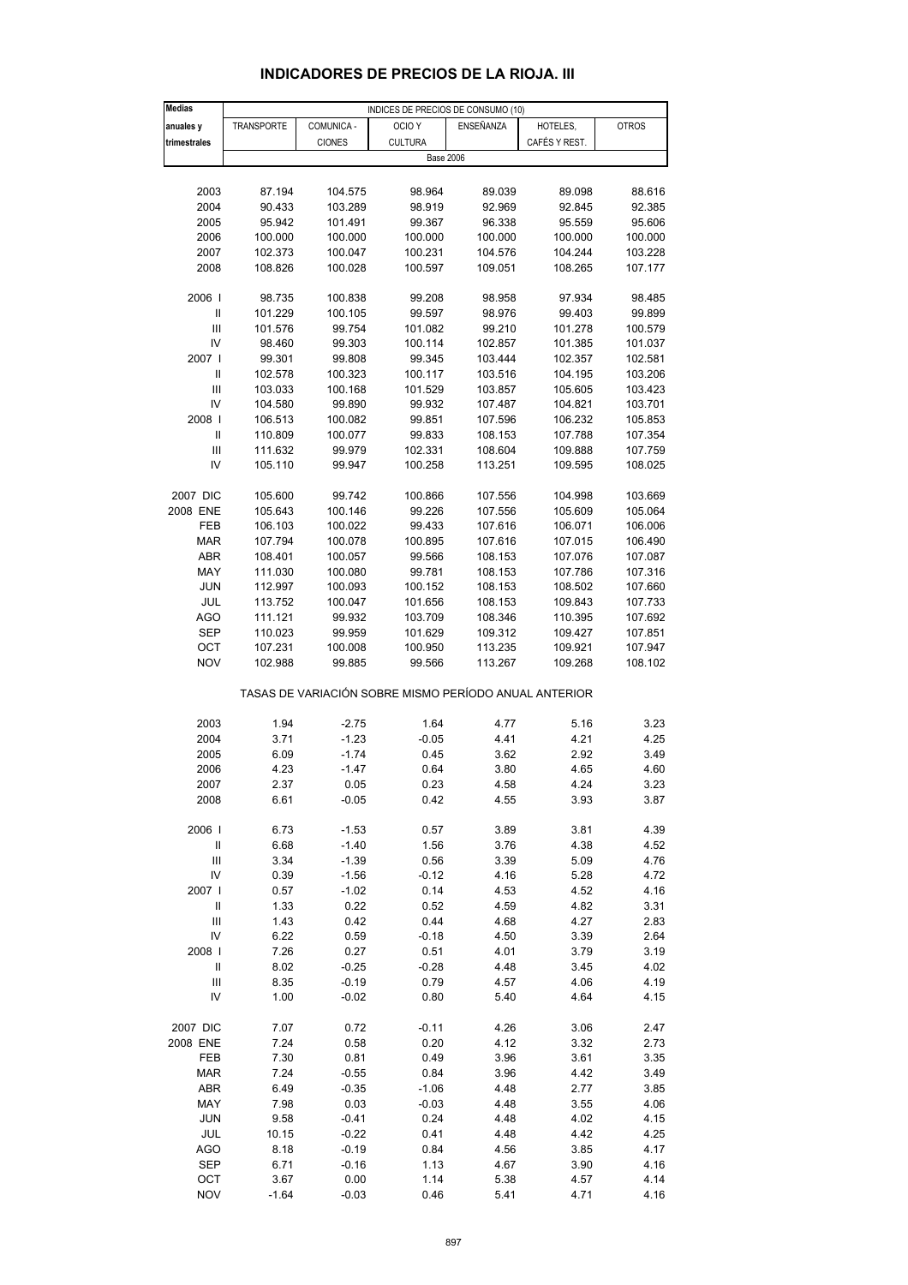| <b>Medias</b>                      |            |               | INDICES DE PRECIOS DE CONSUMO (10)                    |           |               |              |
|------------------------------------|------------|---------------|-------------------------------------------------------|-----------|---------------|--------------|
| anuales y                          | TRANSPORTE | COMUNICA -    | OCIO <sub>Y</sub>                                     | ENSEÑANZA | HOTELES,      | <b>OTROS</b> |
| trimestrales                       |            | <b>CIONES</b> | <b>CULTURA</b>                                        |           | CAFÉS Y REST. |              |
|                                    |            |               | <b>Base 2006</b>                                      |           |               |              |
|                                    |            |               |                                                       |           |               |              |
|                                    |            |               |                                                       |           |               |              |
| 2003                               | 87.194     | 104.575       | 98.964                                                | 89.039    | 89.098        | 88.616       |
| 2004                               | 90.433     | 103.289       | 98.919                                                | 92.969    | 92.845        | 92.385       |
| 2005                               | 95.942     | 101.491       | 99.367                                                | 96.338    | 95.559        | 95.606       |
| 2006                               | 100.000    | 100.000       | 100.000                                               | 100.000   | 100.000       | 100.000      |
| 2007                               | 102.373    | 100.047       | 100.231                                               | 104.576   | 104.244       | 103.228      |
| 2008                               | 108.826    | 100.028       | 100.597                                               | 109.051   | 108.265       | 107.177      |
|                                    |            |               |                                                       |           |               |              |
| 2006                               | 98.735     | 100.838       | 99.208                                                | 98.958    | 97.934        | 98.485       |
|                                    |            |               |                                                       |           |               |              |
| $\ensuremath{\mathsf{II}}$         | 101.229    | 100.105       | 99.597                                                | 98.976    | 99.403        | 99.899       |
| Ш                                  | 101.576    | 99.754        | 101.082                                               | 99.210    | 101.278       | 100.579      |
| IV                                 | 98.460     | 99.303        | 100.114                                               | 102.857   | 101.385       | 101.037      |
| 2007                               | 99.301     | 99.808        | 99.345                                                | 103.444   | 102.357       | 102.581      |
| Ш                                  | 102.578    | 100.323       | 100.117                                               | 103.516   | 104.195       | 103.206      |
| Ш                                  | 103.033    | 100.168       | 101.529                                               | 103.857   | 105.605       | 103.423      |
| IV                                 | 104.580    | 99.890        | 99.932                                                | 107.487   | 104.821       | 103.701      |
| 2008                               | 106.513    | 100.082       | 99.851                                                | 107.596   | 106.232       | 105.853      |
|                                    |            |               |                                                       |           |               |              |
| Ш                                  | 110.809    | 100.077       | 99.833                                                | 108.153   | 107.788       | 107.354      |
| Ш                                  | 111.632    | 99.979        | 102.331                                               | 108.604   | 109.888       | 107.759      |
| IV                                 | 105.110    | 99.947        | 100.258                                               | 113.251   | 109.595       | 108.025      |
|                                    |            |               |                                                       |           |               |              |
| 2007 DIC                           | 105.600    | 99.742        | 100.866                                               | 107.556   | 104.998       | 103.669      |
| 2008 ENE                           | 105.643    | 100.146       | 99.226                                                | 107.556   | 105.609       | 105.064      |
| FEB                                | 106.103    | 100.022       | 99.433                                                | 107.616   | 106.071       | 106.006      |
| <b>MAR</b>                         | 107.794    | 100.078       | 100.895                                               | 107.616   | 107.015       | 106.490      |
|                                    |            |               |                                                       |           |               |              |
| ABR                                | 108.401    | 100.057       | 99.566                                                | 108.153   | 107.076       | 107.087      |
| MAY                                | 111.030    | 100.080       | 99.781                                                | 108.153   | 107.786       | 107.316      |
| JUN                                | 112.997    | 100.093       | 100.152                                               | 108.153   | 108.502       | 107.660      |
| JUL                                | 113.752    | 100.047       | 101.656                                               | 108.153   | 109.843       | 107.733      |
| <b>AGO</b>                         | 111.121    | 99.932        | 103.709                                               | 108.346   | 110.395       | 107.692      |
| <b>SEP</b>                         | 110.023    | 99.959        | 101.629                                               | 109.312   | 109.427       | 107.851      |
| OCT                                |            |               |                                                       |           |               |              |
|                                    | 107.231    | 100.008       | 100.950                                               | 113.235   | 109.921       | 107.947      |
| <b>NOV</b>                         | 102.988    | 99.885        | 99.566                                                | 113.267   | 109.268       | 108.102      |
|                                    |            |               |                                                       |           |               |              |
|                                    |            |               | TASAS DE VARIACIÓN SOBRE MISMO PERÍODO ANUAL ANTERIOR |           |               |              |
|                                    |            |               |                                                       |           |               |              |
| 2003                               | 1.94       | $-2.75$       | 1.64                                                  | 4.77      | 5.16          | 3.23         |
| 2004                               | 3.71       | $-1.23$       | $-0.05$                                               | 4.41      | 4.21          | 4.25         |
| 2005                               | 6.09       | $-1.74$       | 0.45                                                  | 3.62      | 2.92          | 3.49         |
| 2006                               | 4.23       | $-1.47$       | 0.64                                                  | 3.80      | 4.65          | 4.60         |
| 2007                               | 2.37       | 0.05          | 0.23                                                  | 4.58      | 4.24          | 3.23         |
| 2008                               | 6.61       | $-0.05$       | 0.42                                                  | 4.55      | 3.93          | 3.87         |
|                                    |            |               |                                                       |           |               |              |
|                                    |            |               |                                                       |           |               |              |
| 2006                               | 6.73       | $-1.53$       | 0.57                                                  | 3.89      | 3.81          | 4.39         |
| Ш                                  | 6.68       | $-1.40$       | 1.56                                                  | 3.76      | 4.38          | 4.52         |
| $\ensuremath{\mathsf{III}}\xspace$ | 3.34       | $-1.39$       | 0.56                                                  | 3.39      | 5.09          | 4.76         |
| IV                                 | 0.39       | $-1.56$       | $-0.12$                                               | 4.16      | 5.28          | 4.72         |
| 2007 l                             | 0.57       | $-1.02$       | 0.14                                                  | 4.53      | 4.52          | 4.16         |
| $\ensuremath{\mathsf{II}}$         | 1.33       | 0.22          | 0.52                                                  | 4.59      | 4.82          | 3.31         |
| Ш                                  | 1.43       | 0.42          | 0.44                                                  | 4.68      | 4.27          | 2.83         |
|                                    |            |               |                                                       |           |               |              |
| IV                                 | 6.22       | 0.59          | $-0.18$                                               | 4.50      | 3.39          | 2.64         |
| 2008                               | 7.26       | 0.27          | 0.51                                                  | 4.01      | 3.79          | 3.19         |
| Ш                                  | 8.02       | $-0.25$       | $-0.28$                                               | 4.48      | 3.45          | 4.02         |
| Ш                                  | 8.35       | $-0.19$       | 0.79                                                  | 4.57      | 4.06          | 4.19         |
| IV                                 | 1.00       | $-0.02$       | 0.80                                                  | 5.40      | 4.64          | 4.15         |
|                                    |            |               |                                                       |           |               |              |
| 2007 DIC                           | 7.07       | 0.72          | $-0.11$                                               | 4.26      | 3.06          | 2.47         |
| 2008 ENE                           | 7.24       | 0.58          | 0.20                                                  | 4.12      | 3.32          | 2.73         |
|                                    |            | 0.81          |                                                       |           |               |              |
| FEB                                | 7.30       |               | 0.49                                                  | 3.96      | 3.61          | 3.35         |
| <b>MAR</b>                         | 7.24       | $-0.55$       | 0.84                                                  | 3.96      | 4.42          | 3.49         |
| ABR                                | 6.49       | $-0.35$       | $-1.06$                                               | 4.48      | 2.77          | 3.85         |
| MAY                                | 7.98       | 0.03          | $-0.03$                                               | 4.48      | 3.55          | 4.06         |
| <b>JUN</b>                         | 9.58       | $-0.41$       | 0.24                                                  | 4.48      | 4.02          | 4.15         |
| JUL                                | 10.15      | $-0.22$       | 0.41                                                  | 4.48      | 4.42          | 4.25         |
| AGO                                | 8.18       | $-0.19$       | 0.84                                                  | 4.56      | 3.85          | 4.17         |
|                                    |            |               |                                                       |           |               |              |
| <b>SEP</b>                         | 6.71       | $-0.16$       | 1.13                                                  | 4.67      | 3.90          | 4.16         |

#### **INDICADORES DE PRECIOS DE LA RIOJA. III**

 OCT 3.67 0.00 1.14 5.38 4.57 4.14 NOV -1.64 -0.03 0.46 5.41 4.71 4.16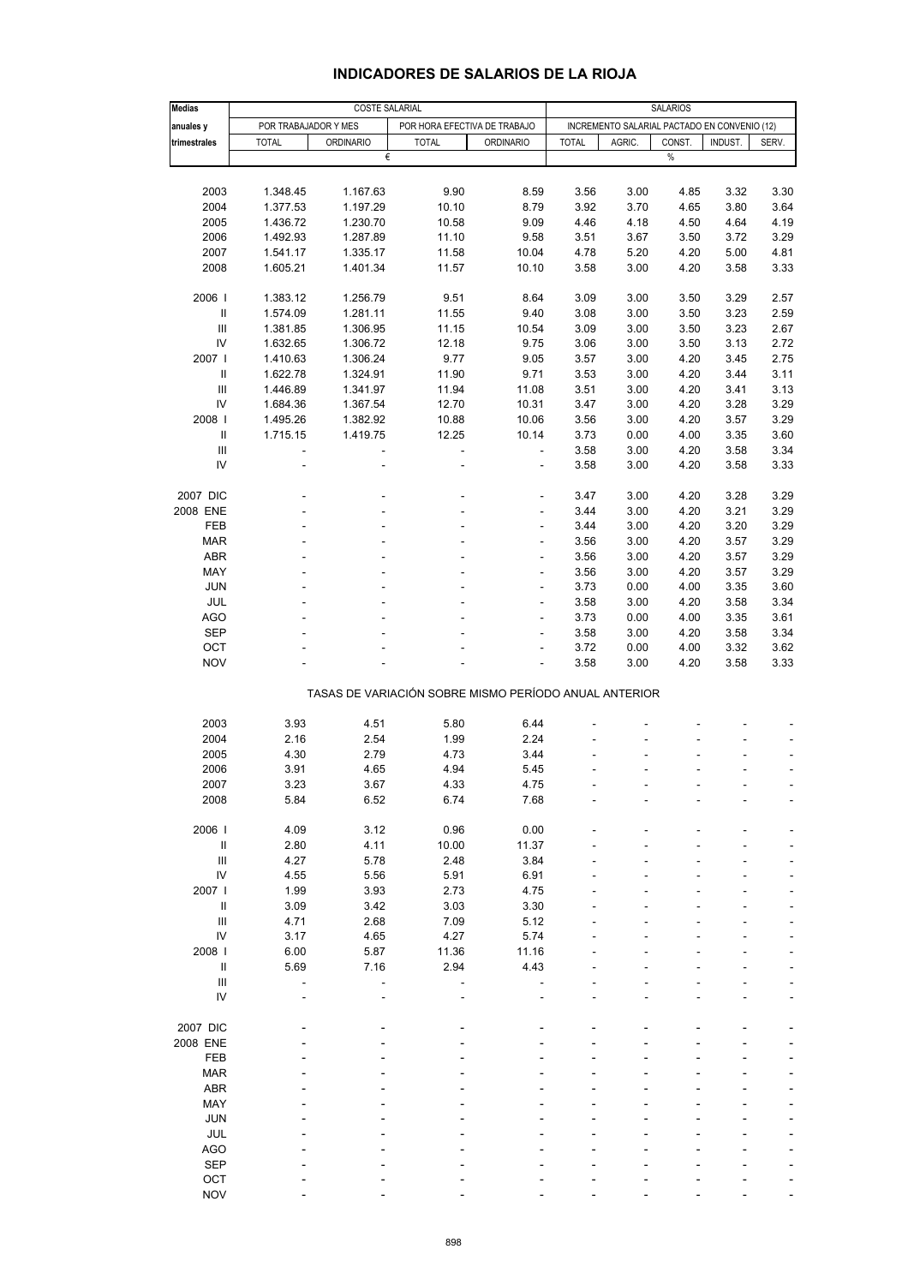| <b>Medias</b>                                         | <b>COSTE SALARIAL</b>    |                              |                                              |                              |              | <b>SALARIOS</b> |        |         |                          |  |  |
|-------------------------------------------------------|--------------------------|------------------------------|----------------------------------------------|------------------------------|--------------|-----------------|--------|---------|--------------------------|--|--|
| anuales y                                             | POR TRABAJADOR Y MES     | POR HORA EFECTIVA DE TRABAJO | INCREMENTO SALARIAL PACTADO EN CONVENIO (12) |                              |              |                 |        |         |                          |  |  |
| trimestrales                                          | <b>TOTAL</b>             | <b>ORDINARIO</b>             | <b>TOTAL</b>                                 | <b>ORDINARIO</b>             | <b>TOTAL</b> | AGRIC.          | CONST. | INDUST. | SERV.                    |  |  |
|                                                       |                          | €                            |                                              |                              |              |                 | %      |         |                          |  |  |
|                                                       |                          |                              |                                              |                              |              |                 |        |         |                          |  |  |
|                                                       |                          |                              |                                              |                              |              |                 |        |         |                          |  |  |
| 2003                                                  | 1.348.45                 | 1.167.63                     | 9.90                                         | 8.59                         | 3.56         | 3.00            | 4.85   | 3.32    | 3.30                     |  |  |
| 2004                                                  | 1.377.53                 | 1.197.29                     | 10.10                                        | 8.79                         | 3.92         | 3.70            | 4.65   | 3.80    | 3.64                     |  |  |
| 2005                                                  | 1.436.72                 | 1.230.70                     | 10.58                                        | 9.09                         | 4.46         | 4.18            | 4.50   | 4.64    | 4.19                     |  |  |
| 2006                                                  | 1.492.93                 | 1.287.89                     | 11.10                                        | 9.58                         | 3.51         | 3.67            | 3.50   | 3.72    | 3.29                     |  |  |
| 2007                                                  | 1.541.17                 | 1.335.17                     | 11.58                                        | 10.04                        | 4.78         | 5.20            | 4.20   | 5.00    | 4.81                     |  |  |
| 2008                                                  | 1.605.21                 | 1.401.34                     | 11.57                                        | 10.10                        | 3.58         | 3.00            | 4.20   | 3.58    | 3.33                     |  |  |
|                                                       |                          |                              |                                              |                              |              |                 |        |         |                          |  |  |
| 2006                                                  | 1.383.12                 | 1.256.79                     | 9.51                                         | 8.64                         | 3.09         | 3.00            | 3.50   | 3.29    | 2.57                     |  |  |
| $\ensuremath{\mathsf{II}}$                            | 1.574.09                 | 1.281.11                     | 11.55                                        | 9.40                         | 3.08         | 3.00            | 3.50   | 3.23    | 2.59                     |  |  |
| $\mathbf{III}$                                        | 1.381.85                 | 1.306.95                     | 11.15                                        | 10.54                        | 3.09         | 3.00            | 3.50   | 3.23    | 2.67                     |  |  |
| IV                                                    | 1.632.65                 | 1.306.72                     | 12.18                                        | 9.75                         | 3.06         | 3.00            | 3.50   | 3.13    | 2.72                     |  |  |
| 2007 l                                                | 1.410.63                 | 1.306.24                     | 9.77                                         | 9.05                         | 3.57         | 3.00            | 4.20   | 3.45    | 2.75                     |  |  |
|                                                       |                          |                              |                                              |                              |              |                 |        |         |                          |  |  |
| $\ensuremath{\mathsf{II}}$                            | 1.622.78                 | 1.324.91                     | 11.90                                        | 9.71                         | 3.53         | 3.00            | 4.20   | 3.44    | 3.11                     |  |  |
| $\mathbf{III}$                                        | 1.446.89                 | 1.341.97                     | 11.94                                        | 11.08                        | 3.51         | 3.00            | 4.20   | 3.41    | 3.13                     |  |  |
| IV                                                    | 1.684.36                 | 1.367.54                     | 12.70                                        | 10.31                        | 3.47         | 3.00            | 4.20   | 3.28    | 3.29                     |  |  |
| 2008                                                  | 1.495.26                 | 1.382.92                     | 10.88                                        | 10.06                        | 3.56         | 3.00            | 4.20   | 3.57    | 3.29                     |  |  |
| $\, \parallel$                                        | 1.715.15                 | 1.419.75                     | 12.25                                        | 10.14                        | 3.73         | 0.00            | 4.00   | 3.35    | 3.60                     |  |  |
| $\mathbf{III}$                                        | $\overline{\phantom{a}}$ | ÷                            | $\overline{\phantom{a}}$                     | $\blacksquare$               | 3.58         | 3.00            | 4.20   | 3.58    | 3.34                     |  |  |
| IV                                                    | $\overline{a}$           |                              | ÷                                            | $\overline{\phantom{a}}$     | 3.58         | 3.00            | 4.20   | 3.58    | 3.33                     |  |  |
|                                                       |                          |                              |                                              |                              |              |                 |        |         |                          |  |  |
| 2007 DIC                                              |                          |                              |                                              | Ĭ.                           | 3.47         | 3.00            | 4.20   | 3.28    | 3.29                     |  |  |
| 2008 ENE                                              |                          |                              |                                              | ٠                            | 3.44         | 3.00            | 4.20   | 3.21    | 3.29                     |  |  |
| FEB                                                   |                          |                              |                                              | ÷                            | 3.44         | 3.00            | 4.20   | 3.20    | 3.29                     |  |  |
|                                                       |                          |                              |                                              |                              | 3.56         |                 |        |         |                          |  |  |
| <b>MAR</b>                                            |                          |                              |                                              | $\overline{\phantom{0}}$     |              | 3.00            | 4.20   | 3.57    | 3.29                     |  |  |
| <b>ABR</b>                                            |                          |                              |                                              | ٠                            | 3.56         | 3.00            | 4.20   | 3.57    | 3.29                     |  |  |
| MAY                                                   |                          |                              |                                              | ÷                            | 3.56         | 3.00            | 4.20   | 3.57    | 3.29                     |  |  |
| <b>JUN</b>                                            |                          |                              |                                              | $\overline{\phantom{0}}$     | 3.73         | 0.00            | 4.00   | 3.35    | 3.60                     |  |  |
| JUL                                                   |                          |                              |                                              |                              | 3.58         | 3.00            | 4.20   | 3.58    | 3.34                     |  |  |
| <b>AGO</b>                                            |                          |                              |                                              | ÷                            | 3.73         | 0.00            | 4.00   | 3.35    | 3.61                     |  |  |
| <b>SEP</b>                                            |                          |                              |                                              | $\qquad \qquad \blacksquare$ | 3.58         | 3.00            | 4.20   | 3.58    | 3.34                     |  |  |
| OCT                                                   |                          |                              |                                              |                              | 3.72         | 0.00            | 4.00   | 3.32    | 3.62                     |  |  |
| <b>NOV</b>                                            |                          |                              |                                              | ä,                           | 3.58         | 3.00            | 4.20   | 3.58    | 3.33                     |  |  |
|                                                       |                          |                              |                                              |                              |              |                 |        |         |                          |  |  |
| TASAS DE VARIACIÓN SOBRE MISMO PERÍODO ANUAL ANTERIOR |                          |                              |                                              |                              |              |                 |        |         |                          |  |  |
|                                                       |                          |                              |                                              |                              |              |                 |        |         |                          |  |  |
| 2003                                                  | 3.93                     | 4.51                         | 5.80                                         | 6.44                         |              |                 |        |         |                          |  |  |
| 2004                                                  | 2.16                     | 2.54                         | 1.99                                         | 2.24                         |              |                 |        |         |                          |  |  |
| 2005                                                  | 4.30                     |                              |                                              | 3.44                         |              |                 |        |         |                          |  |  |
|                                                       |                          | 2.79                         | 4.73                                         |                              |              |                 |        |         | $\overline{\phantom{a}}$ |  |  |
| 2006                                                  | 3.91                     | 4.65                         | 4.94                                         | 5.45                         |              |                 |        |         |                          |  |  |
| 2007                                                  | 3.23                     | 3.67                         | 4.33                                         | 4.75                         |              |                 |        |         |                          |  |  |
| 2008                                                  | 5.84                     | 6.52                         | 6.74                                         | 7.68                         |              |                 |        |         |                          |  |  |
|                                                       |                          |                              |                                              |                              |              |                 |        |         |                          |  |  |
| 2006                                                  | 4.09                     | 3.12                         | 0.96                                         | 0.00                         |              |                 |        |         |                          |  |  |
| $\sf II$                                              | 2.80                     | 4.11                         | 10.00                                        | 11.37                        |              |                 |        |         |                          |  |  |
| $\mathbf{III}$                                        | 4.27                     | 5.78                         | 2.48                                         | 3.84                         |              |                 |        |         |                          |  |  |
| IV                                                    | 4.55                     | 5.56                         | 5.91                                         | 6.91                         |              |                 |        |         |                          |  |  |
| 2007 l                                                | 1.99                     | 3.93                         | 2.73                                         | 4.75                         |              |                 |        |         |                          |  |  |
| $\, \parallel$                                        | 3.09                     | 3.42                         | 3.03                                         | 3.30                         |              |                 |        |         |                          |  |  |
| Ш                                                     | 4.71                     | 2.68                         | 7.09                                         | 5.12                         |              |                 |        |         |                          |  |  |
| IV                                                    | 3.17                     | 4.65                         | 4.27                                         | 5.74                         |              |                 |        |         |                          |  |  |
| 2008 l                                                | 6.00                     | 5.87                         | 11.36                                        | 11.16                        |              |                 |        |         |                          |  |  |
|                                                       |                          |                              |                                              |                              |              |                 |        |         |                          |  |  |
| Ш                                                     | 5.69                     | 7.16                         | 2.94                                         | 4.43                         |              |                 |        |         |                          |  |  |
| $\mathbf{III}$                                        | $\overline{\phantom{a}}$ |                              |                                              |                              |              |                 |        |         |                          |  |  |
| IV                                                    |                          |                              |                                              |                              |              |                 |        |         |                          |  |  |
|                                                       |                          |                              |                                              |                              |              |                 |        |         |                          |  |  |
| 2007 DIC                                              |                          |                              |                                              |                              |              |                 |        |         |                          |  |  |
| 2008 ENE                                              |                          |                              |                                              |                              |              |                 |        |         |                          |  |  |
| FEB                                                   |                          |                              |                                              |                              |              |                 |        |         |                          |  |  |
| <b>MAR</b>                                            |                          |                              |                                              |                              |              |                 |        |         |                          |  |  |
| <b>ABR</b>                                            |                          |                              |                                              |                              |              |                 |        |         |                          |  |  |
| MAY                                                   |                          |                              |                                              |                              |              |                 |        |         |                          |  |  |
| <b>JUN</b>                                            |                          |                              |                                              |                              |              |                 |        |         |                          |  |  |
| JUL                                                   |                          |                              |                                              |                              |              |                 |        |         |                          |  |  |
|                                                       |                          |                              |                                              |                              |              |                 |        |         |                          |  |  |
| AGO                                                   |                          |                              |                                              |                              |              |                 |        |         |                          |  |  |
| <b>SEP</b>                                            |                          |                              |                                              |                              |              |                 |        |         |                          |  |  |
| OCT                                                   |                          |                              |                                              |                              |              |                 |        |         |                          |  |  |
| <b>NOV</b>                                            |                          |                              |                                              |                              |              |                 |        |         |                          |  |  |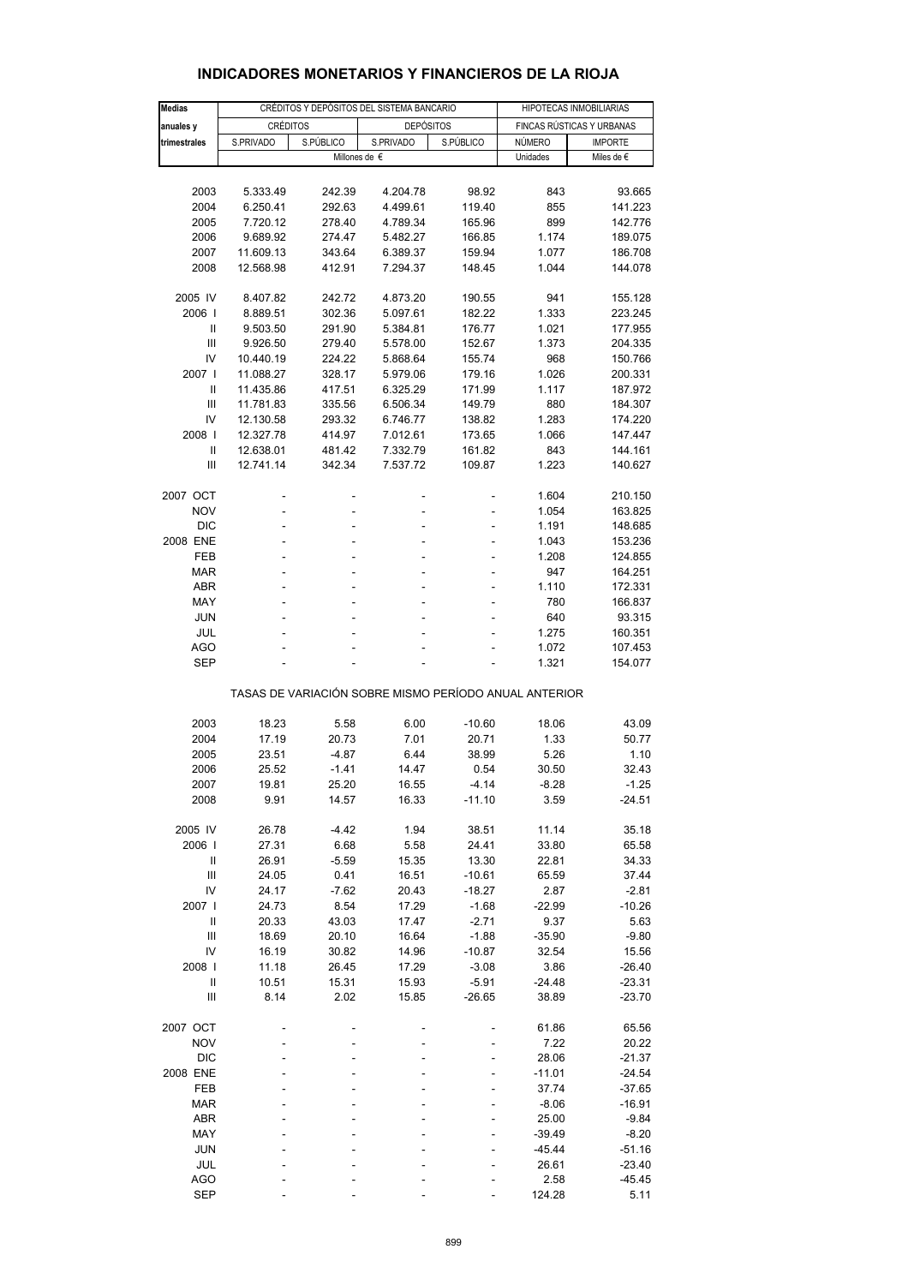| <b>Medias</b>                                         |                      |                  | CRÉDITOS Y DEPÓSITOS DEL SISTEMA BANCARIO |                     | HIPOTECAS INMOBILIARIAS   |                      |  |  |  |
|-------------------------------------------------------|----------------------|------------------|-------------------------------------------|---------------------|---------------------------|----------------------|--|--|--|
| anuales y                                             | <b>CRÉDITOS</b>      |                  | <b>DEPÓSITOS</b>                          |                     | FINCAS RÚSTICAS Y URBANAS |                      |  |  |  |
| trimestrales                                          | S.PRIVADO            | S.PÚBLICO        | S.PRIVADO                                 | S.PÚBLICO           | NÚMERO                    | <b>IMPORTE</b>       |  |  |  |
|                                                       |                      |                  | Millones de €                             |                     | Unidades                  | Miles de $\epsilon$  |  |  |  |
|                                                       |                      |                  |                                           |                     |                           |                      |  |  |  |
| 2003                                                  | 5.333.49             | 242.39           | 4.204.78                                  | 98.92               | 843                       | 93.665               |  |  |  |
| 2004                                                  | 6.250.41             | 292.63           | 4.499.61                                  | 119.40              | 855                       | 141.223              |  |  |  |
| 2005                                                  | 7.720.12             | 278.40           | 4.789.34                                  | 165.96              | 899                       | 142.776              |  |  |  |
| 2006                                                  | 9.689.92             | 274.47           | 5.482.27                                  | 166.85              | 1.174                     | 189.075              |  |  |  |
| 2007                                                  | 11.609.13            | 343.64           | 6.389.37                                  | 159.94              | 1.077                     | 186.708              |  |  |  |
| 2008                                                  | 12.568.98            | 412.91           | 7.294.37                                  | 148.45              | 1.044                     | 144.078              |  |  |  |
|                                                       |                      |                  |                                           |                     |                           |                      |  |  |  |
| 2005 IV<br>2006                                       | 8.407.82<br>8.889.51 | 242.72<br>302.36 | 4.873.20<br>5.097.61                      | 190.55<br>182.22    | 941<br>1.333              | 155.128<br>223.245   |  |  |  |
| Ш                                                     | 9.503.50             | 291.90           | 5.384.81                                  | 176.77              | 1.021                     | 177.955              |  |  |  |
| Ш                                                     | 9.926.50             | 279.40           | 5.578.00                                  | 152.67              | 1.373                     | 204.335              |  |  |  |
| IV                                                    | 10.440.19            | 224.22           | 5.868.64                                  | 155.74              | 968                       | 150.766              |  |  |  |
| 2007 l                                                | 11.088.27            | 328.17           | 5.979.06                                  | 179.16              | 1.026                     | 200.331              |  |  |  |
| Ш                                                     | 11.435.86            | 417.51           | 6.325.29                                  | 171.99              | 1.117                     | 187.972              |  |  |  |
| III                                                   | 11.781.83            | 335.56           | 6.506.34                                  | 149.79              | 880                       | 184.307              |  |  |  |
| IV                                                    | 12.130.58            | 293.32           | 6.746.77                                  | 138.82              | 1.283                     | 174.220              |  |  |  |
| 2008                                                  | 12.327.78            | 414.97           | 7.012.61                                  | 173.65              | 1.066                     | 147.447              |  |  |  |
| $\mathbf{I}$                                          | 12.638.01            | 481.42           | 7.332.79                                  | 161.82              | 843                       | 144.161              |  |  |  |
| Ш                                                     | 12.741.14            | 342.34           | 7.537.72                                  | 109.87              | 1.223                     | 140.627              |  |  |  |
|                                                       |                      |                  |                                           |                     |                           |                      |  |  |  |
| 2007 OCT                                              |                      |                  |                                           |                     | 1.604                     | 210.150              |  |  |  |
| <b>NOV</b>                                            | ÷,                   | ٠                | ٠                                         | ÷                   | 1.054                     | 163.825<br>148.685   |  |  |  |
| <b>DIC</b><br>2008 ENE                                | ä,                   | L,               | L,                                        | ä,                  | 1.191<br>1.043            | 153.236              |  |  |  |
| FEB                                                   | ٠                    | ä,               | ٠                                         | ٠                   | 1.208                     | 124.855              |  |  |  |
| <b>MAR</b>                                            | L,                   |                  |                                           | ä,                  | 947                       | 164.251              |  |  |  |
| ABR                                                   |                      |                  |                                           |                     | 1.110                     | 172.331              |  |  |  |
| MAY                                                   | ä,                   | ٠                | ä,                                        | ٠                   | 780                       | 166.837              |  |  |  |
| JUN                                                   |                      |                  |                                           |                     | 640                       | 93.315               |  |  |  |
| JUL                                                   |                      |                  |                                           |                     | 1.275                     | 160.351              |  |  |  |
| <b>AGO</b>                                            | Ĭ.                   | Ĭ.               |                                           |                     | 1.072                     | 107.453              |  |  |  |
| SEP                                                   |                      |                  |                                           |                     | 1.321                     | 154.077              |  |  |  |
| TASAS DE VARIACIÓN SOBRE MISMO PERÍODO ANUAL ANTERIOR |                      |                  |                                           |                     |                           |                      |  |  |  |
|                                                       |                      |                  |                                           |                     |                           |                      |  |  |  |
| 2003                                                  | 18.23                | 5.58             | 6.00                                      | $-10.60$            | 18.06                     | 43.09                |  |  |  |
| 2004                                                  | 17.19                | 20.73            | 7.01                                      | 20.71               | 1.33                      | 50.77                |  |  |  |
| 2005                                                  | 23.51                | $-4.87$          | 6.44                                      | 38.99               | 5.26                      | 1.10                 |  |  |  |
| 2006<br>2007                                          | 25.52<br>19.81       | $-1.41$<br>25.20 | 14.47<br>16.55                            | 0.54<br>$-4.14$     | 30.50<br>$-8.28$          | 32.43<br>$-1.25$     |  |  |  |
| 2008                                                  | 9.91                 | 14.57            | 16.33                                     | $-11.10$            | 3.59                      | $-24.51$             |  |  |  |
|                                                       |                      |                  |                                           |                     |                           |                      |  |  |  |
| 2005 IV                                               | 26.78                | $-4.42$          | 1.94                                      | 38.51               | 11.14                     | 35.18                |  |  |  |
| 2006                                                  | 27.31                | 6.68             | 5.58                                      | 24.41               | 33.80                     | 65.58                |  |  |  |
| $\sf II$                                              | 26.91                | $-5.59$          | 15.35                                     | 13.30               | 22.81                     | 34.33                |  |  |  |
| III                                                   | 24.05                | 0.41             | 16.51                                     | $-10.61$            | 65.59                     | 37.44                |  |  |  |
| IV                                                    | 24.17                | $-7.62$          | 20.43                                     | $-18.27$            | 2.87                      | $-2.81$              |  |  |  |
| 2007 l                                                | 24.73                | 8.54             | 17.29                                     | $-1.68$             | $-22.99$                  | $-10.26$             |  |  |  |
| $\mathbf{I}$                                          | 20.33                | 43.03            | 17.47                                     | $-2.71$             | 9.37                      | 5.63                 |  |  |  |
| $\ensuremath{\mathsf{III}}\xspace$                    | 18.69                | 20.10            | 16.64                                     | $-1.88$             | $-35.90$                  | $-9.80$              |  |  |  |
| IV<br>2008                                            | 16.19                | 30.82            | 14.96                                     | $-10.87$<br>$-3.08$ | 32.54                     | 15.56                |  |  |  |
| Ш                                                     | 11.18<br>10.51       | 26.45<br>15.31   | 17.29<br>15.93                            | $-5.91$             | 3.86<br>$-24.48$          | $-26.40$<br>$-23.31$ |  |  |  |
| $\ensuremath{\mathsf{III}}\xspace$                    | 8.14                 | 2.02             | 15.85                                     | $-26.65$            | 38.89                     | $-23.70$             |  |  |  |
|                                                       |                      |                  |                                           |                     |                           |                      |  |  |  |
| 2007 OCT                                              |                      |                  |                                           |                     | 61.86                     | 65.56                |  |  |  |
| <b>NOV</b>                                            |                      |                  |                                           |                     | 7.22                      | 20.22                |  |  |  |
| <b>DIC</b>                                            |                      |                  |                                           |                     | 28.06                     | $-21.37$             |  |  |  |
| 2008 ENE                                              |                      |                  |                                           |                     | $-11.01$                  | $-24.54$             |  |  |  |
| <b>FEB</b><br><b>MAR</b>                              |                      |                  |                                           |                     | 37.74<br>$-8.06$          | $-37.65$<br>$-16.91$ |  |  |  |
| ABR                                                   |                      |                  |                                           |                     | 25.00                     | $-9.84$              |  |  |  |
| MAY                                                   |                      |                  |                                           |                     | $-39.49$                  | $-8.20$              |  |  |  |
| JUN                                                   |                      |                  |                                           |                     | $-45.44$                  | $-51.16$             |  |  |  |
| JUL                                                   |                      |                  |                                           |                     | 26.61                     | $-23.40$             |  |  |  |
| <b>AGO</b>                                            |                      |                  |                                           |                     | 2.58                      | $-45.45$             |  |  |  |
| SEP                                                   |                      |                  |                                           |                     | 124.28                    | 5.11                 |  |  |  |

### **INDICADORES MONETARIOS Y FINANCIEROS DE LA RIOJA**